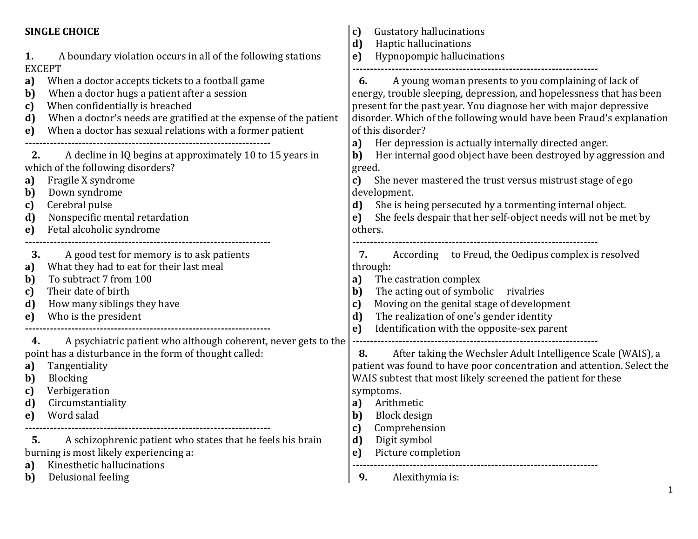## **SINGLE CHOICE 1.** A boundary violation occurs in all of the following stations EXCEPT **a)** When a doctor accepts tickets to a football game **b)** When a doctor hugs a patient after a session **c)** When confidentially is breached **d)** When a doctor's needs are gratified at the expense of the patient **e)** When a doctor has sexual relations with a former patient **--------------------------------------------------------------------- 2.** A decline in IQ begins at approximately 10 to 15 years in which of the following disorders? **a)** Fragile X syndrome **b)** Down syndrome **c)** Cerebral pulse **d)** Nonspecific mental retardation **e)** Fetal alcoholic syndrome **--------------------------------------------------------------------- 3.** A good test for memory is to ask patients **a)** What they had to eat for their last meal **b)** To subtract 7 from 100 **c)** Their date of birth **d)** How many siblings they have **e)** Who is the president **--------------------------------------------------------------------- 4.** A psychiatric patient who although coherent, never gets to the point has a disturbance in the form of thought called: **a)** Tangentiality **b)** Blocking **c)** Verbigeration **d)** Circumstantiality **e)** Word salad **--------------------------------------------------------------------- 5.** A schizophrenic patient who states that he feels his brain burning is most likely experiencing a: **a)** Kinesthetic hallucinations **b)** Delusional feeling **c)** Gustatory hallucinations **d)** Haptic hallucinations **e)** Hypnopompic hallucinations **--------------------------------------------------------------------- 6.** A young woman presents to you complaining of lack of energy, trouble sleeping, depression, and hopelessness that has been present for the past year. You diagnose her with major depressive disorder. Which of the following would have been Fraud's explanation of this disorder? **a)** Her depression is actually internally directed anger. **b)** Her internal good object have been destroyed by aggression and greed. **c)** She never mastered the trust versus mistrust stage of ego development. **d)** She is being persecuted by a tormenting internal object. **e)** She feels despair that her self-object needs will not be met by others. **--------------------------------------------------------------------- 7.** According to Freud, the Oedipus complex is resolved through: **a)** The castration complex **b)** The acting out of symbolic rivalries **c)** Moving on the genital stage of development **d)** The realization of one's gender identity **e)** Identification with the opposite-sex parent **--------------------------------------------------------------------- 8.** After taking the Wechsler Adult Intelligence Scale (WAIS), a patient was found to have poor concentration and attention. Select the WAIS subtest that most likely screened the patient for these symptoms. **a)** Arithmetic **b)** Block design **c)** Comprehension **d)** Digit symbol **e)** Picture completion **--------------------------------------------------------------------- 9.** Alexithymia is: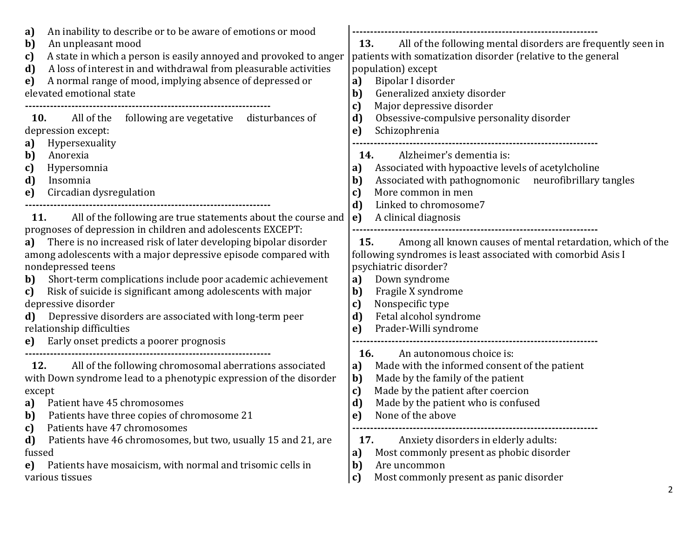| An inability to describe or to be aware of emotions or mood<br>a)<br>An unpleasant mood<br>b)<br>A state in which a person is easily annoyed and provoked to anger<br>c)<br>A loss of interest in and withdrawal from pleasurable activities<br>d)<br>A normal range of mood, implying absence of depressed or<br>e)<br>elevated emotional state                                                                                                                                                                                                                                                                                      | All of the following mental disorders are frequently seen in<br>13.<br>patients with somatization disorder (relative to the general<br>population) except<br>Bipolar I disorder<br>a)<br>Generalized anxiety disorder<br>b)<br>Major depressive disorder                                                                                                                                                                      |
|---------------------------------------------------------------------------------------------------------------------------------------------------------------------------------------------------------------------------------------------------------------------------------------------------------------------------------------------------------------------------------------------------------------------------------------------------------------------------------------------------------------------------------------------------------------------------------------------------------------------------------------|-------------------------------------------------------------------------------------------------------------------------------------------------------------------------------------------------------------------------------------------------------------------------------------------------------------------------------------------------------------------------------------------------------------------------------|
| All of the<br>following are vegetative<br>disturbances of<br>10.<br>depression except:<br>Hypersexuality<br>a)<br>Anorexia<br>b)<br>Hypersomnia<br>c)<br>d)<br>Insomnia<br>Circadian dysregulation<br>e)                                                                                                                                                                                                                                                                                                                                                                                                                              | c)<br>d)<br>Obsessive-compulsive personality disorder<br>Schizophrenia<br>e)<br>14.<br>Alzheimer's dementia is:<br>Associated with hypoactive levels of acetylcholine<br>a)<br>Associated with pathognomonic neurofibrillary tangles<br>b)<br>More common in men<br>C)<br>Linked to chromosome7<br>d)                                                                                                                         |
| All of the following are true statements about the course and<br><b>11.</b><br>prognoses of depression in children and adolescents EXCEPT:<br>There is no increased risk of later developing bipolar disorder<br>a)<br>among adolescents with a major depressive episode compared with<br>nondepressed teens<br>Short-term complications include poor academic achievement<br>b)<br>Risk of suicide is significant among adolescents with major<br>c)<br>depressive disorder<br>Depressive disorders are associated with long-term peer<br>d)<br>relationship difficulties<br>Early onset predicts a poorer prognosis<br>$\mathbf{e}$ | A clinical diagnosis<br>e)<br>Among all known causes of mental retardation, which of the<br>15.<br>following syndromes is least associated with comorbid Asis I<br>psychiatric disorder?<br>Down syndrome<br>a)<br>b)<br>Fragile X syndrome<br>Nonspecific type<br>c)<br>d)<br>Fetal alcohol syndrome<br>Prader-Willi syndrome<br>e)                                                                                          |
| All of the following chromosomal aberrations associated<br>12.<br>with Down syndrome lead to a phenotypic expression of the disorder<br>except<br>Patient have 45 chromosomes<br>a)<br>b)<br>Patients have three copies of chromosome 21<br>Patients have 47 chromosomes<br>c)<br>Patients have 46 chromosomes, but two, usually 15 and 21, are<br>d)<br>fussed<br>Patients have mosaicism, with normal and trisomic cells in<br>e)<br>various tissues                                                                                                                                                                                | 16.<br>An autonomous choice is:<br>Made with the informed consent of the patient<br>a)<br>Made by the family of the patient<br>b)<br>Made by the patient after coercion<br>c)<br>Made by the patient who is confused<br>d)<br>e)<br>None of the above<br>Anxiety disorders in elderly adults:<br>17.<br>Most commonly present as phobic disorder<br>a)<br>b)<br>Are uncommon<br>Most commonly present as panic disorder<br>c) |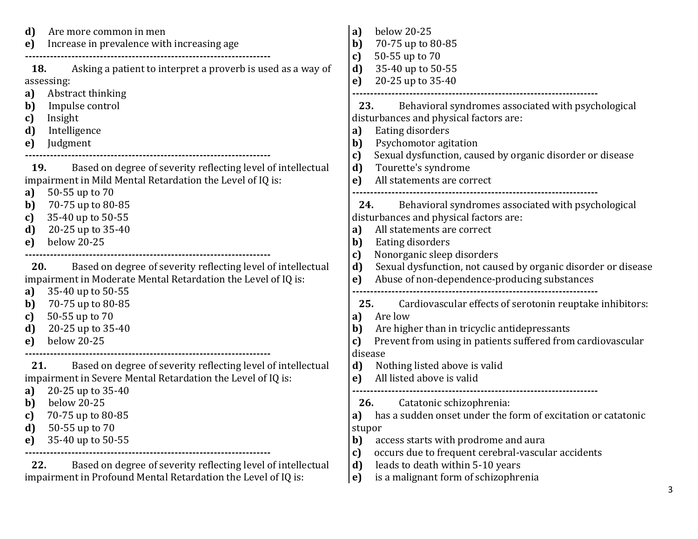| Are more common in men<br>d)<br>Increase in prevalence with increasing age<br>e) | below 20-25<br>a)<br>70-75 up to 80-85<br>b)<br>50-55 up to 70<br>c)                                              |
|----------------------------------------------------------------------------------|-------------------------------------------------------------------------------------------------------------------|
| Asking a patient to interpret a proverb is used as a way of<br>18.               | 35-40 up to 50-55<br>d)                                                                                           |
| assessing:                                                                       | 20-25 up to 35-40<br>e)                                                                                           |
| Abstract thinking<br>a)<br>$\mathbf{b}$<br>Impulse control                       | 23.<br>Behavioral syndromes associated with psychological                                                         |
| Insight<br>c)                                                                    | disturbances and physical factors are:                                                                            |
| Intelligence<br>d)                                                               | <b>Eating disorders</b><br>a)                                                                                     |
| Judgment<br>e)                                                                   | $\mathbf{b}$<br>Psychomotor agitation                                                                             |
|                                                                                  | Sexual dysfunction, caused by organic disorder or disease<br>c)                                                   |
| Based on degree of severity reflecting level of intellectual<br>19.              | d)<br>Tourette's syndrome                                                                                         |
| impairment in Mild Mental Retardation the Level of IQ is:                        | e)<br>All statements are correct                                                                                  |
| 50-55 up to 70<br>a)                                                             |                                                                                                                   |
| 70-75 up to 80-85<br>b)                                                          | Behavioral syndromes associated with psychological<br>24.                                                         |
| 35-40 up to 50-55<br>c)                                                          | disturbances and physical factors are:                                                                            |
| 20-25 up to 35-40<br>d)                                                          | All statements are correct<br>a)                                                                                  |
| below 20-25<br>e)                                                                | Eating disorders<br>b)                                                                                            |
|                                                                                  | Nonorganic sleep disorders<br>c)                                                                                  |
| 20.<br>Based on degree of severity reflecting level of intellectual              | d)<br>Sexual dysfunction, not caused by organic disorder or disease                                               |
| impairment in Moderate Mental Retardation the Level of IQ is:                    | Abuse of non-dependence-producing substances<br>e)                                                                |
| 35-40 up to 50-55<br>a)                                                          |                                                                                                                   |
| 70-75 up to 80-85<br>b)                                                          | Cardiovascular effects of serotonin reuptake inhibitors:<br>25.                                                   |
| 50-55 up to 70<br>c)                                                             | a)<br>Are low                                                                                                     |
| d)<br>20-25 up to 35-40<br>below 20-25                                           | Are higher than in tricyclic antidepressants<br>b)<br>Prevent from using in patients suffered from cardiovascular |
| e)                                                                               | c)<br>disease                                                                                                     |
| Based on degree of severity reflecting level of intellectual<br>21.              | Nothing listed above is valid<br>d)                                                                               |
| impairment in Severe Mental Retardation the Level of IQ is:                      | All listed above is valid<br>e)                                                                                   |
| 20-25 up to 35-40<br>a)                                                          |                                                                                                                   |
| below 20-25<br>b)                                                                | Catatonic schizophrenia:<br>26.                                                                                   |
| 70-75 up to 80-85<br>c)                                                          | a) has a sudden onset under the form of excitation or catatonic                                                   |
| d)<br>50-55 up to 70                                                             | stupor                                                                                                            |
| 35-40 up to 50-55<br>e)                                                          | b)<br>access starts with prodrome and aura                                                                        |
|                                                                                  | occurs due to frequent cerebral-vascular accidents<br>c)                                                          |
| Based on degree of severity reflecting level of intellectual<br>22.              | leads to death within 5-10 years<br>d)                                                                            |
| impairment in Profound Mental Retardation the Level of IQ is:                    | is a malignant form of schizophrenia<br>e)                                                                        |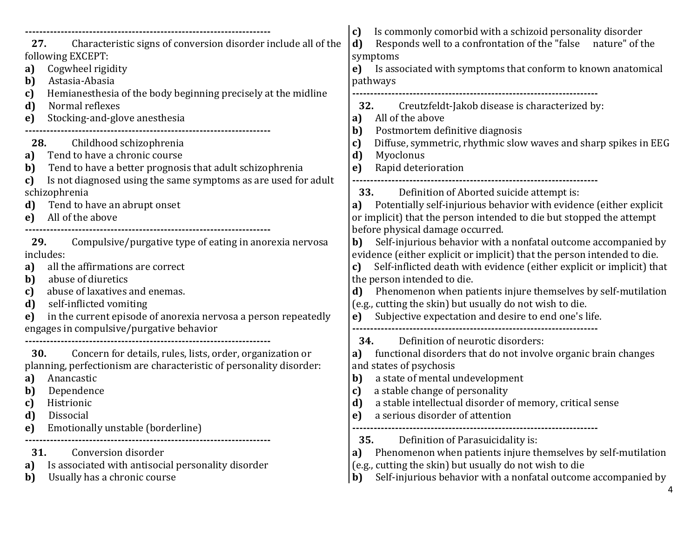| Characteristic signs of conversion disorder include all of the<br>27.<br>following EXCEPT:<br>Cogwheel rigidity<br>a)<br>Astasia-Abasia                                                                                                                                                                                                        | Is commonly comorbid with a schizoid personality disorder<br>c)<br>d)<br>Responds well to a confrontation of the "false nature" of the<br>symptoms<br>Is associated with symptoms that conform to known anatomical<br>e)<br>pathways                                                                                                                                                                                                                           |  |  |
|------------------------------------------------------------------------------------------------------------------------------------------------------------------------------------------------------------------------------------------------------------------------------------------------------------------------------------------------|----------------------------------------------------------------------------------------------------------------------------------------------------------------------------------------------------------------------------------------------------------------------------------------------------------------------------------------------------------------------------------------------------------------------------------------------------------------|--|--|
| Hemianes thesia of the body beginning precisely at the midline<br>c)<br>d)<br>Normal reflexes<br>Stocking-and-glove anesthesia<br>e)                                                                                                                                                                                                           | 32.<br>Creutzfeldt-Jakob disease is characterized by:<br>All of the above<br>a)                                                                                                                                                                                                                                                                                                                                                                                |  |  |
| Childhood schizophrenia<br>28.<br>Tend to have a chronic course<br>a)<br>Tend to have a better prognosis that adult schizophrenia<br>b)<br>Is not diagnosed using the same symptoms as are used for adult<br>c)                                                                                                                                | Postmortem definitive diagnosis<br>b)<br>Diffuse, symmetric, rhythmic slow waves and sharp spikes in EEG<br>c)<br>d)<br>Myoclonus<br>Rapid deterioration<br>e)                                                                                                                                                                                                                                                                                                 |  |  |
| schizophrenia<br>Tend to have an abrupt onset<br>d)<br>All of the above<br>e)                                                                                                                                                                                                                                                                  | <b>33.</b><br>Definition of Aborted suicide attempt is:<br>Potentially self-injurious behavior with evidence (either explicit<br>a)<br>or implicit) that the person intended to die but stopped the attempt<br>before physical damage occurred.                                                                                                                                                                                                                |  |  |
| Compulsive/purgative type of eating in anorexia nervosa<br>29.<br>includes:<br>all the affirmations are correct<br>a)<br>abuse of diuretics<br>b)<br>abuse of laxatives and enemas.<br>c)<br>self-inflicted vomiting<br>d)<br>in the current episode of anorexia nervosa a person repeatedly<br>e)<br>engages in compulsive/purgative behavior | Self-injurious behavior with a nonfatal outcome accompanied by<br>b)<br>evidence (either explicit or implicit) that the person intended to die.<br>Self-inflicted death with evidence (either explicit or implicit) that<br>c)<br>the person intended to die.<br>Phenomenon when patients injure themselves by self-mutilation<br>d)<br>(e.g., cutting the skin) but usually do not wish to die.<br>Subjective expectation and desire to end one's life.<br>e) |  |  |
| 30.<br>Concern for details, rules, lists, order, organization or<br>planning, perfectionism are characteristic of personality disorder:<br>Anancastic<br>a)<br>Dependence<br>b)<br>Histrionic<br>c)<br>d)<br><b>Dissocial</b><br>Emotionally unstable (borderline)<br>e)                                                                       | Definition of neurotic disorders:<br>34.<br>functional disorders that do not involve organic brain changes<br>a)<br>and states of psychosis<br>a state of mental undevelopment<br>b)<br>a stable change of personality<br>c)<br>a stable intellectual disorder of memory, critical sense<br>d)<br>a serious disorder of attention<br>e)                                                                                                                        |  |  |
| Conversion disorder<br>31.<br>Is associated with antisocial personality disorder<br>a)<br>Usually has a chronic course<br>b)                                                                                                                                                                                                                   | Definition of Parasuicidality is:<br>35.<br>Phenomenon when patients injure themselves by self-mutilation<br>a)<br>(e.g., cutting the skin) but usually do not wish to die<br>Self-injurious behavior with a nonfatal outcome accompanied by<br>b)                                                                                                                                                                                                             |  |  |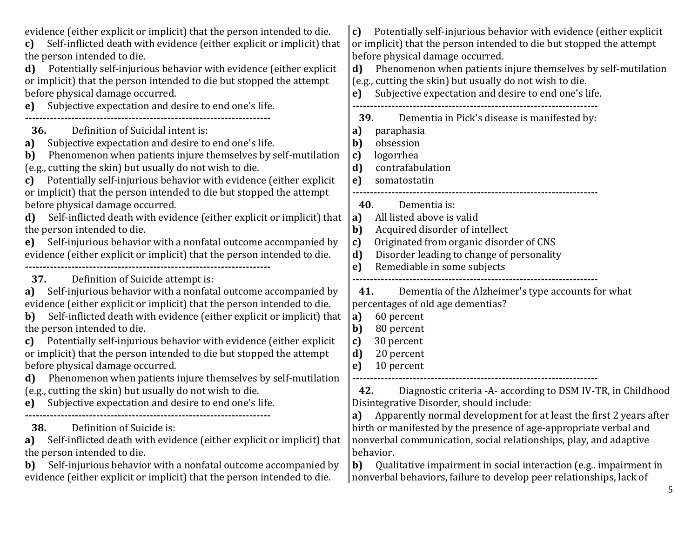| Potentially self-injurious behavior with evidence (either explicit<br>C)<br>or implicit) that the person intended to die but stopped the attempt<br>before physical damage occurred.<br>Phenomenon when patients injure themselves by self-mutilation<br>d)<br>(e.g., cutting the skin) but usually do not wish to die.<br>Subjective expectation and desire to end one's life.<br>e)                                                                                                                 |
|-------------------------------------------------------------------------------------------------------------------------------------------------------------------------------------------------------------------------------------------------------------------------------------------------------------------------------------------------------------------------------------------------------------------------------------------------------------------------------------------------------|
| Dementia in Pick's disease is manifested by:<br>39.<br>paraphasia<br>a)<br>obsession<br>b)<br>logorrhea<br>$\mathbf{c}$<br>d)<br>contrafabulation<br>e)<br>somatostatin<br>Dementia is:<br>40.                                                                                                                                                                                                                                                                                                        |
| All listed above is valid<br>a)<br>$\mathbf{b}$<br>Acquired disorder of intellect<br>Originated from organic disorder of CNS<br>c)<br>Disorder leading to change of personality<br>d)<br>Remediable in some subjects<br>e)                                                                                                                                                                                                                                                                            |
| Dementia of the Alzheimer's type accounts for what<br>41.<br>percentages of old age dementias?<br>60 percent<br>a)<br>b)<br>80 percent<br>c)<br>30 percent<br>d)<br>20 percent<br>10 percent<br>e)                                                                                                                                                                                                                                                                                                    |
| Diagnostic criteria -A- according to DSM IV-TR, in Childhood<br>42.<br>Disintegrative Disorder, should include:<br>a) Apparently normal development for at least the first 2 years after<br>birth or manifested by the presence of age-appropriate verbal and<br>nonverbal communication, social relationships, play, and adaptive<br>behavior.<br>Qualitative impairment in social interaction (e.g. impairment in<br>b)<br>nonverbal behaviors, failure to develop peer relationships, lack of<br>5 |
| Self-inflicted death with evidence (either explicit or implicit) that<br>Self-inflicted death with evidence (either explicit or implicit) that<br>Self-inflicted death with evidence (either explicit or implicit) that                                                                                                                                                                                                                                                                               |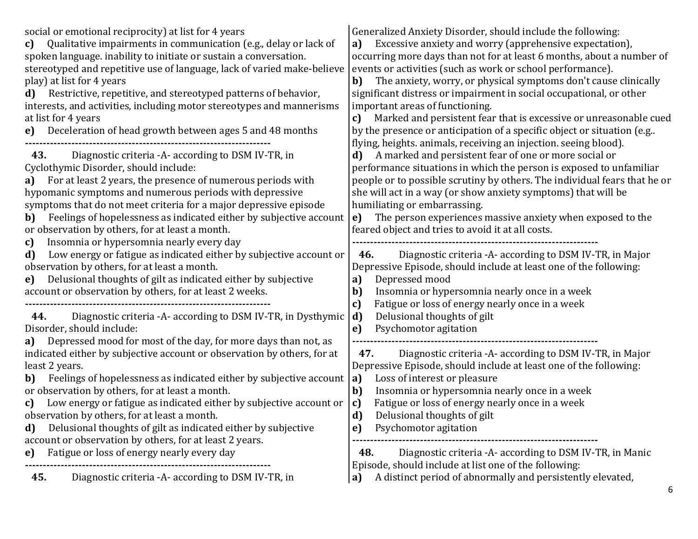| social or emotional reciprocity) at list for 4 years<br>Qualitative impairments in communication (e.g., delay or lack of<br>c)<br>spoken language. inability to initiate or sustain a conversation.<br>stereotyped and repetitive use of language, lack of varied make-believe<br>play) at list for 4 years<br>Restrictive, repetitive, and stereotyped patterns of behavior,<br>d)<br>interests, and activities, including motor stereotypes and mannerisms<br>at list for 4 years<br>Deceleration of head growth between ages 5 and 48 months<br>e)                                                                                                               | Generalized Anxiety Disorder, should include the following:<br>Excessive anxiety and worry (apprehensive expectation),<br>a)<br>occurring more days than not for at least 6 months, about a number of<br>events or activities (such as work or school performance).<br>The anxiety, worry, or physical symptoms don't cause clinically<br>b)<br>significant distress or impairment in social occupational, or other<br>important areas of functioning.<br>Marked and persistent fear that is excessive or unreasonable cued<br>c)<br>by the presence or anticipation of a specific object or situation (e.g)<br>flying, heights. animals, receiving an injection. seeing blood).<br>A marked and persistent fear of one or more social or<br>d)<br>performance situations in which the person is exposed to unfamiliar<br>people or to possible scrutiny by others. The individual fears that he or<br>she will act in a way (or show anxiety symptoms) that will be<br>humiliating or embarrassing.<br>The person experiences massive anxiety when exposed to the<br>e)<br>feared object and tries to avoid it at all costs.<br>Diagnostic criteria - A - according to DSM IV-TR, in Major<br>46.<br>Depressive Episode, should include at least one of the following:<br>Depressed mood<br>a)<br>Insomnia or hypersomnia nearly once in a week<br>$\mathbf{b}$<br>Fatigue or loss of energy nearly once in a week<br>c)<br>Delusional thoughts of gilt<br>$\mathbf{d}$<br>Psychomotor agitation<br>e) |
|---------------------------------------------------------------------------------------------------------------------------------------------------------------------------------------------------------------------------------------------------------------------------------------------------------------------------------------------------------------------------------------------------------------------------------------------------------------------------------------------------------------------------------------------------------------------------------------------------------------------------------------------------------------------|---------------------------------------------------------------------------------------------------------------------------------------------------------------------------------------------------------------------------------------------------------------------------------------------------------------------------------------------------------------------------------------------------------------------------------------------------------------------------------------------------------------------------------------------------------------------------------------------------------------------------------------------------------------------------------------------------------------------------------------------------------------------------------------------------------------------------------------------------------------------------------------------------------------------------------------------------------------------------------------------------------------------------------------------------------------------------------------------------------------------------------------------------------------------------------------------------------------------------------------------------------------------------------------------------------------------------------------------------------------------------------------------------------------------------------------------------------------------------------------------------------|
| 43.<br>Diagnostic criteria - A according to DSM IV-TR, in<br>Cyclothymic Disorder, should include:<br>For at least 2 years, the presence of numerous periods with<br>a)<br>hypomanic symptoms and numerous periods with depressive<br>symptoms that do not meet criteria for a major depressive episode<br>Feelings of hopelessness as indicated either by subjective account<br>b)                                                                                                                                                                                                                                                                                 |                                                                                                                                                                                                                                                                                                                                                                                                                                                                                                                                                                                                                                                                                                                                                                                                                                                                                                                                                                                                                                                                                                                                                                                                                                                                                                                                                                                                                                                                                                         |
| or observation by others, for at least a month.<br>Insomnia or hypersomnia nearly every day<br>c)<br>Low energy or fatigue as indicated either by subjective account or<br>d)<br>observation by others, for at least a month.<br>Delusional thoughts of gilt as indicated either by subjective<br>e)<br>account or observation by others, for at least 2 weeks.                                                                                                                                                                                                                                                                                                     |                                                                                                                                                                                                                                                                                                                                                                                                                                                                                                                                                                                                                                                                                                                                                                                                                                                                                                                                                                                                                                                                                                                                                                                                                                                                                                                                                                                                                                                                                                         |
| Diagnostic criteria - A- according to DSM IV-TR, in Dysthymic<br>44.<br>Disorder, should include:<br>Depressed mood for most of the day, for more days than not, as<br>a)<br>indicated either by subjective account or observation by others, for at<br>least 2 years.<br>Feelings of hopelessness as indicated either by subjective account<br>b)<br>or observation by others, for at least a month.<br>Low energy or fatigue as indicated either by subjective account or<br>c)<br>observation by others, for at least a month.<br>Delusional thoughts of gilt as indicated either by subjective<br>d)<br>account or observation by others, for at least 2 years. |                                                                                                                                                                                                                                                                                                                                                                                                                                                                                                                                                                                                                                                                                                                                                                                                                                                                                                                                                                                                                                                                                                                                                                                                                                                                                                                                                                                                                                                                                                         |
|                                                                                                                                                                                                                                                                                                                                                                                                                                                                                                                                                                                                                                                                     | Diagnostic criteria - A- according to DSM IV-TR, in Major<br>47.<br>Depressive Episode, should include at least one of the following:<br>Loss of interest or pleasure<br>a)<br>$\mathbf{b}$<br>Insomnia or hypersomnia nearly once in a week<br>Fatigue or loss of energy nearly once in a week<br>c)<br>d)<br>Delusional thoughts of gilt<br>Psychomotor agitation<br>e)                                                                                                                                                                                                                                                                                                                                                                                                                                                                                                                                                                                                                                                                                                                                                                                                                                                                                                                                                                                                                                                                                                                               |
| Fatigue or loss of energy nearly every day<br>e)<br>Diagnostic criteria - A- according to DSM IV-TR, in<br>45.                                                                                                                                                                                                                                                                                                                                                                                                                                                                                                                                                      | Diagnostic criteria - A according to DSM IV-TR, in Manic<br>48.<br>Episode, should include at list one of the following:<br>A distinct period of abnormally and persistently elevated,<br>a)                                                                                                                                                                                                                                                                                                                                                                                                                                                                                                                                                                                                                                                                                                                                                                                                                                                                                                                                                                                                                                                                                                                                                                                                                                                                                                            |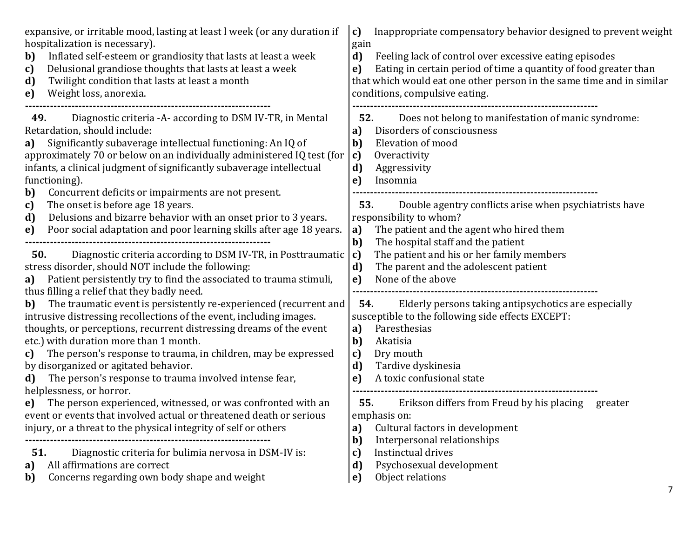| expansive, or irritable mood, lasting at least I week (or any duration if<br>hospitalization is necessary).<br>Inflated self-esteem or grandiosity that lasts at least a week<br>b)<br>Delusional grandiose thoughts that lasts at least a week<br>c)<br>Twilight condition that lasts at least a month<br>d)<br>Weight loss, anorexia.<br>e)                                                                                                                                                                           | Inappropriate compensatory behavior designed to prevent weight<br>c)<br>gain<br>d)<br>Feeling lack of control over excessive eating episodes<br>Eating in certain period of time a quantity of food greater than<br>e)<br>that which would eat one other person in the same time and in similar<br>conditions, compulsive eating. |
|-------------------------------------------------------------------------------------------------------------------------------------------------------------------------------------------------------------------------------------------------------------------------------------------------------------------------------------------------------------------------------------------------------------------------------------------------------------------------------------------------------------------------|-----------------------------------------------------------------------------------------------------------------------------------------------------------------------------------------------------------------------------------------------------------------------------------------------------------------------------------|
| Diagnostic criteria -A- according to DSM IV-TR, in Mental<br>49.<br>Retardation, should include:<br>Significantly subaverage intellectual functioning: An IQ of<br>a)<br>approximately 70 or below on an individually administered IQ test (for<br>infants, a clinical judgment of significantly subaverage intellectual<br>functioning).<br>Concurrent deficits or impairments are not present.<br>b)                                                                                                                  | Does not belong to manifestation of manic syndrome:<br>52.<br>Disorders of consciousness<br>a)<br>Elevation of mood<br>b)<br>Overactivity<br>c)<br>d)<br>Aggressivity<br>Insomnia<br>e)                                                                                                                                           |
| The onset is before age 18 years.<br>c)<br>Delusions and bizarre behavior with an onset prior to 3 years.<br>d)<br>Poor social adaptation and poor learning skills after age 18 years.<br>e)                                                                                                                                                                                                                                                                                                                            | Double agentry conflicts arise when psychiatrists have<br>53.<br>responsibility to whom?<br>The patient and the agent who hired them<br>a)                                                                                                                                                                                        |
| Diagnostic criteria according to DSM IV-TR, in Posttraumatic<br>50.<br>stress disorder, should NOT include the following:<br>Patient persistently try to find the associated to trauma stimuli,<br>a)<br>thus filling a relief that they badly need.<br>The traumatic event is persistently re-experienced (recurrent and<br>b)<br>intrusive distressing recollections of the event, including images.<br>thoughts, or perceptions, recurrent distressing dreams of the event<br>etc.) with duration more than 1 month. | $b$<br>The hospital staff and the patient<br>The patient and his or her family members<br>c)<br>d)<br>The parent and the adolescent patient<br>None of the above<br>e)<br>Elderly persons taking antipsychotics are especially<br>54.<br>susceptible to the following side effects EXCEPT:<br>Paresthesias<br>a)<br>Akatisia      |
| The person's response to trauma, in children, may be expressed<br>c)<br>by disorganized or agitated behavior.<br>The person's response to trauma involved intense fear,<br>d)<br>helplessness, or horror.<br>The person experienced, witnessed, or was confronted with an                                                                                                                                                                                                                                               | b)<br>Dry mouth<br>c)<br>d)<br>Tardive dyskinesia<br>A toxic confusional state<br>e)<br>55.<br>Erikson differs from Freud by his placing<br>greater                                                                                                                                                                               |
| event or events that involved actual or threatened death or serious<br>injury, or a threat to the physical integrity of self or others                                                                                                                                                                                                                                                                                                                                                                                  | emphasis on:<br>Cultural factors in development<br>a)<br>Interpersonal relationships<br>b)                                                                                                                                                                                                                                        |
| Diagnostic criteria for bulimia nervosa in DSM-IV is:<br>51.<br>All affirmations are correct<br>a)<br>Concerns regarding own body shape and weight<br>b)                                                                                                                                                                                                                                                                                                                                                                | Instinctual drives<br>c)<br>Psychosexual development<br>d)<br>Object relations<br>e)<br>7                                                                                                                                                                                                                                         |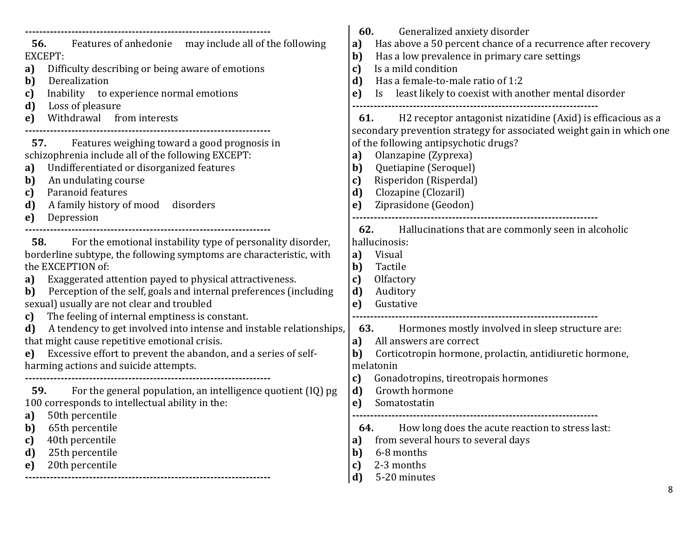| Features of anhedonie may include all of the following<br>56.<br>EXCEPT:<br>Difficulty describing or being aware of emotions<br>a)<br>Derealization<br>b)<br>Inability to experience normal emotions<br>c)<br>Loss of pleasure<br>d)<br>Withdrawal from interests<br>e)                                                                                                                                          | 60.<br>Generalized anxiety disorder<br>Has above a 50 percent chance of a recurrence after recovery<br>a)<br>Has a low prevalence in primary care settings<br>b)<br>Is a mild condition<br>c)<br>Has a female-to-male ratio of 1:2<br>d)<br>Is least likely to coexist with another mental disorder<br>e)<br>H2 receptor antagonist nizatidine (Axid) is efficacious as a<br>61. |
|------------------------------------------------------------------------------------------------------------------------------------------------------------------------------------------------------------------------------------------------------------------------------------------------------------------------------------------------------------------------------------------------------------------|----------------------------------------------------------------------------------------------------------------------------------------------------------------------------------------------------------------------------------------------------------------------------------------------------------------------------------------------------------------------------------|
| Features weighing toward a good prognosis in<br>57.<br>schizophrenia include all of the following EXCEPT:<br>Undifferentiated or disorganized features<br>a)<br>An undulating course<br>b)<br>Paranoid features<br>c)<br>A family history of mood disorders<br>d)<br>Depression<br>e)                                                                                                                            | secondary prevention strategy for associated weight gain in which one<br>of the following antipsychotic drugs?<br>Olanzapine (Zyprexa)<br>a)<br>$b$<br>Quetiapine (Seroquel)<br>Risperidon (Risperdal)<br>c)<br>Clozapine (Clozaril)<br>d)<br>Ziprasidone (Geodon)<br>e)<br>62.<br>Hallucinations that are commonly seen in alcoholic                                            |
| 58.<br>For the emotional instability type of personality disorder,<br>borderline subtype, the following symptoms are characteristic, with<br>the EXCEPTION of:<br>Exaggerated attention payed to physical attractiveness.<br>a)<br>Perception of the self, goals and internal preferences (including<br>b)<br>sexual) usually are not clear and troubled<br>The feeling of internal emptiness is constant.<br>c) | hallucinosis:<br>Visual<br>a)<br>Tactile<br>b)<br>c)<br>Olfactory<br>Auditory<br>d)<br>Gustative<br>e)<br>----------                                                                                                                                                                                                                                                             |
| A tendency to get involved into intense and instable relationships,<br>d)<br>that might cause repetitive emotional crisis.<br>Excessive effort to prevent the abandon, and a series of self-<br>e)<br>harming actions and suicide attempts.                                                                                                                                                                      | Hormones mostly involved in sleep structure are:<br>63.<br>All answers are correct<br>a)<br>Corticotropin hormone, prolactin, antidiuretic hormone,<br>b)<br>melatonin<br>Gonadotropins, tireotropais hormones<br>c)                                                                                                                                                             |
| For the general population, an intelligence quotient (IQ) pg<br>59.<br>100 corresponds to intellectual ability in the:<br>50th percentile<br>a)<br>65th percentile<br>b)<br>40th percentile<br>c)<br>25th percentile<br>d)<br>20th percentile<br>e)                                                                                                                                                              | Growth hormone<br>d)<br>Somatostatin<br>e)<br>How long does the acute reaction to stress last:<br>64.<br>from several hours to several days<br>a)<br>6-8 months<br>b)<br>2-3 months<br>c)<br>$\mathbf{d}$<br>5-20 minutes                                                                                                                                                        |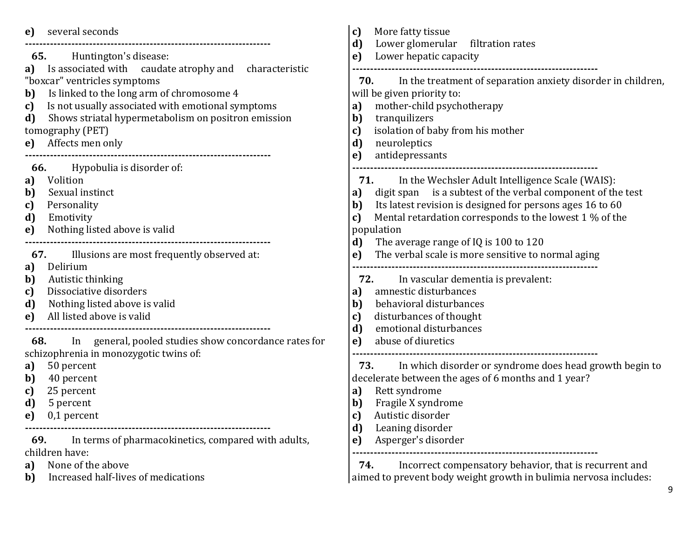| several seconds<br>e)                                       | More fatty tissue<br>c)<br>Lower glomerular filtration rates<br>d)  |
|-------------------------------------------------------------|---------------------------------------------------------------------|
| 65.                                                         | Lower hepatic capacity                                              |
| Huntington's disease:                                       | e)                                                                  |
| Is associated with caudate atrophy and characteristic<br>a) |                                                                     |
| "boxcar" ventricles symptoms                                | In the treatment of separation anxiety disorder in children,<br>70. |
| Is linked to the long arm of chromosome 4<br>b)             | will be given priority to:                                          |
| Is not usually associated with emotional symptoms           | mother-child psychotherapy                                          |
| c)                                                          | a)                                                                  |
| Shows striatal hypermetabolism on positron emission         | tranquilizers                                                       |
| d)                                                          | b)                                                                  |
| tomography (PET)                                            | isolation of baby from his mother<br>c)                             |
| Affects men only                                            | d)                                                                  |
| e)                                                          | neuroleptics                                                        |
|                                                             | antidepressants                                                     |
| Hypobulia is disorder of:                                   | e)                                                                  |
| 66.                                                         |                                                                     |
| Volition<br>a)                                              | <b>71.</b> In the Wechsler Adult Intelligence Scale (WAIS):         |
| Sexual instinct                                             | digit span is a subtest of the verbal component of the test         |
| b)                                                          | a)                                                                  |
| Personality                                                 | Its latest revision is designed for persons ages 16 to 60           |
| c)                                                          | $\mathbf{b}$                                                        |
| d)                                                          | Mental retardation corresponds to the lowest 1 % of the             |
| Emotivity                                                   | c)                                                                  |
| Nothing listed above is valid<br>e)                         | population                                                          |
|                                                             | The average range of IQ is 100 to 120<br>$\mathbf{d}$               |
| Illusions are most frequently observed at:                  | The verbal scale is more sensitive to normal aging                  |
| 67.                                                         | e)                                                                  |
| Delirium<br>a)                                              |                                                                     |
| Autistic thinking                                           | 72.                                                                 |
| b)                                                          | In vascular dementia is prevalent:                                  |
| Dissociative disorders                                      | amnestic disturbances                                               |
| c)                                                          | a)                                                                  |
| Nothing listed above is valid                               | behavioral disturbances                                             |
| d)                                                          | b)                                                                  |
| All listed above is valid                                   | disturbances of thought                                             |
| e)                                                          | c)                                                                  |
|                                                             | emotional disturbances<br>d)                                        |
| In general, pooled studies show concordance rates for       | abuse of diuretics                                                  |
| 68.                                                         | e)                                                                  |
| schizophrenia in monozygotic twins of:                      |                                                                     |
| 50 percent                                                  | In which disorder or syndrome does head growth begin to             |
| a)                                                          | 73.                                                                 |
| 40 percent<br>b)                                            | decelerate between the ages of 6 months and 1 year?                 |
| 25 percent                                                  | Rett syndrome                                                       |
| c)                                                          | a)                                                                  |
| 5 percent                                                   | Fragile X syndrome                                                  |
| d)                                                          | b)                                                                  |
| $0,1$ percent                                               | Autistic disorder                                                   |
| e)                                                          | c)                                                                  |
| In terms of pharmacokinetics, compared with adults,<br>69.  | $\mathbf{d}$<br>Leaning disorder<br>Asperger's disorder             |
| children have:                                              | e)                                                                  |
| None of the above                                           | 74.                                                                 |
| a)                                                          | Incorrect compensatory behavior, that is recurrent and              |
| Increased half-lives of medications<br>b)                   | aimed to prevent body weight growth in bulimia nervosa includes:    |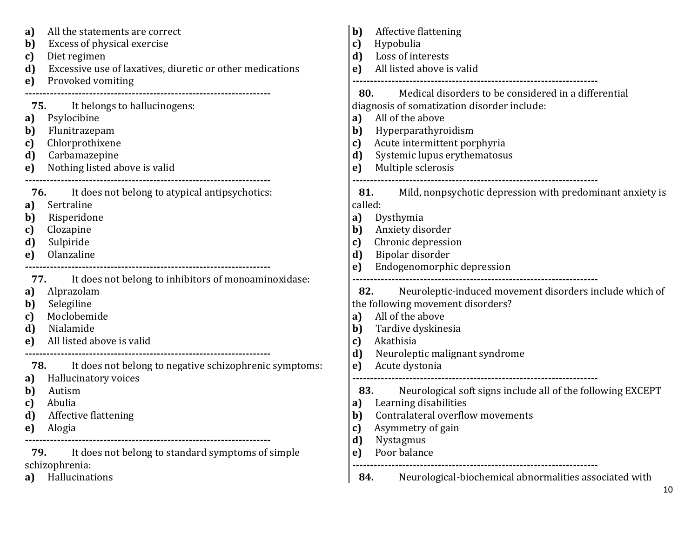| a)<br>b)<br>c)<br>d)<br>e)               | All the statements are correct<br>Excess of physical exercise<br>Diet regimen<br>Excessive use of laxatives, diuretic or other medications<br>Provoked vomiting                                  | b)<br>c)<br>d)<br>e)                         | Affective flattening<br>Hypobulia<br>Loss of interests<br>All listed above is valid<br>Medical disorders to be considered in a differential<br>80.                                           |
|------------------------------------------|--------------------------------------------------------------------------------------------------------------------------------------------------------------------------------------------------|----------------------------------------------|----------------------------------------------------------------------------------------------------------------------------------------------------------------------------------------------|
| 75.<br>a)<br>b)<br>c)<br>d)<br>e)        | It belongs to hallucinogens:<br>Psylocibine<br>Flunitrazepam<br>Chlorprothixene<br>Carbamazepine<br>Nothing listed above is valid                                                                | a)<br>b)<br>c)<br>d)<br>e)                   | diagnosis of somatization disorder include:<br>All of the above<br>Hyperparathyroidism<br>Acute intermittent porphyria<br>Systemic lupus erythematosus<br>Multiple sclerosis                 |
| 76.<br>a)<br>b)<br>c)<br>d)<br>e)        | It does not belong to atypical antipsychotics:<br>Sertraline<br>Risperidone<br>Clozapine<br>Sulpiride<br>Olanzaline                                                                              | 81.<br>called:<br>a)<br>b)<br>c)<br>d)<br>e) | Mild, nonpsychotic depression with predominant anxiety is<br>Dysthymia<br>Anxiety disorder<br>Chronic depression<br>Bipolar disorder<br>Endogenomorphic depression                           |
| 77.<br>a)<br>b)<br>c)<br>d)<br>e)        | It does not belong to inhibitors of monoaminoxidase:<br>Alprazolam<br>Selegiline<br>Moclobemide<br>Nialamide<br>All listed above is valid                                                        | 82.<br>a)<br>b)<br>c)<br>d)                  | Neuroleptic-induced movement disorders include which of<br>the following movement disorders?<br>All of the above<br>Tardive dyskinesia<br>Akathisia<br>Neuroleptic malignant syndrome        |
| 78.<br>a)<br>b)<br>c)<br>d)<br>e)<br>79. | It does not belong to negative schizophrenic symptoms:<br>Hallucinatory voices<br>Autism<br>Abulia<br><b>Affective flattening</b><br>Alogia<br>It does not belong to standard symptoms of simple | e)<br>83.<br>a)<br>b)<br>C)<br>d)<br>e)      | Acute dystonia<br>Neurological soft signs include all of the following EXCEPT<br>Learning disabilities<br>Contralateral overflow movements<br>Asymmetry of gain<br>Nystagmus<br>Poor balance |
| a)                                       | schizophrenia:<br>Hallucinations                                                                                                                                                                 | 84.                                          | Neurological-biochemical abnormalities associated with                                                                                                                                       |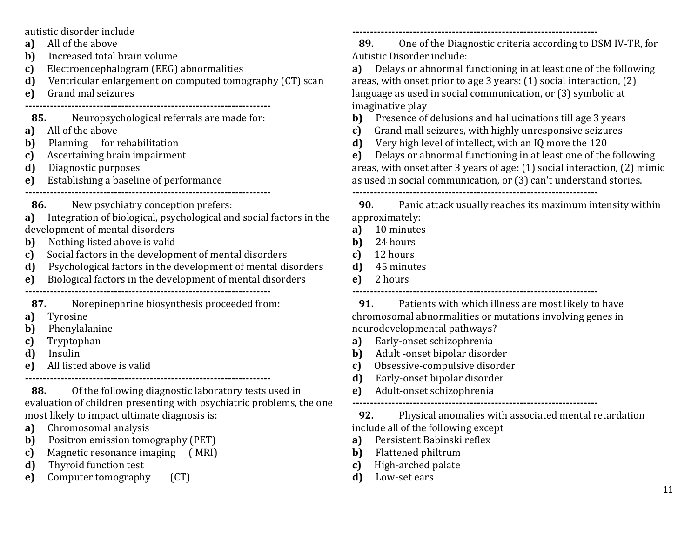| autistic disorder include<br>All of the above<br>a)<br>Increased total brain volume<br>b)<br>Electroencephalogram (EEG) abnormalities<br>c)<br>Ventricular enlargement on computed tomography (CT) scan<br>d)<br>Grand mal seizures<br>e)<br>Neuropsychological referrals are made for:<br>85.<br>All of the above<br>a)<br>Planning for rehabilitation<br>b)<br>Ascertaining brain impairment<br>c)<br>d)<br>Diagnostic purposes<br>Establishing a baseline of performance<br>e)                                                                  | One of the Diagnostic criteria according to DSM IV-TR, for<br>89.<br>Autistic Disorder include:<br>Delays or abnormal functioning in at least one of the following<br>a)<br>areas, with onset prior to age 3 years: (1) social interaction, (2)<br>language as used in social communication, or (3) symbolic at<br>imaginative play<br>Presence of delusions and hallucinations till age 3 years<br>b)<br>Grand mall seizures, with highly unresponsive seizures<br>c)<br>d)<br>Very high level of intellect, with an IQ more the 120<br>Delays or abnormal functioning in at least one of the following<br>e)<br>areas, with onset after 3 years of age: (1) social interaction, (2) mimic<br>as used in social communication, or (3) can't understand stories. |
|----------------------------------------------------------------------------------------------------------------------------------------------------------------------------------------------------------------------------------------------------------------------------------------------------------------------------------------------------------------------------------------------------------------------------------------------------------------------------------------------------------------------------------------------------|------------------------------------------------------------------------------------------------------------------------------------------------------------------------------------------------------------------------------------------------------------------------------------------------------------------------------------------------------------------------------------------------------------------------------------------------------------------------------------------------------------------------------------------------------------------------------------------------------------------------------------------------------------------------------------------------------------------------------------------------------------------|
| New psychiatry conception prefers:<br>86.<br>Integration of biological, psychological and social factors in the<br>a)<br>development of mental disorders<br>Nothing listed above is valid<br>b)<br>Social factors in the development of mental disorders<br>c)<br>Psychological factors in the development of mental disorders<br>d)<br>Biological factors in the development of mental disorders<br>e)                                                                                                                                            | Panic attack usually reaches its maximum intensity within<br>90.<br>approximately:<br>10 minutes<br>a)<br>$\mathbf{b}$<br>24 hours<br>12 hours<br>c)<br>d)<br>45 minutes<br>2 hours<br>e)                                                                                                                                                                                                                                                                                                                                                                                                                                                                                                                                                                        |
| 87.<br>Norepinephrine biosynthesis proceeded from:<br>Tyrosine<br>a)<br>Phenylalanine<br>b)<br>Tryptophan<br>c)<br>Insulin<br>d)<br>All listed above is valid<br>e)<br>88.<br>Of the following diagnostic laboratory tests used in<br>evaluation of children presenting with psychiatric problems, the one<br>most likely to impact ultimate diagnosis is:<br>Chromosomal analysis<br>a)<br>Positron emission tomography (PET)<br>b)<br>Magnetic resonance imaging (MRI)<br>c)<br>Thyroid function test<br>d)<br>Computer tomography<br>(CT)<br>e) | Patients with which illness are most likely to have<br>91.<br>chromosomal abnormalities or mutations involving genes in<br>neurodevelopmental pathways?<br>Early-onset schizophrenia<br>a)<br>Adult-onset bipolar disorder<br>b)<br>Obsessive-compulsive disorder<br>c)<br>Early-onset bipolar disorder<br>d)<br>Adult-onset schizophrenia<br>e)<br>92. Physical anomalies with associated mental retardation<br>include all of the following except<br>Persistent Babinski reflex<br>a)<br>$\mathbf{b}$<br>Flattened philtrum<br>High-arched palate<br>c)<br>d)<br>Low-set ears<br>11                                                                                                                                                                           |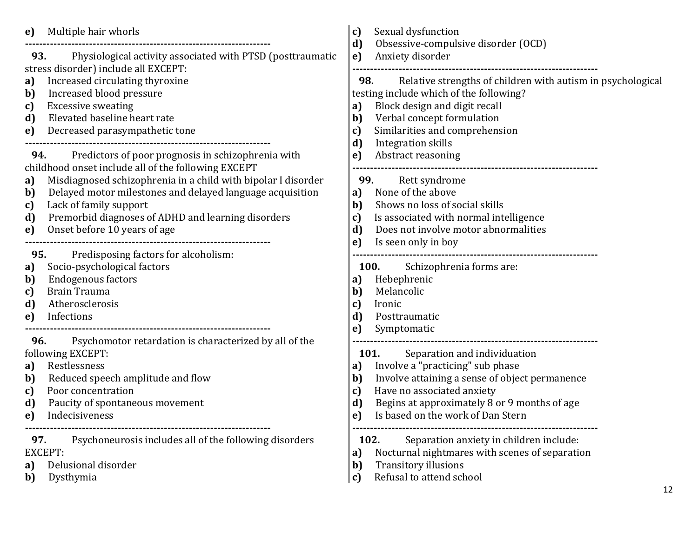| Multiple hair whorls<br>e)<br>---------------------------------- | Sexual dysfunction<br>c)<br>d)<br>Obsessive-compulsive disorder (OCD) |
|------------------------------------------------------------------|-----------------------------------------------------------------------|
| 93.                                                              | Anxiety disorder                                                      |
| Physiological activity associated with PTSD (posttraumatic       | e)                                                                    |
| stress disorder) include all EXCEPT:                             |                                                                       |
| Increased circulating thyroxine                                  | Relative strengths of children with autism in psychological           |
| a)                                                               | 98.                                                                   |
| Increased blood pressure<br>b)                                   | testing include which of the following?                               |
| <b>Excessive sweating</b>                                        | Block design and digit recall                                         |
| c)                                                               | a)                                                                    |
| Elevated baseline heart rate                                     | Verbal concept formulation                                            |
| d)                                                               | b)                                                                    |
| Decreased parasympathetic tone                                   | Similarities and comprehension                                        |
| e)                                                               | c)                                                                    |
|                                                                  | d)<br>Integration skills                                              |
| Predictors of poor prognosis in schizophrenia with               | Abstract reasoning                                                    |
| 94.                                                              | e)                                                                    |
| childhood onset include all of the following EXCEPT              |                                                                       |
| Misdiagnosed schizophrenia in a child with bipolar I disorder    | Rett syndrome                                                         |
| a)                                                               | 99.                                                                   |
| Delayed motor milestones and delayed language acquisition        | None of the above                                                     |
| b)                                                               | a)                                                                    |
| Lack of family support                                           | Shows no loss of social skills                                        |
| c)                                                               | b)                                                                    |
| Premorbid diagnoses of ADHD and learning disorders               | Is associated with normal intelligence                                |
| d)                                                               | c)                                                                    |
| Onset before 10 years of age                                     | d)                                                                    |
| e)                                                               | Does not involve motor abnormalities                                  |
|                                                                  | Is seen only in boy<br>e)                                             |
| Predisposing factors for alcoholism:<br>95.                      |                                                                       |
| Socio-psychological factors                                      | <b>100.</b>                                                           |
| a)                                                               | Schizophrenia forms are:                                              |
| <b>Endogenous factors</b>                                        | Hebephrenic                                                           |
| b)                                                               | a)                                                                    |
| <b>Brain Trauma</b><br>c)<br>Atherosclerosis                     | Melancolic<br>b)                                                      |
| d)<br>Infections<br>e)                                           | c)<br>Ironic<br>d)<br>Posttraumatic                                   |
|                                                                  | Symptomatic<br>e)                                                     |
| Psychomotor retardation is characterized by all of the<br>96.    |                                                                       |
| following EXCEPT:                                                | <b>101.</b><br>Separation and individuation                           |
| Restlessness                                                     | Involve a "practicing" sub phase                                      |
| a)                                                               | a)                                                                    |
| Reduced speech amplitude and flow                                | $\mathbf{b}$                                                          |
| b)                                                               | Involve attaining a sense of object permanence                        |
| Poor concentration                                               | Have no associated anxiety                                            |
| c)                                                               | c)                                                                    |
| Paucity of spontaneous movement                                  | Begins at approximately 8 or 9 months of age                          |
| d)                                                               | d)                                                                    |
| Indecisiveness                                                   | e)                                                                    |
| e)                                                               | Is based on the work of Dan Stern                                     |
| Psychoneurosis includes all of the following disorders           | Separation anxiety in children include:                               |
| 97.                                                              | 102.                                                                  |
| <b>EXCEPT:</b>                                                   | Nocturnal nightmares with scenes of separation<br>a)                  |
| Delusional disorder                                              | Transitory illusions                                                  |
| a)                                                               | $\mathbf{b}$                                                          |
| Dysthymia                                                        | Refusal to attend school                                              |
| b)                                                               | c)                                                                    |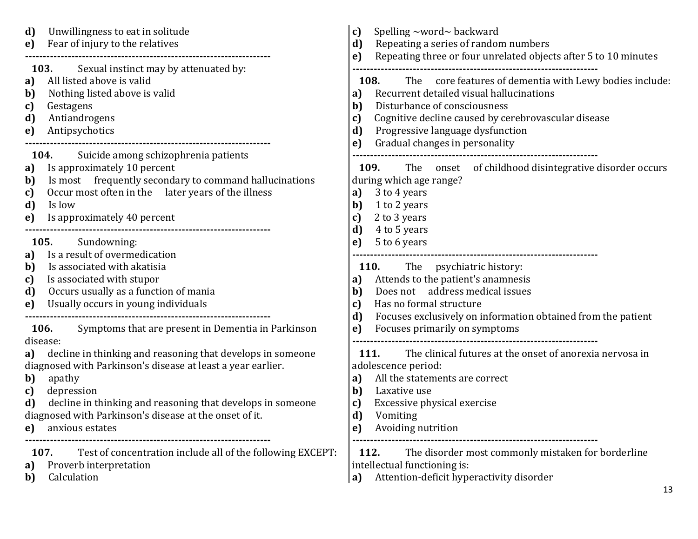| Unwillingness to eat in solitude<br>d)<br>Fear of injury to the relatives<br>e)                                                                                                                                                                                                                                                                                                                             | Spelling ~word~ backward<br>c)<br>Repeating a series of random numbers<br>d)<br>Repeating three or four unrelated objects after 5 to 10 minutes<br>e)                                                                                                                                                         |
|-------------------------------------------------------------------------------------------------------------------------------------------------------------------------------------------------------------------------------------------------------------------------------------------------------------------------------------------------------------------------------------------------------------|---------------------------------------------------------------------------------------------------------------------------------------------------------------------------------------------------------------------------------------------------------------------------------------------------------------|
| Sexual instinct may by attenuated by:<br><b>103.</b><br>All listed above is valid<br>a)<br>Nothing listed above is valid<br>b)<br>Gestagens<br>c)<br>Antiandrogens<br>d)<br>Antipsychotics<br>e)                                                                                                                                                                                                            | The core features of dementia with Lewy bodies include:<br><b>108.</b><br>Recurrent detailed visual hallucinations<br>a)<br>Disturbance of consciousness<br>b)<br>Cognitive decline caused by cerebrovascular disease<br>c)<br>d)<br>Progressive language dysfunction<br>Gradual changes in personality<br>e) |
| 104.<br>Suicide among schizophrenia patients<br>Is approximately 10 percent<br>a)<br>Is most frequently secondary to command hallucinations<br>b)<br>Occur most often in the later years of the illness<br>c)<br>d)<br>Is low<br>Is approximately 40 percent<br>e)                                                                                                                                          | The onset of childhood disintegrative disorder occurs<br>109.<br>during which age range?<br>3 to 4 years<br>a)<br>b)<br>1 to 2 years<br>2 to 3 years<br>c)<br>d)<br>4 to 5 years                                                                                                                              |
| Sundowning:<br>105.<br>Is a result of overmedication<br>a)<br>Is associated with akatisia<br>b)<br>Is associated with stupor<br>c)<br>Occurs usually as a function of mania<br>d)<br>Usually occurs in young individuals<br>e)                                                                                                                                                                              | 5 to 6 years<br>e)<br><b>110.</b> The psychiatric history:<br>Attends to the patient's anamnesis<br>a)<br>Does not address medical issues<br>b)<br>Has no formal structure<br>c)<br>Focuses exclusively on information obtained from the patient<br>d)                                                        |
| Symptoms that are present in Dementia in Parkinson<br><b>106.</b><br>disease:<br>decline in thinking and reasoning that develops in someone<br>a)<br>diagnosed with Parkinson's disease at least a year earlier.<br>apathy<br>b)<br>depression<br>c)<br>decline in thinking and reasoning that develops in someone<br>d)<br>diagnosed with Parkinson's disease at the onset of it.<br>anxious estates<br>e) | Focuses primarily on symptoms<br>e)<br>The clinical futures at the onset of anorexia nervosa in<br><b>111.</b><br>adolescence period:<br>All the statements are correct<br>a)<br>Laxative use<br>b)<br>Excessive physical exercise<br>c)<br>d)<br>Vomiting<br>Avoiding nutrition<br>e)                        |
| Test of concentration include all of the following EXCEPT:<br>107.<br>Proverb interpretation<br>a)<br>Calculation<br>b)                                                                                                                                                                                                                                                                                     | 112.<br>The disorder most commonly mistaken for borderline<br>intellectual functioning is:<br>Attention-deficit hyperactivity disorder<br>a)<br>13                                                                                                                                                            |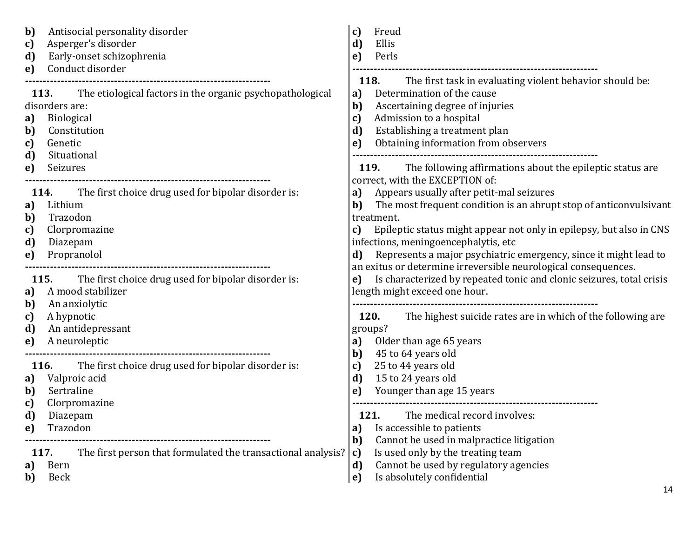| Antisocial personality disorder<br>b)<br>Asperger's disorder<br>c)<br>Early-onset schizophrenia<br>d)<br>Conduct disorder<br>e)                                                              | Freud<br>c)<br>Ellis<br>d)<br>Perls<br>e)                                                                                                                                                                                                                                                                                                                                 |
|----------------------------------------------------------------------------------------------------------------------------------------------------------------------------------------------|---------------------------------------------------------------------------------------------------------------------------------------------------------------------------------------------------------------------------------------------------------------------------------------------------------------------------------------------------------------------------|
| The etiological factors in the organic psychopathological<br>113.<br>disorders are:<br><b>Biological</b><br>a)<br>Constitution<br>b)<br>Genetic<br>c)<br>d)<br>Situational<br>Seizures<br>e) | <b>118.</b><br>The first task in evaluating violent behavior should be:<br>Determination of the cause<br>a)<br>Ascertaining degree of injuries<br>b)<br>Admission to a hospital<br>c)<br>d)<br>Establishing a treatment plan<br>Obtaining information from observers<br>e)<br>The following affirmations about the epileptic status are<br>119.                           |
| The first choice drug used for bipolar disorder is:<br>114.<br>Lithium<br>a)<br>Trazodon<br>b)<br>Clorpromazine<br>c)<br>d)<br>Diazepam<br>Propranolol<br>e)                                 | correct, with the EXCEPTION of:<br>Appears usually after petit-mal seizures<br>a)<br>The most frequent condition is an abrupt stop of anticonvulsivant<br>b)<br>treatment.<br>Epileptic status might appear not only in epilepsy, but also in CNS<br>C)<br>infections, meningoencephalytis, etc<br>Represents a major psychiatric emergency, since it might lead to<br>d) |
| <b>115.</b> The first choice drug used for bipolar disorder is:<br>A mood stabilizer<br>a)<br>An anxiolytic<br>b)<br>A hypnotic<br>c)<br>d)<br>An antidepressant<br>A neuroleptic<br>e)      | an exitus or determine irreversible neurological consequences.<br>Is characterized by repeated tonic and clonic seizures, total crisis<br>e)<br>length might exceed one hour.<br><b>120.</b><br>The highest suicide rates are in which of the following are<br>groups?<br>Older than age 65 years<br>a)                                                                   |
| <b>116.</b><br>The first choice drug used for bipolar disorder is:<br>Valproic acid<br>a)<br>Sertraline<br>b)<br>Clorpromazine<br>c)<br>d)<br>Diazepam<br>Trazodon<br>e)                     | 45 to 64 years old<br>b)<br>25 to 44 years old<br>c)<br>15 to 24 years old<br>d)<br>Younger than age 15 years<br>e)<br>121.<br>The medical record involves:<br>Is accessible to patients<br>a)                                                                                                                                                                            |
| The first person that formulated the transactional analysis?<br>117.<br>Bern<br>a)<br>b)<br>Beck                                                                                             | Cannot be used in malpractice litigation<br>b)<br>Is used only by the treating team<br>c)<br>Cannot be used by regulatory agencies<br>d)<br>Is absolutely confidential<br>e)                                                                                                                                                                                              |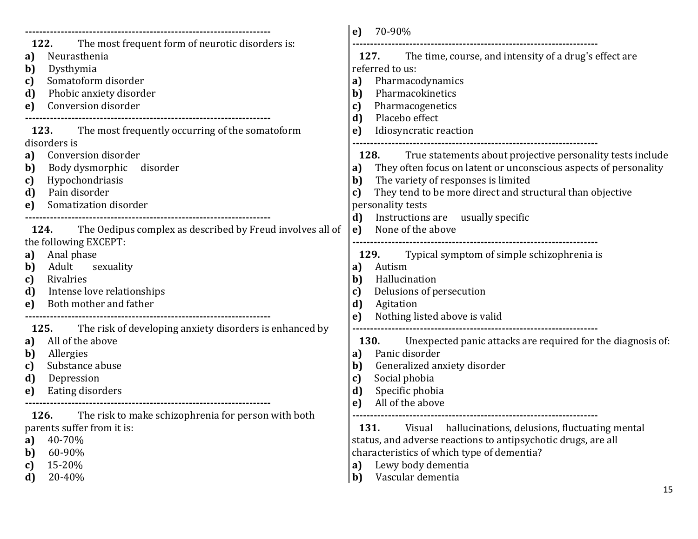|                                                                                            | 70-90%<br>e)                                                     |
|--------------------------------------------------------------------------------------------|------------------------------------------------------------------|
| The most frequent form of neurotic disorders is:<br>122.                                   |                                                                  |
| Neurasthenia                                                                               | The time, course, and intensity of a drug's effect are           |
| a)                                                                                         | 127.                                                             |
| Dysthymia                                                                                  | referred to us:                                                  |
| b)<br>Somatoform disorder<br>c)                                                            | Pharmacodynamics<br>a)                                           |
| Phobic anxiety disorder                                                                    | Pharmacokinetics                                                 |
| d)                                                                                         | b)                                                               |
| Conversion disorder                                                                        | Pharmacogenetics                                                 |
| e)                                                                                         | c)                                                               |
|                                                                                            | Placebo effect<br>d)                                             |
| 123. The most frequently occurring of the somatoform                                       | Idiosyncratic reaction<br>e)                                     |
| disorders is                                                                               |                                                                  |
| Conversion disorder                                                                        | True statements about projective personality tests include       |
| a)                                                                                         | 128.                                                             |
| Body dysmorphic disorder                                                                   | They often focus on latent or unconscious aspects of personality |
| b)                                                                                         | a)                                                               |
| Hypochondriasis                                                                            | The variety of responses is limited                              |
| c)                                                                                         | b)                                                               |
| Pain disorder                                                                              | They tend to be more direct and structural than objective        |
| d)                                                                                         | c)                                                               |
| Somatization disorder<br>e)                                                                | personality tests                                                |
|                                                                                            | Instructions are usually specific<br>d)                          |
| The Oedipus complex as described by Freud involves all of<br>124.<br>the following EXCEPT: | None of the above<br>e)                                          |
| Anal phase                                                                                 | Typical symptom of simple schizophrenia is                       |
| a)                                                                                         | 129.                                                             |
| Adult<br>sexuality<br>b)                                                                   | Autism<br>a)                                                     |
| Rivalries                                                                                  | Hallucination                                                    |
| c)                                                                                         | b)                                                               |
| Intense love relationships                                                                 | Delusions of persecution                                         |
| d)                                                                                         | c)                                                               |
| Both mother and father                                                                     | d)                                                               |
| e)                                                                                         | Agitation                                                        |
|                                                                                            | Nothing listed above is valid<br>e)                              |
| 125.<br>The risk of developing anxiety disorders is enhanced by                            | ---------------------------------                                |
| All of the above                                                                           | <b>130.</b>                                                      |
| a)                                                                                         | Unexpected panic attacks are required for the diagnosis of:      |
| Allergies                                                                                  | Panic disorder                                                   |
| b)                                                                                         | a)                                                               |
| Substance abuse                                                                            | Generalized anxiety disorder                                     |
| c)                                                                                         | b)                                                               |
| Depression                                                                                 | Social phobia                                                    |
| d)                                                                                         | c)                                                               |
| Eating disorders                                                                           | Specific phobia                                                  |
| e)                                                                                         | d)                                                               |
|                                                                                            | All of the above<br>e)                                           |
| 126. The risk to make schizophrenia for person with both                                   |                                                                  |
| parents suffer from it is:                                                                 | 131.<br>hallucinations, delusions, fluctuating mental<br>Visual  |
| 40-70%<br>a)                                                                               | status, and adverse reactions to antipsychotic drugs, are all    |
| 60-90%<br>b)                                                                               | characteristics of which type of dementia?                       |
| 15-20%                                                                                     | Lewy body dementia                                               |
| c)                                                                                         | a)                                                               |
| 20-40%                                                                                     | Vascular dementia                                                |
| d)                                                                                         | b)                                                               |
|                                                                                            | 15                                                               |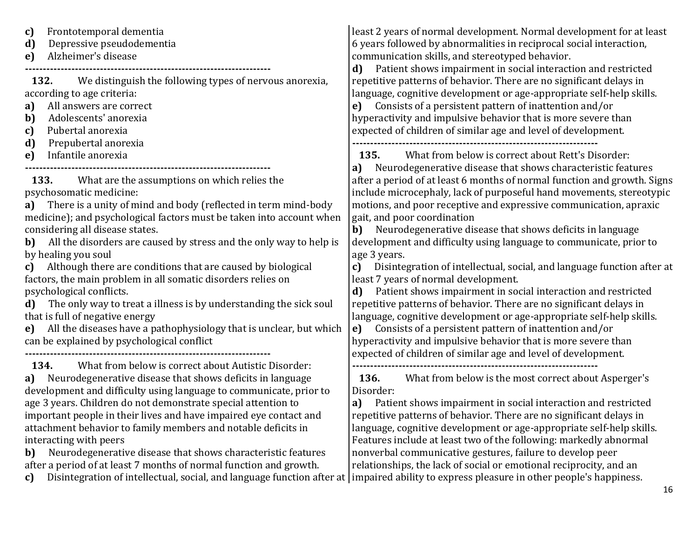**c)** Frontotemporal dementia **d)** Depressive pseudodementia **e)** Alzheimer's disease **---------------------------------------------------------------------**

**132.** We distinguish the following types of nervous anorexia, according to age criteria:

**a)** All answers are correct

- **b)** Adolescents' anorexia
- **c)** Pubertal anorexia
- **d)** Prepubertal anorexia
- **e)** Infantile anorexia

**---------------------------------------------------------------------**

**133.** What are the assumptions on which relies the psychosomatic medicine:

**a)** There is a unity of mind and body (reflected in term mind-body medicine); and psychological factors must be taken into account when considering all disease states.

**b)** All the disorders are caused by stress and the only way to help is by healing you soul

**c)** Although there are conditions that are caused by biological factors, the main problem in all somatic disorders relies on psychological conflicts.

**d)** The only way to treat a illness is by understanding the sick soul that is full of negative energy

**e)** All the diseases have a pathophysiology that is unclear, but which can be explained by psychological conflict **---------------------------------------------------------------------**

**134.** What from below is correct about Autistic Disorder: **a)** Neurodegenerative disease that shows deficits in language development and difficulty using language to communicate, prior to age 3 years. Children do not demonstrate special attention to important people in their lives and have impaired eye contact and attachment behavior to family members and notable deficits in interacting with peers

**b)** Neurodegenerative disease that shows characteristic features after a period of at least 7 months of normal function and growth.

least 2 years of normal development. Normal development for at least 6 years followed by abnormalities in reciprocal social interaction, communication skills, and stereotyped behavior.

**d)** Patient shows impairment in social interaction and restricted repetitive patterns of behavior. There are no significant delays in language, cognitive development or age-appropriate self-help skills.

**e)** Consists of a persistent pattern of inattention and/or hyperactivity and impulsive behavior that is more severe than expected of children of similar age and level of development.

**---------------------------------------------------------------------**

**135.** What from below is correct about Rett's Disorder:

**a)** Neurodegenerative disease that shows characteristic features after a period of at least 6 months of normal function and growth. Signs include microcephaly, lack of purposeful hand movements, stereotypic motions, and poor receptive and expressive communication, apraxic gait, and poor coordination

**b)** Neurodegenerative disease that shows deficits in language development and difficulty using language to communicate, prior to age 3 years.

**c)** Disintegration of intellectual, social, and language function after at least 7 years of normal development.

**d)** Patient shows impairment in social interaction and restricted repetitive patterns of behavior. There are no significant delays in language, cognitive development or age-appropriate self-help skills.

**e)** Consists of a persistent pattern of inattention and/or hyperactivity and impulsive behavior that is more severe than expected of children of similar age and level of development.

**---------------------------------------------------------------------**

**136.** What from below is the most correct about Asperger's Disorder:

**a)** Patient shows impairment in social interaction and restricted repetitive patterns of behavior. There are no significant delays in language, cognitive development or age-appropriate self-help skills. Features include at least two of the following: markedly abnormal nonverbal communicative gestures, failure to develop peer relationships, the lack of social or emotional reciprocity, and an

16

c) Disintegration of intellectual, social, and language function after at | impaired ability to express pleasure in other people's happiness.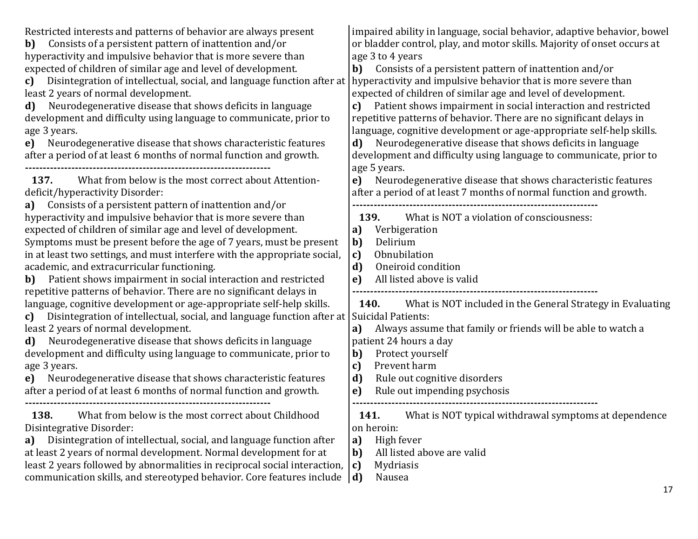| Restricted interests and patterns of behavior are always present<br>Consists of a persistent pattern of inattention and/or<br>b)<br>hyperactivity and impulsive behavior that is more severe than<br>expected of children of similar age and level of development.<br>Disintegration of intellectual, social, and language function after at<br>c)<br>least 2 years of normal development.<br>Neurodegenerative disease that shows deficits in language<br>d)<br>development and difficulty using language to communicate, prior to<br>age 3 years.<br>Neurodegenerative disease that shows characteristic features<br>e)<br>after a period of at least 6 months of normal function and growth.                                                                                                                                                                                                                                                                                                                                                                                                                                                        | impaired ability in language, social behavior, adaptive behavior, bowel<br>or bladder control, play, and motor skills. Majority of onset occurs at<br>age 3 to 4 years<br>Consists of a persistent pattern of inattention and/or<br>b)<br>hyperactivity and impulsive behavior that is more severe than<br>expected of children of similar age and level of development.<br>Patient shows impairment in social interaction and restricted<br>repetitive patterns of behavior. There are no significant delays in<br>language, cognitive development or age-appropriate self-help skills.<br>Neurodegenerative disease that shows deficits in language<br>d)<br>development and difficulty using language to communicate, prior to<br>age 5 years. |
|--------------------------------------------------------------------------------------------------------------------------------------------------------------------------------------------------------------------------------------------------------------------------------------------------------------------------------------------------------------------------------------------------------------------------------------------------------------------------------------------------------------------------------------------------------------------------------------------------------------------------------------------------------------------------------------------------------------------------------------------------------------------------------------------------------------------------------------------------------------------------------------------------------------------------------------------------------------------------------------------------------------------------------------------------------------------------------------------------------------------------------------------------------|---------------------------------------------------------------------------------------------------------------------------------------------------------------------------------------------------------------------------------------------------------------------------------------------------------------------------------------------------------------------------------------------------------------------------------------------------------------------------------------------------------------------------------------------------------------------------------------------------------------------------------------------------------------------------------------------------------------------------------------------------|
| What from below is the most correct about Attention-<br>137.<br>deficit/hyperactivity Disorder:<br>Consists of a persistent pattern of inattention and/or<br>a)<br>hyperactivity and impulsive behavior that is more severe than<br>expected of children of similar age and level of development.<br>Symptoms must be present before the age of 7 years, must be present<br>in at least two settings, and must interfere with the appropriate social,<br>academic, and extracurricular functioning.<br>Patient shows impairment in social interaction and restricted<br>b)<br>repetitive patterns of behavior. There are no significant delays in<br>language, cognitive development or age-appropriate self-help skills.<br>Disintegration of intellectual, social, and language function after at<br>c)<br>least 2 years of normal development.<br>Neurodegenerative disease that shows deficits in language<br>d)<br>development and difficulty using language to communicate, prior to<br>age 3 years.<br>Neurodegenerative disease that shows characteristic features<br>e)<br>after a period of at least 6 months of normal function and growth. | Neurodegenerative disease that shows characteristic features<br>e)<br>after a period of at least 7 months of normal function and growth.                                                                                                                                                                                                                                                                                                                                                                                                                                                                                                                                                                                                          |
|                                                                                                                                                                                                                                                                                                                                                                                                                                                                                                                                                                                                                                                                                                                                                                                                                                                                                                                                                                                                                                                                                                                                                        | What is NOT a violation of consciousness:<br>139.<br>Verbigeration<br>a)<br>Delirium<br>b)<br>Obnubilation<br>c)<br>$\mathbf{d}$<br>Oneiroid condition<br>All listed above is valid<br>e)                                                                                                                                                                                                                                                                                                                                                                                                                                                                                                                                                         |
|                                                                                                                                                                                                                                                                                                                                                                                                                                                                                                                                                                                                                                                                                                                                                                                                                                                                                                                                                                                                                                                                                                                                                        | What is NOT included in the General Strategy in Evaluating<br><b>140.</b><br>Suicidal Patients:<br>Always assume that family or friends will be able to watch a<br>a)<br>patient 24 hours a day<br>Protect yourself<br>b)<br>Prevent harm<br>c)<br>d)<br>Rule out cognitive disorders<br>Rule out impending psychosis<br>e)                                                                                                                                                                                                                                                                                                                                                                                                                       |
| What from below is the most correct about Childhood<br>138.<br>Disintegrative Disorder:<br>Disintegration of intellectual, social, and language function after<br>a)<br>at least 2 years of normal development. Normal development for at<br>least 2 years followed by abnormalities in reciprocal social interaction,<br>communication skills, and stereotyped behavior. Core features include                                                                                                                                                                                                                                                                                                                                                                                                                                                                                                                                                                                                                                                                                                                                                        | What is NOT typical withdrawal symptoms at dependence<br>141.<br>on heroin:<br>High fever<br>a)<br>All listed above are valid<br>b)<br>Mydriasis<br> c <br>Nausea<br>$\mathbf{d}$<br>17                                                                                                                                                                                                                                                                                                                                                                                                                                                                                                                                                           |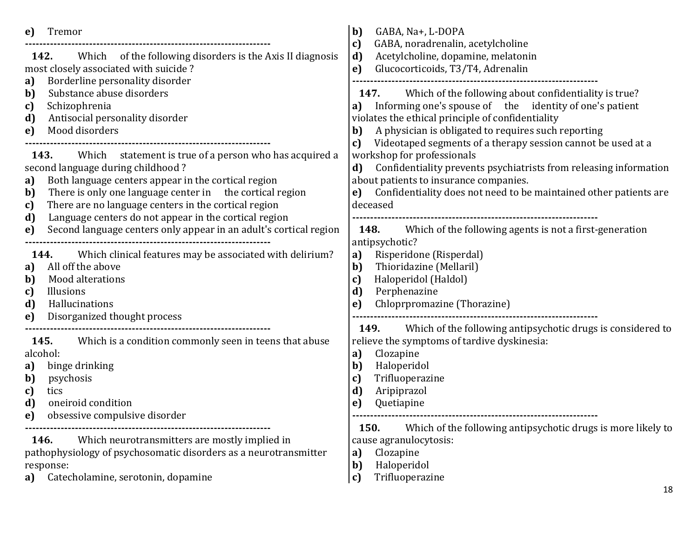| Tremor<br>e)                                                                                                                                                                                                                                                                                         | b)<br>GABA, Na+, L-DOPA<br>GABA, noradrenalin, acetylcholine                                                                                                                                                                                                                                                 |
|------------------------------------------------------------------------------------------------------------------------------------------------------------------------------------------------------------------------------------------------------------------------------------------------------|--------------------------------------------------------------------------------------------------------------------------------------------------------------------------------------------------------------------------------------------------------------------------------------------------------------|
| Which of the following disorders is the Axis II diagnosis<br>142.<br>most closely associated with suicide?                                                                                                                                                                                           | c)<br>Acetylcholine, dopamine, melatonin<br>d)<br>Glucocorticoids, T3/T4, Adrenalin<br>e)                                                                                                                                                                                                                    |
| Borderline personality disorder<br>a)<br>Substance abuse disorders<br>b)<br>Schizophrenia<br>c)<br>Antisocial personality disorder<br>d)<br>Mood disorders<br>e)                                                                                                                                     | Which of the following about confidentiality is true?<br><b>147.</b><br>Informing one's spouse of the identity of one's patient<br>a)<br>violates the ethical principle of confidentiality<br>A physician is obligated to requires such reporting<br>b)                                                      |
| <b>143.</b> Which statement is true of a person who has acquired a<br>second language during childhood?<br>Both language centers appear in the cortical region<br>a)<br>There is only one language center in the cortical region<br>b)<br>There are no language centers in the cortical region<br>c) | Videotaped segments of a therapy session cannot be used at a<br>c)<br>workshop for professionals<br>Confidentiality prevents psychiatrists from releasing information<br>d)<br>about patients to insurance companies.<br>Confidentiality does not need to be maintained other patients are<br>e)<br>deceased |
| Language centers do not appear in the cortical region<br>d)<br>Second language centers only appear in an adult's cortical region<br>e)                                                                                                                                                               | Which of the following agents is not a first-generation<br>148.<br>antipsychotic?                                                                                                                                                                                                                            |
| Which clinical features may be associated with delirium?<br>144.<br>All off the above<br>a)<br>Mood alterations<br>b)<br>Illusions<br>c)<br>d)<br>Hallucinations<br>Disorganized thought process<br>e)                                                                                               | Risperidone (Risperdal)<br>a)<br>Thioridazine (Mellaril)<br>b)<br>Haloperidol (Haldol)<br>c)<br>Perphenazine<br>d)<br>Chloprpromazine (Thorazine)<br>e)                                                                                                                                                      |
| Which is a condition commonly seen in teens that abuse<br>145.<br>alcohol:<br>binge drinking<br>a)<br>b)<br>psychosis<br>c)<br>tics<br>d)<br>oneiroid condition<br>e)<br>obsessive compulsive disorder                                                                                               | Which of the following antipsychotic drugs is considered to<br>149.<br>relieve the symptoms of tardive dyskinesia:<br>Clozapine<br>a)<br>Haloperidol<br>b)<br>Trifluoperazine<br>c)<br>d)<br>Aripiprazol<br>Quetiapine<br>e)                                                                                 |
| Which neurotransmitters are mostly implied in<br>146.<br>pathophysiology of psychosomatic disorders as a neurotransmitter<br>response:<br>Catecholamine, serotonin, dopamine<br>a)                                                                                                                   | 150.<br>Which of the following antipsychotic drugs is more likely to<br>cause agranulocytosis:<br>Clozapine<br>a)<br>Haloperidol<br>b)<br>Trifluoperazine<br>c)<br>18                                                                                                                                        |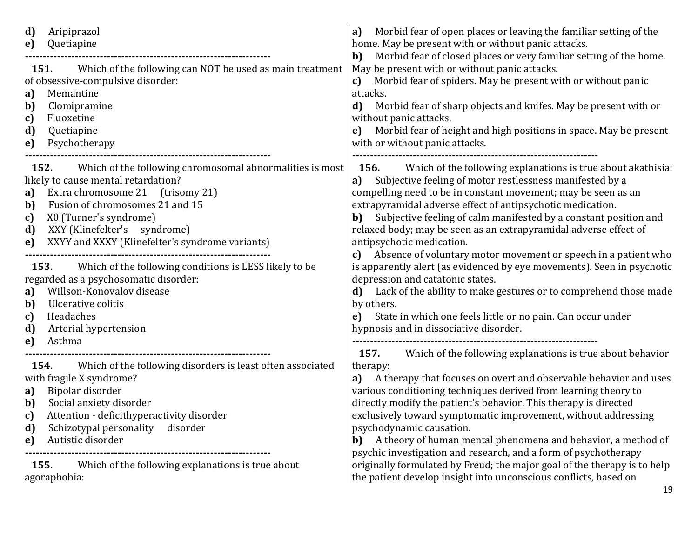| Aripiprazol<br>d)<br>Quetiapine<br>e)<br><b>151.</b> Which of the following can NOT be used as main treatment<br>of obsessive-compulsive disorder:<br>Memantine<br>a)<br>Clomipramine<br>b)<br>Fluoxetine<br>c)<br>d)<br>Quetiapine<br>Psychotherapy<br>e)                                                                                                                                                                                                                                                                                                         | Morbid fear of open places or leaving the familiar setting of the<br>a)<br>home. May be present with or without panic attacks.<br>Morbid fear of closed places or very familiar setting of the home.<br>b)<br>May be present with or without panic attacks.<br>Morbid fear of spiders. May be present with or without panic<br>c)<br>attacks.<br>d)<br>Morbid fear of sharp objects and knifes. May be present with or<br>without panic attacks.<br>Morbid fear of height and high positions in space. May be present<br>e)<br>with or without panic attacks.                                                                                                                                                                                                                                                                                  |
|--------------------------------------------------------------------------------------------------------------------------------------------------------------------------------------------------------------------------------------------------------------------------------------------------------------------------------------------------------------------------------------------------------------------------------------------------------------------------------------------------------------------------------------------------------------------|------------------------------------------------------------------------------------------------------------------------------------------------------------------------------------------------------------------------------------------------------------------------------------------------------------------------------------------------------------------------------------------------------------------------------------------------------------------------------------------------------------------------------------------------------------------------------------------------------------------------------------------------------------------------------------------------------------------------------------------------------------------------------------------------------------------------------------------------|
| 152.<br>Which of the following chromosomal abnormalities is most<br>likely to cause mental retardation?<br>Extra chromosome 21 (trisomy 21)<br>a)<br>Fusion of chromosomes 21 and 15<br>b)<br>X0 (Turner's syndrome)<br>c)<br>XXY (Klinefelter's syndrome)<br>d)<br>XXYY and XXXY (Klinefelter's syndrome variants)<br>e)<br>153. Which of the following conditions is LESS likely to be<br>regarded as a psychosomatic disorder:<br>Willson-Konovalov disease<br>a)<br>Ulcerative colitis<br>b)<br>Headaches<br>c)<br>Arterial hypertension<br>d)<br>Asthma<br>e) | <b>156.</b> Which of the following explanations is true about akathisia:<br>Subjective feeling of motor restlessness manifested by a<br>a)<br>compelling need to be in constant movement; may be seen as an<br>extrapyramidal adverse effect of antipsychotic medication.<br>b) Subjective feeling of calm manifested by a constant position and<br>relaxed body; may be seen as an extrapyramidal adverse effect of<br>antipsychotic medication.<br>Absence of voluntary motor movement or speech in a patient who<br>c)<br>is apparently alert (as evidenced by eye movements). Seen in psychotic<br>depression and catatonic states.<br>Lack of the ability to make gestures or to comprehend those made<br>d)<br>by others.<br>State in which one feels little or no pain. Can occur under<br>e)<br>hypnosis and in dissociative disorder. |
| Which of the following disorders is least often associated<br>154.<br>with fragile X syndrome?<br>Bipolar disorder<br>a)<br>Social anxiety disorder<br>b)<br>Attention - deficithyperactivity disorder<br>c)<br>Schizotypal personality<br>disorder<br>d)<br>Autistic disorder<br>e)<br>Which of the following explanations is true about<br>155.<br>agoraphobia:                                                                                                                                                                                                  | Which of the following explanations is true about behavior<br>157.<br>therapy:<br>A therapy that focuses on overt and observable behavior and uses<br>a)<br>various conditioning techniques derived from learning theory to<br>directly modify the patient's behavior. This therapy is directed<br>exclusively toward symptomatic improvement, without addressing<br>psychodynamic causation.<br>A theory of human mental phenomena and behavior, a method of<br>b)<br>psychic investigation and research, and a form of psychotherapy<br>originally formulated by Freud; the major goal of the therapy is to help<br>the patient develop insight into unconscious conflicts, based on                                                                                                                                                         |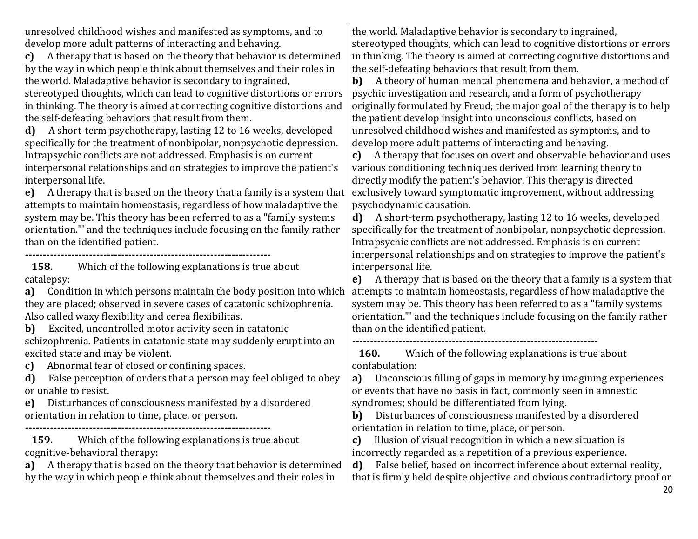unresolved childhood wishes and manifested as symptoms, and to develop more adult patterns of interacting and behaving.

**c)** A therapy that is based on the theory that behavior is determined by the way in which people think about themselves and their roles in the world. Maladaptive behavior is secondary to ingrained,

stereotyped thoughts, which can lead to cognitive distortions or errors in thinking. The theory is aimed at correcting cognitive distortions and the self-defeating behaviors that result from them.

**d)** A short-term psychotherapy, lasting 12 to 16 weeks, developed specifically for the treatment of nonbipolar, nonpsychotic depression. Intrapsychic conflicts are not addressed. Emphasis is on current interpersonal relationships and on strategies to improve the patient's interpersonal life.

**e)** A therapy that is based on the theory that a family is a system that attempts to maintain homeostasis, regardless of how maladaptive the system may be. This theory has been referred to as a "family systems orientation."' and the techniques include focusing on the family rather than on the identified patient.

**---------------------------------------------------------------------**

**158.** Which of the following explanations is true about catalepsy:

**a)** Condition in which persons maintain the body position into which they are placed; observed in severe cases of catatonic schizophrenia. Also called waxy flexibility and cerea flexibilitas.

**b)** Excited, uncontrolled motor activity seen in catatonic schizophrenia. Patients in catatonic state may suddenly erupt into an excited state and may be violent.

**c)** Abnormal fear of closed or confining spaces.

**d)** False perception of orders that a person may feel obliged to obey or unable to resist.

**e)** Disturbances of consciousness manifested by a disordered orientation in relation to time, place, or person.

**---------------------------------------------------------------------**

**159.** Which of the following explanations is true about cognitive-behavioral therapy:

**a)** A therapy that is based on the theory that behavior is determined by the way in which people think about themselves and their roles in

the world. Maladaptive behavior is secondary to ingrained, stereotyped thoughts, which can lead to cognitive distortions or errors in thinking. The theory is aimed at correcting cognitive distortions and the self-defeating behaviors that result from them.

**b)** A theory of human mental phenomena and behavior, a method of psychic investigation and research, and a form of psychotherapy originally formulated by Freud; the major goal of the therapy is to help the patient develop insight into unconscious conflicts, based on unresolved childhood wishes and manifested as symptoms, and to develop more adult patterns of interacting and behaving.

**c)** A therapy that focuses on overt and observable behavior and uses various conditioning techniques derived from learning theory to directly modify the patient's behavior. This therapy is directed exclusively toward symptomatic improvement, without addressing psychodynamic causation.

**d)** A short-term psychotherapy, lasting 12 to 16 weeks, developed specifically for the treatment of nonbipolar, nonpsychotic depression. Intrapsychic conflicts are not addressed. Emphasis is on current interpersonal relationships and on strategies to improve the patient's interpersonal life.

**e)** A therapy that is based on the theory that a family is a system that attempts to maintain homeostasis, regardless of how maladaptive the system may be. This theory has been referred to as a "family systems orientation."' and the techniques include focusing on the family rather than on the identified patient.

**---------------------------------------------------------------------**

**160.** Which of the following explanations is true about confabulation:

**a)** Unconscious filling of gaps in memory by imagining experiences or events that have no basis in fact, commonly seen in amnestic syndromes; should be differentiated from lying.

**b)** Disturbances of consciousness manifested by a disordered orientation in relation to time, place, or person.

**c)** Illusion of visual recognition in which a new situation is incorrectly regarded as a repetition of a previous experience.

**d)** False belief, based on incorrect inference about external reality, that is firmly held despite objective and obvious contradictory proof or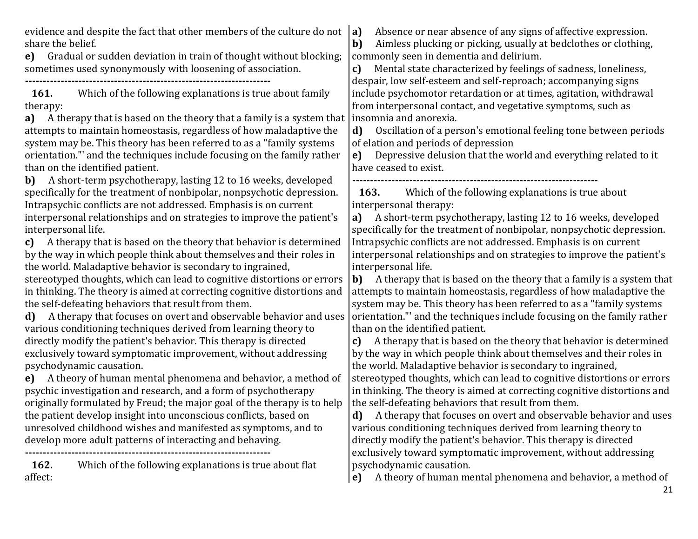evidence and despite the fact that other members of the culture do not share the belief.

**e)** Gradual or sudden deviation in train of thought without blocking; sometimes used synonymously with loosening of association.

**---------------------------------------------------------------------**

**161.** Which of the following explanations is true about family therapy:

**a)** A therapy that is based on the theory that a family is a system that attempts to maintain homeostasis, regardless of how maladaptive the system may be. This theory has been referred to as a "family systems orientation."' and the techniques include focusing on the family rather than on the identified patient.

**b)** A short-term psychotherapy, lasting 12 to 16 weeks, developed specifically for the treatment of nonbipolar, nonpsychotic depression. Intrapsychic conflicts are not addressed. Emphasis is on current interpersonal relationships and on strategies to improve the patient's interpersonal life.

**c)** A therapy that is based on the theory that behavior is determined by the way in which people think about themselves and their roles in the world. Maladaptive behavior is secondary to ingrained,

stereotyped thoughts, which can lead to cognitive distortions or errors in thinking. The theory is aimed at correcting cognitive distortions and the self-defeating behaviors that result from them.

**d)** A therapy that focuses on overt and observable behavior and uses various conditioning techniques derived from learning theory to directly modify the patient's behavior. This therapy is directed exclusively toward symptomatic improvement, without addressing psychodynamic causation.

**e)** A theory of human mental phenomena and behavior, a method of psychic investigation and research, and a form of psychotherapy originally formulated by Freud; the major goal of the therapy is to help the patient develop insight into unconscious conflicts, based on unresolved childhood wishes and manifested as symptoms, and to develop more adult patterns of interacting and behaving.

**---------------------------------------------------------------------**

**162.** Which of the following explanations is true about flat affect:

**a)** Absence or near absence of any signs of affective expression.

**b)** Aimless plucking or picking, usually at bedclothes or clothing, commonly seen in dementia and delirium.

**c)** Mental state characterized by feelings of sadness, loneliness, despair, low self-esteem and self-reproach; accompanying signs include psychomotor retardation or at times, agitation, withdrawal from interpersonal contact, and vegetative symptoms, such as insomnia and anorexia.

**d)** Oscillation of a person's emotional feeling tone between periods of elation and periods of depression

**e)** Depressive delusion that the world and everything related to it have ceased to exist.

**---------------------------------------------------------------------**

**163.** Which of the following explanations is true about interpersonal therapy:

**a)** A short-term psychotherapy, lasting 12 to 16 weeks, developed specifically for the treatment of nonbipolar, nonpsychotic depression. Intrapsychic conflicts are not addressed. Emphasis is on current interpersonal relationships and on strategies to improve the patient's interpersonal life.

**b)** A therapy that is based on the theory that a family is a system that attempts to maintain homeostasis, regardless of how maladaptive the system may be. This theory has been referred to as a "family systems orientation."' and the techniques include focusing on the family rather than on the identified patient.

**c)** A therapy that is based on the theory that behavior is determined by the way in which people think about themselves and their roles in the world. Maladaptive behavior is secondary to ingrained,

stereotyped thoughts, which can lead to cognitive distortions or errors in thinking. The theory is aimed at correcting cognitive distortions and the self-defeating behaviors that result from them.

**d)** A therapy that focuses on overt and observable behavior and uses various conditioning techniques derived from learning theory to directly modify the patient's behavior. This therapy is directed exclusively toward symptomatic improvement, without addressing psychodynamic causation.

**e)** A theory of human mental phenomena and behavior, a method of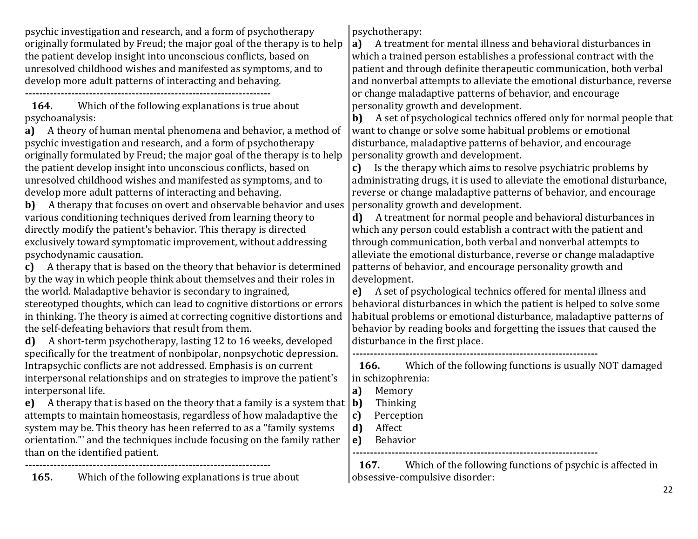psychic investigation and research, and a form of psychotherapy originally formulated by Freud; the major goal of the therapy is to help the patient develop insight into unconscious conflicts, based on unresolved childhood wishes and manifested as symptoms, and to develop more adult patterns of interacting and behaving.

**---------------------------------------------------------------------**

**164.** Which of the following explanations is true about psychoanalysis:

**a)** A theory of human mental phenomena and behavior, a method of psychic investigation and research, and a form of psychotherapy originally formulated by Freud; the major goal of the therapy is to help the patient develop insight into unconscious conflicts, based on unresolved childhood wishes and manifested as symptoms, and to develop more adult patterns of interacting and behaving.

**b)** A therapy that focuses on overt and observable behavior and uses various conditioning techniques derived from learning theory to directly modify the patient's behavior. This therapy is directed exclusively toward symptomatic improvement, without addressing psychodynamic causation.

**c)** A therapy that is based on the theory that behavior is determined by the way in which people think about themselves and their roles in the world. Maladaptive behavior is secondary to ingrained,

stereotyped thoughts, which can lead to cognitive distortions or errors in thinking. The theory is aimed at correcting cognitive distortions and the self-defeating behaviors that result from them.

**d)** A short-term psychotherapy, lasting 12 to 16 weeks, developed specifically for the treatment of nonbipolar, nonpsychotic depression. Intrapsychic conflicts are not addressed. Emphasis is on current interpersonal relationships and on strategies to improve the patient's interpersonal life.

**e)** A therapy that is based on the theory that a family is a system that attempts to maintain homeostasis, regardless of how maladaptive the system may be. This theory has been referred to as a "family systems orientation."' and the techniques include focusing on the family rather than on the identified patient.

**165.** Which of the following explanations is true about

**---------------------------------------------------------------------**

psychotherapy:

**a)** A treatment for mental illness and behavioral disturbances in which a trained person establishes a professional contract with the patient and through definite therapeutic communication, both verbal and nonverbal attempts to alleviate the emotional disturbance, reverse or change maladaptive patterns of behavior, and encourage personality growth and development.

**b)** A set of psychological technics offered only for normal people that want to change or solve some habitual problems or emotional disturbance, maladaptive patterns of behavior, and encourage personality growth and development.

**c)** Is the therapy which aims to resolve psychiatric problems by administrating drugs, it is used to alleviate the emotional disturbance, reverse or change maladaptive patterns of behavior, and encourage personality growth and development.

**d)** A treatment for normal people and behavioral disturbances in which any person could establish a contract with the patient and through communication, both verbal and nonverbal attempts to alleviate the emotional disturbance, reverse or change maladaptive patterns of behavior, and encourage personality growth and development.

**e)** A set of psychological technics offered for mental illness and behavioral disturbances in which the patient is helped to solve some habitual problems or emotional disturbance, maladaptive patterns of behavior by reading books and forgetting the issues that caused the disturbance in the first place.

**---------------------------------------------------------------------**

**166.** Which of the following functions is usually NOT damaged in schizophrenia:

**a)** Memory

**b)** Thinking

**c)** Perception

**d)** Affect

**e)** Behavior

**---------------------------------------------------------------------**

**167.** Which of the following functions of psychic is affected in obsessive-compulsive disorder: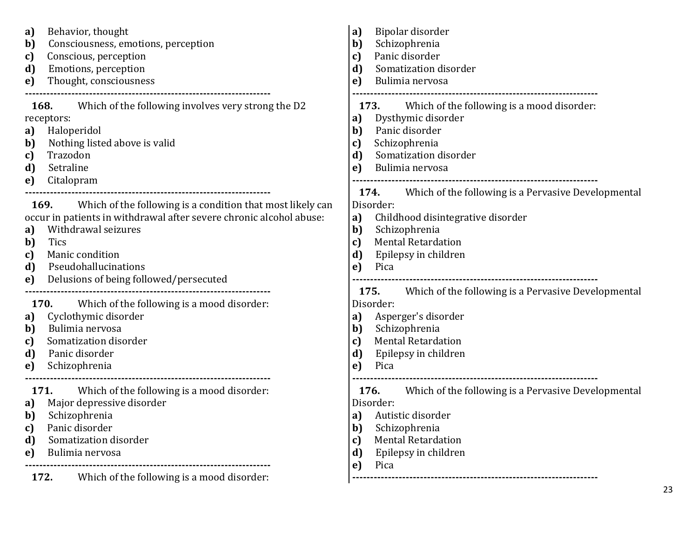| Behavior, thought<br>a)<br>Consciousness, emotions, perception<br>b)<br>Conscious, perception<br>c)<br>Emotions, perception<br>d)<br>Thought, consciousness<br>e)                                                                                                                               | Bipolar disorder<br>a)<br>Schizophrenia<br>b)<br>Panic disorder<br>c)<br>d)<br>Somatization disorder<br>e)<br>Bulimia nervosa                                                                                             |
|-------------------------------------------------------------------------------------------------------------------------------------------------------------------------------------------------------------------------------------------------------------------------------------------------|---------------------------------------------------------------------------------------------------------------------------------------------------------------------------------------------------------------------------|
| Which of the following involves very strong the D2<br>168.<br>receptors:<br>Haloperidol<br>a)<br>b)<br>Nothing listed above is valid<br>Trazodon<br>c)<br>d)<br>Setraline<br>Citalopram<br>e)                                                                                                   | Which of the following is a mood disorder:<br>173.<br>Dysthymic disorder<br>a)<br>Panic disorder<br>b)<br>Schizophrenia<br>c)<br>d)<br>Somatization disorder<br>Bulimia nervosa<br>e)                                     |
| 169. Which of the following is a condition that most likely can<br>occur in patients in withdrawal after severe chronic alcohol abuse:<br>Withdrawal seizures<br>a)<br>b)<br><b>Tics</b><br>Manic condition<br>c)<br>Pseudohallucinations<br>d)<br>Delusions of being followed/persecuted<br>e) | 174.<br>Which of the following is a Pervasive Developmental<br>Disorder:<br>Childhood disintegrative disorder<br>a)<br>Schizophrenia<br>b)<br><b>Mental Retardation</b><br>c)<br>d)<br>Epilepsy in children<br>e)<br>Pica |
| Which of the following is a mood disorder:<br><b>170.</b><br>Cyclothymic disorder<br>a)<br>Bulimia nervosa<br>b)<br>Somatization disorder<br>c)<br>d)<br>Panic disorder<br>Schizophrenia<br>e)                                                                                                  | Which of the following is a Pervasive Developmental<br>175.<br>Disorder:<br>Asperger's disorder<br>a)<br>Schizophrenia<br>b)<br><b>Mental Retardation</b><br>c)<br>d)<br>Epilepsy in children<br>e)<br>Pica               |
| <b>171.</b> Which of the following is a mood disorder:<br>Major depressive disorder<br>a)<br>b)<br>Schizophrenia<br>Panic disorder<br>c)<br>Somatization disorder<br>d)<br>Bulimia nervosa<br>e)<br>Which of the following is a mood disorder:<br>172.                                          | Which of the following is a Pervasive Developmental<br>176.<br>Disorder:<br>a) Autistic disorder<br>b)<br>Schizophrenia<br><b>Mental Retardation</b><br>c)<br>Epilepsy in children<br>d)<br>Pica<br>e)                    |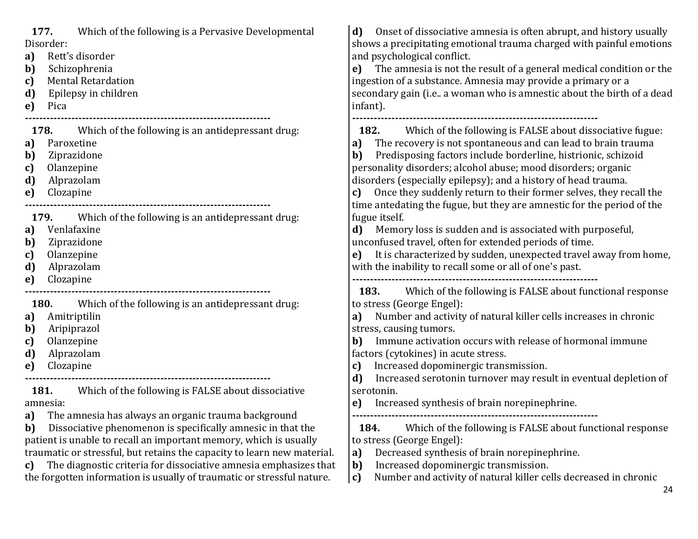| 177.<br>Which of the following is a Pervasive Developmental<br>Disorder:<br>Rett's disorder<br>a)<br>Schizophrenia<br>b)<br><b>Mental Retardation</b><br>c)<br>Epilepsy in children<br>d)<br>e)<br>Pica                                                                                                                                                                                                                                             | Onset of dissociative amnesia is often abrupt, and history usually<br>d)<br>shows a precipitating emotional trauma charged with painful emotions<br>and psychological conflict.<br>The amnesia is not the result of a general medical condition or the<br>e)<br>ingestion of a substance. Amnesia may provide a primary or a<br>secondary gain (i.e a woman who is amnestic about the birth of a dead<br>infant).                                                                                      |
|-----------------------------------------------------------------------------------------------------------------------------------------------------------------------------------------------------------------------------------------------------------------------------------------------------------------------------------------------------------------------------------------------------------------------------------------------------|--------------------------------------------------------------------------------------------------------------------------------------------------------------------------------------------------------------------------------------------------------------------------------------------------------------------------------------------------------------------------------------------------------------------------------------------------------------------------------------------------------|
| 178.<br>Which of the following is an antidepressant drug:<br>Paroxetine<br>a)<br>Ziprazidone<br>b)<br>c)<br>Olanzepine<br>Alprazolam<br>d)<br>Clozapine<br>e)                                                                                                                                                                                                                                                                                       | Which of the following is FALSE about dissociative fugue:<br>182.<br>The recovery is not spontaneous and can lead to brain trauma<br>a)<br>Predisposing factors include borderline, histrionic, schizoid<br>b)<br>personality disorders; alcohol abuse; mood disorders; organic<br>disorders (especially epilepsy); and a history of head trauma.<br>Once they suddenly return to their former selves, they recall the<br>c)<br>time antedating the fugue, but they are amnestic for the period of the |
| 179.<br>Which of the following is an antidepressant drug:<br>Venlafaxine<br>a)<br>Ziprazidone<br>b)<br>Olanzepine<br>c)<br>Alprazolam<br>d)<br>Clozapine<br>e)                                                                                                                                                                                                                                                                                      | fugue itself.<br>Memory loss is sudden and is associated with purposeful,<br>d)<br>unconfused travel, often for extended periods of time.<br>It is characterized by sudden, unexpected travel away from home,<br>e)<br>with the inability to recall some or all of one's past.                                                                                                                                                                                                                         |
| Which of the following is an antidepressant drug:<br>180.<br>Amitriptilin<br>a)<br>Aripiprazol<br>b)<br>Olanzepine<br>c)<br>Alprazolam<br>d)<br>Clozapine<br>e)<br>181.<br>Which of the following is FALSE about dissociative                                                                                                                                                                                                                       | Which of the following is FALSE about functional response<br>183.<br>to stress (George Engel):<br>Number and activity of natural killer cells increases in chronic<br>a)<br>stress, causing tumors.<br>Immune activation occurs with release of hormonal immune<br>b)<br>factors (cytokines) in acute stress.<br>Increased dopominergic transmission.<br>c)<br>d)<br>Increased serotonin turnover may result in eventual depletion of<br>serotonin.                                                    |
| amnesia:<br><b>a</b> ) The amnesia has always an organic trauma background<br>Dissociative phenomenon is specifically amnesic in that the<br>b)<br>patient is unable to recall an important memory, which is usually<br>traumatic or stressful, but retains the capacity to learn new material.<br>The diagnostic criteria for dissociative amnesia emphasizes that<br>c)<br>the forgotten information is usually of traumatic or stressful nature. | Increased synthesis of brain norepinephrine.<br>e)<br>Which of the following is FALSE about functional response<br>184.<br>to stress (George Engel):<br>Decreased synthesis of brain norepinephrine.<br>a)<br>b)<br>Increased dopominergic transmission.<br>Number and activity of natural killer cells decreased in chronic<br>$\vert c)$<br>24                                                                                                                                                       |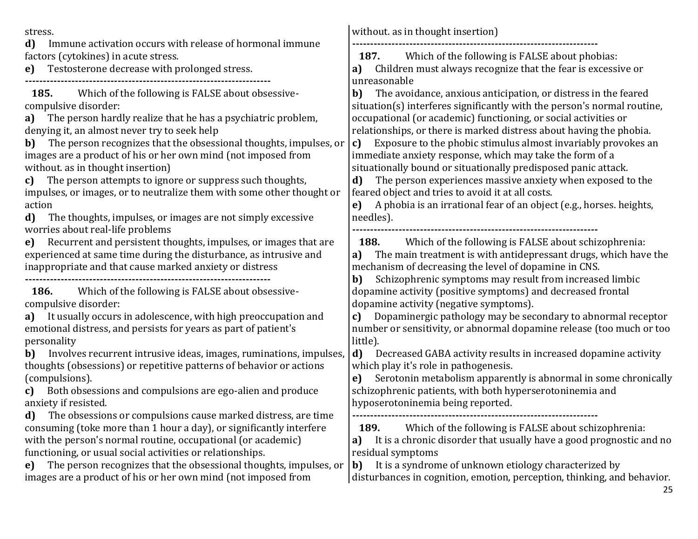25 stress. **d)** Immune activation occurs with release of hormonal immune factors (cytokines) in acute stress. **e)** Testosterone decrease with prolonged stress. **--------------------------------------------------------------------- 185.** Which of the following is FALSE about obsessivecompulsive disorder: **a)** The person hardly realize that he has a psychiatric problem, denying it, an almost never try to seek help **b)** The person recognizes that the obsessional thoughts, impulses, or images are a product of his or her own mind (not imposed from without. as in thought insertion) **c)** The person attempts to ignore or suppress such thoughts, impulses, or images, or to neutralize them with some other thought or action **d)** The thoughts, impulses, or images are not simply excessive worries about real-life problems **e)** Recurrent and persistent thoughts, impulses, or images that are experienced at same time during the disturbance, as intrusive and inappropriate and that cause marked anxiety or distress **--------------------------------------------------------------------- 186.** Which of the following is FALSE about obsessivecompulsive disorder: **a)** It usually occurs in adolescence, with high preoccupation and emotional distress, and persists for years as part of patient's personality **b)** Involves recurrent intrusive ideas, images, ruminations, impulses, thoughts (obsessions) or repetitive patterns of behavior or actions (compulsions). **c)** Both obsessions and compulsions are ego-alien and produce anxiety if resisted. **d)** The obsessions or compulsions cause marked distress, are time consuming (toke more than 1 hour a day), or significantly interfere with the person's normal routine, occupational (or academic) functioning, or usual social activities or relationships. **e)** The person recognizes that the obsessional thoughts, impulses, or images are a product of his or her own mind (not imposed from without. as in thought insertion) **--------------------------------------------------------------------- 187.** Which of the following is FALSE about phobias: **a)** Children must always recognize that the fear is excessive or unreasonable **b)** The avoidance, anxious anticipation, or distress in the feared situation(s) interferes significantly with the person's normal routine, occupational (or academic) functioning, or social activities or relationships, or there is marked distress about having the phobia. **c)** Exposure to the phobic stimulus almost invariably provokes an immediate anxiety response, which may take the form of a situationally bound or situationally predisposed panic attack. **d)** The person experiences massive anxiety when exposed to the feared object and tries to avoid it at all costs. **e)** A phobia is an irrational fear of an object (e.g., horses. heights, needles). **--------------------------------------------------------------------- 188.** Which of the following is FALSE about schizophrenia: **a)** The main treatment is with antidepressant drugs, which have the mechanism of decreasing the level of dopamine in CNS. **b)** Schizophrenic symptoms may result from increased limbic dopamine activity (positive symptoms) and decreased frontal dopamine activity (negative symptoms). **c)** Dopaminergic pathology may be secondary to abnormal receptor number or sensitivity, or abnormal dopamine release (too much or too little). **d)** Decreased GABA activity results in increased dopamine activity which play it's role in pathogenesis. **e)** Serotonin metabolism apparently is abnormal in some chronically schizophrenic patients, with both hyperserotoninemia and hyposerotoninemia being reported. **--------------------------------------------------------------------- 189.** Which of the following is FALSE about schizophrenia: **a)** It is a chronic disorder that usually have a good prognostic and no residual symptoms **b)** It is a syndrome of unknown etiology characterized by disturbances in cognition, emotion, perception, thinking, and behavior.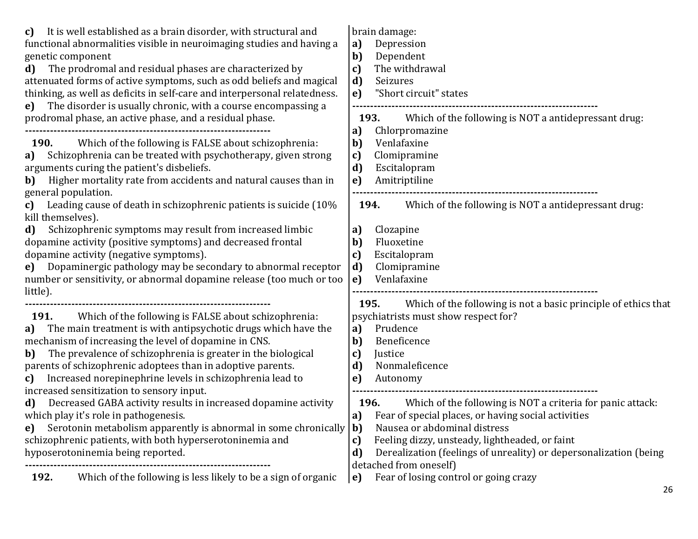| It is well established as a brain disorder, with structural and<br>C)<br>functional abnormalities visible in neuroimaging studies and having a<br>genetic component<br>The prodromal and residual phases are characterized by<br>d)<br>attenuated forms of active symptoms, such as odd beliefs and magical<br>thinking, as well as deficits in self-care and interpersonal relatedness.<br>The disorder is usually chronic, with a course encompassing a<br>e)                                                                                                                                                                                                                                                                             | brain damage:<br>Depression<br>a)<br>b)<br>Dependent<br>The withdrawal<br>c)<br>d)<br>Seizures<br>"Short circuit" states<br>e)                                                                                                                                                                                                                                                                                                                                                                                                                      |
|---------------------------------------------------------------------------------------------------------------------------------------------------------------------------------------------------------------------------------------------------------------------------------------------------------------------------------------------------------------------------------------------------------------------------------------------------------------------------------------------------------------------------------------------------------------------------------------------------------------------------------------------------------------------------------------------------------------------------------------------|-----------------------------------------------------------------------------------------------------------------------------------------------------------------------------------------------------------------------------------------------------------------------------------------------------------------------------------------------------------------------------------------------------------------------------------------------------------------------------------------------------------------------------------------------------|
| prodromal phase, an active phase, and a residual phase.<br><b>190.</b><br>Which of the following is FALSE about schizophrenia:<br>Schizophrenia can be treated with psychotherapy, given strong<br>a)<br>arguments curing the patient's disbeliefs.<br>Higher mortality rate from accidents and natural causes than in<br>b)<br>general population.                                                                                                                                                                                                                                                                                                                                                                                         | Which of the following is NOT a antidepressant drug:<br>193.<br>Chlorpromazine<br>a)<br>Venlafaxine<br>b)<br>Clomipramine<br>c)<br>d)<br>Escitalopram<br>Amitriptiline<br>e)                                                                                                                                                                                                                                                                                                                                                                        |
| Leading cause of death in schizophrenic patients is suicide (10%<br>c)<br>kill themselves).<br>Schizophrenic symptoms may result from increased limbic<br>$\mathbf{d}$<br>dopamine activity (positive symptoms) and decreased frontal<br>dopamine activity (negative symptoms).<br>e) Dopaminergic pathology may be secondary to abnormal receptor<br>number or sensitivity, or abnormal dopamine release (too much or too<br>little).                                                                                                                                                                                                                                                                                                      | Which of the following is NOT a antidepressant drug:<br>194.<br>Clozapine<br>a)<br>b)<br>Fluoxetine<br>Escitalopram<br>c)<br>Clomipramine<br>d)<br>Venlafaxine<br>e)                                                                                                                                                                                                                                                                                                                                                                                |
| Which of the following is FALSE about schizophrenia:<br>191.<br>The main treatment is with antipsychotic drugs which have the<br>a)<br>mechanism of increasing the level of dopamine in CNS.<br>The prevalence of schizophrenia is greater in the biological<br>b)<br>parents of schizophrenic adoptees than in adoptive parents.<br>Increased norepinephrine levels in schizophrenia lead to<br>c)<br>increased sensitization to sensory input.<br>Decreased GABA activity results in increased dopamine activity<br>d)<br>which play it's role in pathogenesis.<br>Serotonin metabolism apparently is abnormal in some chronically<br>e)<br>schizophrenic patients, with both hyperserotoninemia and<br>hyposerotoninemia being reported. | Which of the following is not a basic principle of ethics that<br>195.<br>psychiatrists must show respect for?<br>Prudence<br>a)<br>Beneficence<br>b)<br>c)<br>Justice<br>Nonmaleficence<br>d)<br>Autonomy<br>e)<br>Which of the following is NOT a criteria for panic attack:<br>196.<br>a) Fear of special places, or having social activities<br>Nausea or abdominal distress<br>b)<br>Feeling dizzy, unsteady, lightheaded, or faint<br>c)<br>d)<br>Derealization (feelings of unreality) or depersonalization (being<br>detached from oneself) |
| Which of the following is less likely to be a sign of organic<br>192.                                                                                                                                                                                                                                                                                                                                                                                                                                                                                                                                                                                                                                                                       | Fear of losing control or going crazy<br>e)                                                                                                                                                                                                                                                                                                                                                                                                                                                                                                         |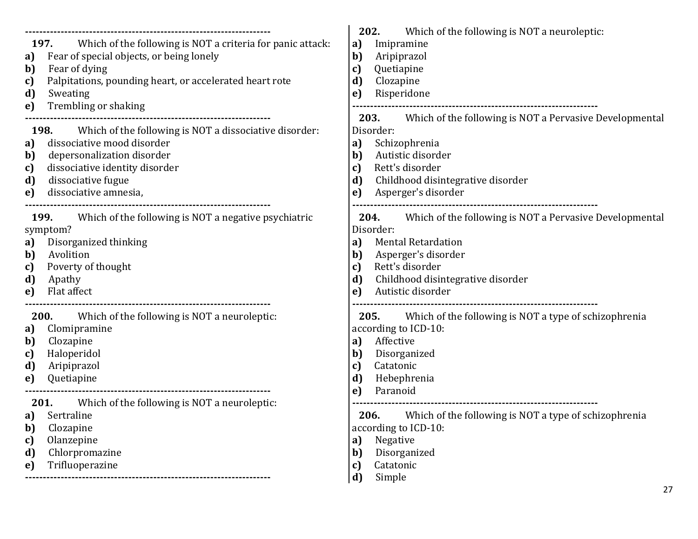| Which of the following is NOT a criteria for panic attack:<br>197.<br>Fear of special objects, or being lonely<br>a)<br>Fear of dying<br>b)<br>Palpitations, pounding heart, or accelerated heart rote<br>c)<br>d)<br>Sweating<br>Trembling or shaking<br>e) | 202.<br>Which of the following is NOT a neuroleptic:<br>a)<br>Imipramine<br>b)<br>Aripiprazol<br>Quetiapine<br>c)<br>d)<br>Clozapine<br>Risperidone<br>e)                                          |
|--------------------------------------------------------------------------------------------------------------------------------------------------------------------------------------------------------------------------------------------------------------|----------------------------------------------------------------------------------------------------------------------------------------------------------------------------------------------------|
| 198.                                                                                                                                                                                                                                                         | <b>203.</b> Which of the following is NOT a Pervasive Developmental                                                                                                                                |
| Which of the following is NOT a dissociative disorder:                                                                                                                                                                                                       | Disorder:                                                                                                                                                                                          |
| dissociative mood disorder                                                                                                                                                                                                                                   | Schizophrenia                                                                                                                                                                                      |
| a)                                                                                                                                                                                                                                                           | a)                                                                                                                                                                                                 |
| depersonalization disorder                                                                                                                                                                                                                                   | Autistic disorder                                                                                                                                                                                  |
| b)                                                                                                                                                                                                                                                           | b)                                                                                                                                                                                                 |
| dissociative identity disorder                                                                                                                                                                                                                               | Rett's disorder                                                                                                                                                                                    |
| c)                                                                                                                                                                                                                                                           | c)                                                                                                                                                                                                 |
| dissociative fugue                                                                                                                                                                                                                                           | Childhood disintegrative disorder                                                                                                                                                                  |
| d)                                                                                                                                                                                                                                                           | d)                                                                                                                                                                                                 |
| dissociative amnesia,                                                                                                                                                                                                                                        | Asperger's disorder                                                                                                                                                                                |
| e)                                                                                                                                                                                                                                                           | e)                                                                                                                                                                                                 |
| Which of the following is NOT a negative psychiatric                                                                                                                                                                                                         | Which of the following is NOT a Pervasive Developmental                                                                                                                                            |
| 199.                                                                                                                                                                                                                                                         | 204.                                                                                                                                                                                               |
| symptom?                                                                                                                                                                                                                                                     | Disorder:                                                                                                                                                                                          |
| Disorganized thinking                                                                                                                                                                                                                                        | <b>Mental Retardation</b>                                                                                                                                                                          |
| a)                                                                                                                                                                                                                                                           | a)                                                                                                                                                                                                 |
| Avolition                                                                                                                                                                                                                                                    | Asperger's disorder                                                                                                                                                                                |
| b)                                                                                                                                                                                                                                                           | b)                                                                                                                                                                                                 |
| Poverty of thought                                                                                                                                                                                                                                           | Rett's disorder                                                                                                                                                                                    |
| c)                                                                                                                                                                                                                                                           | c)                                                                                                                                                                                                 |
| d)                                                                                                                                                                                                                                                           | Childhood disintegrative disorder                                                                                                                                                                  |
| Apathy                                                                                                                                                                                                                                                       | d)                                                                                                                                                                                                 |
| Flat affect                                                                                                                                                                                                                                                  | Autistic disorder                                                                                                                                                                                  |
| e)                                                                                                                                                                                                                                                           | e)                                                                                                                                                                                                 |
| 200.<br>Which of the following is NOT a neuroleptic:<br>Clomipramine<br>a)<br>Clozapine<br>b)<br>Haloperidol<br>c)<br>Aripiprazol<br>d)<br>Quetiapine<br>e)                                                                                                  | Which of the following is NOT a type of schizophrenia<br>205.<br>according to ICD-10:<br>Affective<br>a)<br>Disorganized<br>$\mathbf{b}$<br>Catatonic<br>c)<br>d)<br>Hebephrenia<br>Paranoid<br>e) |
| <b>201.</b> Which of the following is NOT a neuroleptic:                                                                                                                                                                                                     |                                                                                                                                                                                                    |
| Sertraline                                                                                                                                                                                                                                                   | 206. Which of the following is NOT a type of schizophrenia                                                                                                                                         |
| a)                                                                                                                                                                                                                                                           | according to ICD-10:                                                                                                                                                                               |
| Clozapine                                                                                                                                                                                                                                                    | Negative                                                                                                                                                                                           |
| b)                                                                                                                                                                                                                                                           | a)                                                                                                                                                                                                 |
| Olanzepine                                                                                                                                                                                                                                                   | Disorganized                                                                                                                                                                                       |
| c)                                                                                                                                                                                                                                                           | b)                                                                                                                                                                                                 |
| Chlorpromazine                                                                                                                                                                                                                                               | Catatonic                                                                                                                                                                                          |
| d)                                                                                                                                                                                                                                                           | c)                                                                                                                                                                                                 |
| Trifluoperazine                                                                                                                                                                                                                                              | Simple                                                                                                                                                                                             |
| e)                                                                                                                                                                                                                                                           | d)                                                                                                                                                                                                 |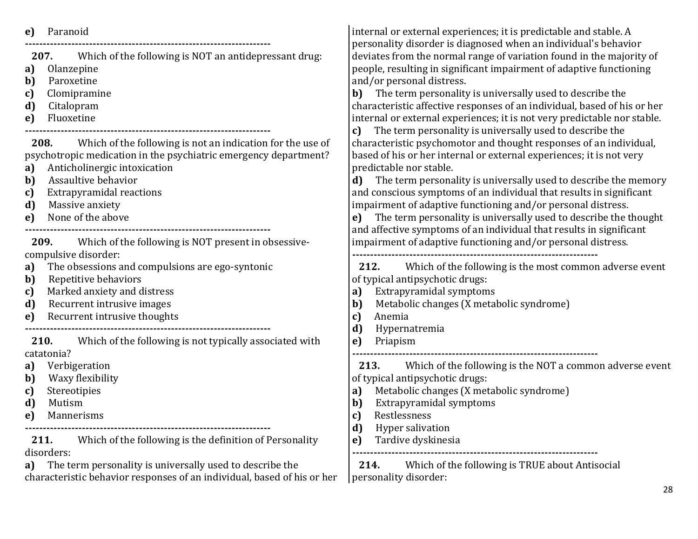**e)** Paranoid

**---------------------------------------------------------------------**

**207.** Which of the following is NOT an antidepressant drug:

**a)** Olanzepine

**b)** Paroxetine

**c)** Clomipramine

**d)** Citalopram

**e)** Fluoxetine

**---------------------------------------------------------------------**

**208.** Which of the following is not an indication for the use of psychotropic medication in the psychiatric emergency department?

**a)** Anticholinergic intoxication

**b)** Assaultive behavior

**c)** Extrapyramidal reactions

**d)** Massive anxiety

**e)** None of the above

**---------------------------------------------------------------------**

**209.** Which of the following is NOT present in obsessivecompulsive disorder:

**a)** The obsessions and compulsions are ego-syntonic

- **b)** Repetitive behaviors
- **c)** Marked anxiety and distress
- **d)** Recurrent intrusive images
- **e)** Recurrent intrusive thoughts

**---------------------------------------------------------------------**

**210.** Which of the following is not typically associated with catatonia?

**a)** Verbigeration

- **b)** Waxy flexibility
- **c)** Stereotipies
- **d)** Mutism
- **e)** Mannerisms

**---------------------------------------------------------------------**

**211.** Which of the following is the definition of Personality disorders:

**a)** The term personality is universally used to describe the characteristic behavior responses of an individual, based of his or her internal or external experiences; it is predictable and stable. A personality disorder is diagnosed when an individual's behavior deviates from the normal range of variation found in the majority of people, resulting in significant impairment of adaptive functioning and/or personal distress.

**b)** The term personality is universally used to describe the characteristic affective responses of an individual, based of his or her internal or external experiences; it is not very predictable nor stable.

**c)** The term personality is universally used to describe the characteristic psychomotor and thought responses of an individual, based of his or her internal or external experiences; it is not very predictable nor stable.

**d)** The term personality is universally used to describe the memory and conscious symptoms of an individual that results in significant impairment of adaptive functioning and/or personal distress.

**e)** The term personality is universally used to describe the thought and affective symptoms of an individual that results in significant impairment of adaptive functioning and/or personal distress. **---------------------------------------------------------------------**

**212.** Which of the following is the most common adverse event of typical antipsychotic drugs:

- **a)** Extrapyramidal symptoms
- **b)** Metabolic changes (X metabolic syndrome)
- **c)** Anemia
- **d)** Hypernatremia
- **e)** Priapism **---------------------------------------------------------------------**

**213.** Which of the following is the NOT a common adverse event of typical antipsychotic drugs:

- **a)** Metabolic changes (X metabolic syndrome)
- **b)** Extrapyramidal symptoms
- **c)** Restlessness
- **d)** Hyper salivation
- **e)** Tardive dyskinesia

**214.** Which of the following is TRUE about Antisocial personality disorder:

**---------------------------------------------------------------------**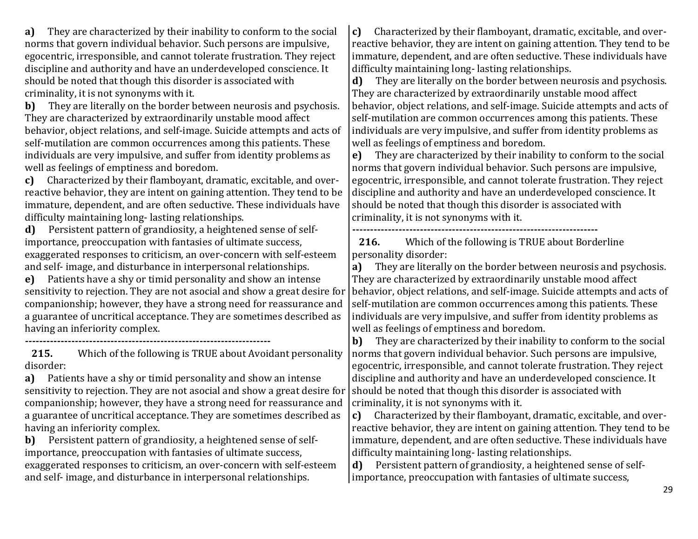**a)** They are characterized by their inability to conform to the social norms that govern individual behavior. Such persons are impulsive, egocentric, irresponsible, and cannot tolerate frustration. They reject discipline and authority and have an underdeveloped conscience. It should be noted that though this disorder is associated with criminality, it is not synonyms with it.

**b)** They are literally on the border between neurosis and psychosis. They are characterized by extraordinarily unstable mood affect behavior, object relations, and self-image. Suicide attempts and acts of self-mutilation are common occurrences among this patients. These individuals are very impulsive, and suffer from identity problems as well as feelings of emptiness and boredom.

**c)** Characterized by their flamboyant, dramatic, excitable, and overreactive behavior, they are intent on gaining attention. They tend to be immature, dependent, and are often seductive. These individuals have difficulty maintaining long- lasting relationships.

**d)** Persistent pattern of grandiosity, a heightened sense of selfimportance, preoccupation with fantasies of ultimate success, exaggerated responses to criticism, an over-concern with self-esteem and self- image, and disturbance in interpersonal relationships.

**e)** Patients have a shy or timid personality and show an intense sensitivity to rejection. They are not asocial and show a great desire for companionship; however, they have a strong need for reassurance and a guarantee of uncritical acceptance. They are sometimes described as having an inferiority complex.

**---------------------------------------------------------------------**

**215.** Which of the following is TRUE about Avoidant personality disorder:

**a)** Patients have a shy or timid personality and show an intense sensitivity to rejection. They are not asocial and show a great desire for companionship; however, they have a strong need for reassurance and a guarantee of uncritical acceptance. They are sometimes described as having an inferiority complex.

**b)** Persistent pattern of grandiosity, a heightened sense of selfimportance, preoccupation with fantasies of ultimate success, exaggerated responses to criticism, an over-concern with self-esteem and self- image, and disturbance in interpersonal relationships.

**c)** Characterized by their flamboyant, dramatic, excitable, and overreactive behavior, they are intent on gaining attention. They tend to be immature, dependent, and are often seductive. These individuals have difficulty maintaining long- lasting relationships.

**d)** They are literally on the border between neurosis and psychosis. They are characterized by extraordinarily unstable mood affect behavior, object relations, and self-image. Suicide attempts and acts of self-mutilation are common occurrences among this patients. These individuals are very impulsive, and suffer from identity problems as well as feelings of emptiness and boredom.

**e)** They are characterized by their inability to conform to the social norms that govern individual behavior. Such persons are impulsive, egocentric, irresponsible, and cannot tolerate frustration. They reject discipline and authority and have an underdeveloped conscience. It should be noted that though this disorder is associated with criminality, it is not synonyms with it.

**---------------------------------------------------------------------**

**216.** Which of the following is TRUE about Borderline personality disorder:

**a)** They are literally on the border between neurosis and psychosis. They are characterized by extraordinarily unstable mood affect behavior, object relations, and self-image. Suicide attempts and acts of self-mutilation are common occurrences among this patients. These individuals are very impulsive, and suffer from identity problems as well as feelings of emptiness and boredom.

**b)** They are characterized by their inability to conform to the social norms that govern individual behavior. Such persons are impulsive, egocentric, irresponsible, and cannot tolerate frustration. They reject discipline and authority and have an underdeveloped conscience. It should be noted that though this disorder is associated with criminality, it is not synonyms with it.

**c)** Characterized by their flamboyant, dramatic, excitable, and overreactive behavior, they are intent on gaining attention. They tend to be immature, dependent, and are often seductive. These individuals have difficulty maintaining long- lasting relationships.

**d)** Persistent pattern of grandiosity, a heightened sense of selfimportance, preoccupation with fantasies of ultimate success,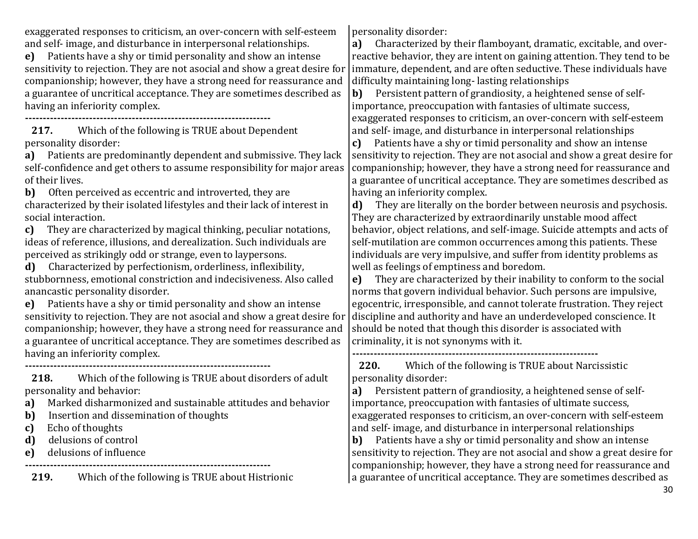exaggerated responses to criticism, an over-concern with self-esteem and self- image, and disturbance in interpersonal relationships.

**e)** Patients have a shy or timid personality and show an intense sensitivity to rejection. They are not asocial and show a great desire for companionship; however, they have a strong need for reassurance and a guarantee of uncritical acceptance. They are sometimes described as having an inferiority complex.

**---------------------------------------------------------------------**

**217.** Which of the following is TRUE about Dependent personality disorder:

**a)** Patients are predominantly dependent and submissive. They lack self-confidence and get others to assume responsibility for major areas of their lives.

**b)** Often perceived as eccentric and introverted, they are characterized by their isolated lifestyles and their lack of interest in social interaction.

**c)** They are characterized by magical thinking, peculiar notations, ideas of reference, illusions, and derealization. Such individuals are perceived as strikingly odd or strange, even to laypersons.

**d)** Characterized by perfectionism, orderliness, inflexibility, stubbornness, emotional constriction and indecisiveness. Also called anancastic personality disorder.

**e)** Patients have a shy or timid personality and show an intense sensitivity to rejection. They are not asocial and show a great desire for companionship; however, they have a strong need for reassurance and a guarantee of uncritical acceptance. They are sometimes described as having an inferiority complex.

**---------------------------------------------------------------------**

**218.** Which of the following is TRUE about disorders of adult personality and behavior:

- **a)** Marked disharmonized and sustainable attitudes and behavior
- **b)** Insertion and dissemination of thoughts
- **c)** Echo of thoughts
- **d)** delusions of control
- **e)** delusions of influence

**--------------------------------------------------------------------- 219.** Which of the following is TRUE about Histrionic personality disorder:

**a)** Characterized by their flamboyant, dramatic, excitable, and overreactive behavior, they are intent on gaining attention. They tend to be immature, dependent, and are often seductive. These individuals have difficulty maintaining long- lasting relationships

**b)** Persistent pattern of grandiosity, a heightened sense of selfimportance, preoccupation with fantasies of ultimate success, exaggerated responses to criticism, an over-concern with self-esteem and self- image, and disturbance in interpersonal relationships

**c)** Patients have a shy or timid personality and show an intense sensitivity to rejection. They are not asocial and show a great desire for companionship; however, they have a strong need for reassurance and a guarantee of uncritical acceptance. They are sometimes described as having an inferiority complex.

**d)** They are literally on the border between neurosis and psychosis. They are characterized by extraordinarily unstable mood affect behavior, object relations, and self-image. Suicide attempts and acts of self-mutilation are common occurrences among this patients. These individuals are very impulsive, and suffer from identity problems as well as feelings of emptiness and boredom.

**e)** They are characterized by their inability to conform to the social norms that govern individual behavior. Such persons are impulsive, egocentric, irresponsible, and cannot tolerate frustration. They reject discipline and authority and have an underdeveloped conscience. It should be noted that though this disorder is associated with criminality, it is not synonyms with it.

**--------------------------------------------------------------------- 220.** Which of the following is TRUE about Narcissistic

personality disorder:

**a)** Persistent pattern of grandiosity, a heightened sense of selfimportance, preoccupation with fantasies of ultimate success, exaggerated responses to criticism, an over-concern with self-esteem and self- image, and disturbance in interpersonal relationships

**b)** Patients have a shy or timid personality and show an intense sensitivity to rejection. They are not asocial and show a great desire for companionship; however, they have a strong need for reassurance and a guarantee of uncritical acceptance. They are sometimes described as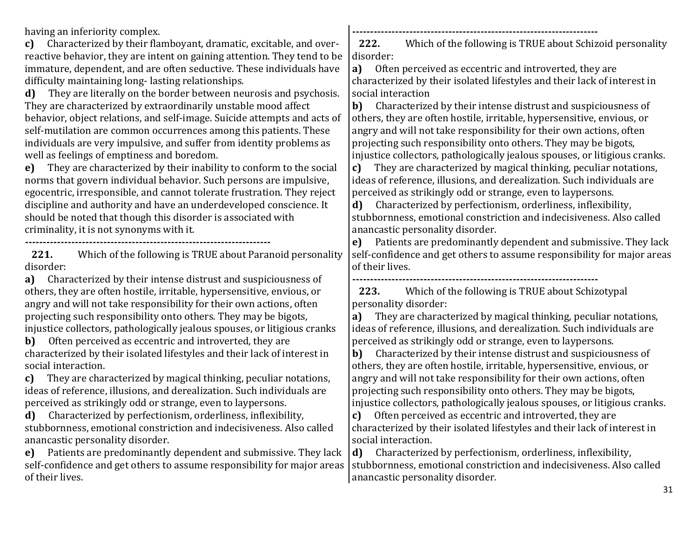having an inferiority complex.

**c)** Characterized by their flamboyant, dramatic, excitable, and overreactive behavior, they are intent on gaining attention. They tend to be immature, dependent, and are often seductive. These individuals have difficulty maintaining long- lasting relationships.

**d)** They are literally on the border between neurosis and psychosis. They are characterized by extraordinarily unstable mood affect behavior, object relations, and self-image. Suicide attempts and acts of self-mutilation are common occurrences among this patients. These individuals are very impulsive, and suffer from identity problems as well as feelings of emptiness and boredom.

**e)** They are characterized by their inability to conform to the social norms that govern individual behavior. Such persons are impulsive, egocentric, irresponsible, and cannot tolerate frustration. They reject discipline and authority and have an underdeveloped conscience. It should be noted that though this disorder is associated with criminality, it is not synonyms with it.

**---------------------------------------------------------------------**

**221.** Which of the following is TRUE about Paranoid personality disorder:

**a)** Characterized by their intense distrust and suspiciousness of others, they are often hostile, irritable, hypersensitive, envious, or angry and will not take responsibility for their own actions, often projecting such responsibility onto others. They may be bigots, injustice collectors, pathologically jealous spouses, or litigious cranks

**b)** Often perceived as eccentric and introverted, they are characterized by their isolated lifestyles and their lack of interest in social interaction.

**c)** They are characterized by magical thinking, peculiar notations, ideas of reference, illusions, and derealization. Such individuals are perceived as strikingly odd or strange, even to laypersons.

**d)** Characterized by perfectionism, orderliness, inflexibility, stubbornness, emotional constriction and indecisiveness. Also called anancastic personality disorder.

**e)** Patients are predominantly dependent and submissive. They lack self-confidence and get others to assume responsibility for major areas of their lives.

**222.** Which of the following is TRUE about Schizoid personality disorder:

**---------------------------------------------------------------------**

**a)** Often perceived as eccentric and introverted, they are characterized by their isolated lifestyles and their lack of interest in social interaction

**b)** Characterized by their intense distrust and suspiciousness of others, they are often hostile, irritable, hypersensitive, envious, or angry and will not take responsibility for their own actions, often projecting such responsibility onto others. They may be bigots, injustice collectors, pathologically jealous spouses, or litigious cranks.

**c)** They are characterized by magical thinking, peculiar notations, ideas of reference, illusions, and derealization. Such individuals are perceived as strikingly odd or strange, even to laypersons.

**d)** Characterized by perfectionism, orderliness, inflexibility, stubbornness, emotional constriction and indecisiveness. Also called anancastic personality disorder.

**e)** Patients are predominantly dependent and submissive. They lack self-confidence and get others to assume responsibility for major areas of their lives.

**--------------------------------------------------------------------- 223.** Which of the following is TRUE about Schizotypal personality disorder:

**a)** They are characterized by magical thinking, peculiar notations, ideas of reference, illusions, and derealization. Such individuals are perceived as strikingly odd or strange, even to laypersons.

**b)** Characterized by their intense distrust and suspiciousness of others, they are often hostile, irritable, hypersensitive, envious, or angry and will not take responsibility for their own actions, often projecting such responsibility onto others. They may be bigots, injustice collectors, pathologically jealous spouses, or litigious cranks.

**c)** Often perceived as eccentric and introverted, they are characterized by their isolated lifestyles and their lack of interest in social interaction.

**d)** Characterized by perfectionism, orderliness, inflexibility, stubbornness, emotional constriction and indecisiveness. Also called anancastic personality disorder.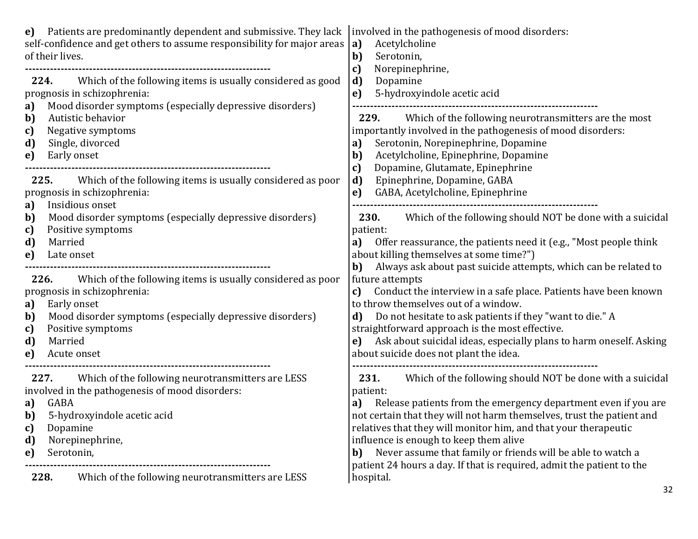| Patients are predominantly dependent and submissive. They lack<br>e)<br>self-confidence and get others to assume responsibility for major areas<br>of their lives.                                                                                                    | involved in the pathogenesis of mood disorders:<br>Acetylcholine<br>a)<br>b)<br>Serotonin,<br>Norepinephrine,<br>c)                                                                                                                                                                                                                                                                                                                                                                       |
|-----------------------------------------------------------------------------------------------------------------------------------------------------------------------------------------------------------------------------------------------------------------------|-------------------------------------------------------------------------------------------------------------------------------------------------------------------------------------------------------------------------------------------------------------------------------------------------------------------------------------------------------------------------------------------------------------------------------------------------------------------------------------------|
| 224. Which of the following items is usually considered as good<br>prognosis in schizophrenia:<br>Mood disorder symptoms (especially depressive disorders)<br>a)<br>b)<br>Autistic behavior<br>Negative symptoms<br>c)<br>Single, divorced<br>d)<br>e)<br>Early onset | d)<br>Dopamine<br>5-hydroxyindole acetic acid<br>e)<br>229. Which of the following neurotransmitters are the most<br>importantly involved in the pathogenesis of mood disorders:<br>Serotonin, Norepinephrine, Dopamine<br>a)<br>Acetylcholine, Epinephrine, Dopamine<br>b)<br>Dopamine, Glutamate, Epinephrine<br>c)                                                                                                                                                                     |
| 225. Which of the following items is usually considered as poor<br>prognosis in schizophrenia:<br>Insidious onset<br>a)                                                                                                                                               | d)<br>Epinephrine, Dopamine, GABA<br>GABA, Acetylcholine, Epinephrine<br>e)                                                                                                                                                                                                                                                                                                                                                                                                               |
| Mood disorder symptoms (especially depressive disorders)<br>b)<br>Positive symptoms<br>c)<br>d)<br>Married<br>e)<br>Late onset                                                                                                                                        | Which of the following should NOT be done with a suicidal<br>230.<br>patient:<br>Offer reassurance, the patients need it (e.g., "Most people think<br>a)<br>about killing themselves at some time?")                                                                                                                                                                                                                                                                                      |
| 226.<br>Which of the following items is usually considered as poor<br>prognosis in schizophrenia:<br>Early onset<br>a)<br>Mood disorder symptoms (especially depressive disorders)<br>b)<br>Positive symptoms<br>c)<br>d)<br>Married<br>Acute onset<br>e)             | Always ask about past suicide attempts, which can be related to<br>b)<br>future attempts<br>Conduct the interview in a safe place. Patients have been known<br>c)<br>to throw themselves out of a window.<br>Do not hesitate to ask patients if they "want to die." A<br>d)<br>straightforward approach is the most effective.<br>Ask about suicidal ideas, especially plans to harm oneself. Asking<br>e)<br>about suicide does not plant the idea.                                      |
| 227. Which of the following neurotransmitters are LESS<br>involved in the pathogenesis of mood disorders:<br>GABA<br>a)<br>5-hydroxyindole acetic acid<br>b)<br>Dopamine<br>c)<br>Norepinephrine,<br>d)<br>Serotonin,<br>e)                                           | Which of the following should NOT be done with a suicidal<br>231.<br>patient:<br>Release patients from the emergency department even if you are<br>a)<br>not certain that they will not harm themselves, trust the patient and<br>relatives that they will monitor him, and that your therapeutic<br>influence is enough to keep them alive<br>Never assume that family or friends will be able to watch a<br>b)<br>patient 24 hours a day. If that is required, admit the patient to the |
| Which of the following neurotransmitters are LESS<br>228.                                                                                                                                                                                                             | hospital.                                                                                                                                                                                                                                                                                                                                                                                                                                                                                 |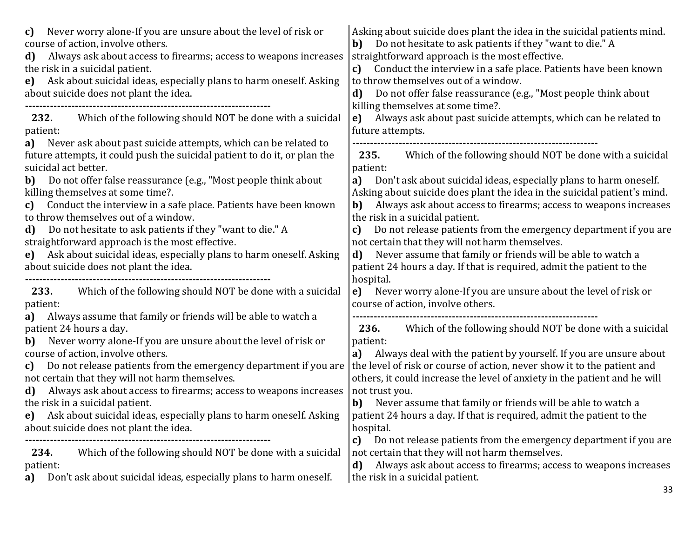| Never worry alone-If you are unsure about the level of risk or<br>C)<br>course of action, involve others.<br>Always ask about access to firearms; access to weapons increases<br>d)<br>the risk in a suicidal patient.<br>Ask about suicidal ideas, especially plans to harm oneself. Asking<br>e)<br>about suicide does not plant the idea.                                                                                                                                                         | Asking about suicide does plant the idea in the suicidal patients mind.<br>Do not hesitate to ask patients if they "want to die." A<br>b)<br>straightforward approach is the most effective.<br>Conduct the interview in a safe place. Patients have been known<br>c)<br>to throw themselves out of a window.<br>Do not offer false reassurance (e.g., "Most people think about<br>d)<br>killing themselves at some time?.                                                                                                                                              |
|------------------------------------------------------------------------------------------------------------------------------------------------------------------------------------------------------------------------------------------------------------------------------------------------------------------------------------------------------------------------------------------------------------------------------------------------------------------------------------------------------|-------------------------------------------------------------------------------------------------------------------------------------------------------------------------------------------------------------------------------------------------------------------------------------------------------------------------------------------------------------------------------------------------------------------------------------------------------------------------------------------------------------------------------------------------------------------------|
| Which of the following should NOT be done with a suicidal<br>232.<br>patient:<br>Never ask about past suicide attempts, which can be related to<br>a)                                                                                                                                                                                                                                                                                                                                                | Always ask about past suicide attempts, which can be related to<br>e)<br>future attempts.                                                                                                                                                                                                                                                                                                                                                                                                                                                                               |
| future attempts, it could push the suicidal patient to do it, or plan the<br>suicidal act better.<br><b>b)</b> Do not offer false reassurance (e.g., "Most people think about<br>killing themselves at some time?.<br>Conduct the interview in a safe place. Patients have been known<br>c)<br>to throw themselves out of a window.<br>Do not hesitate to ask patients if they "want to die." A<br>d)                                                                                                | Which of the following should NOT be done with a suicidal<br>235.<br>patient:<br>Don't ask about suicidal ideas, especially plans to harm oneself.<br>a)<br>Asking about suicide does plant the idea in the suicidal patient's mind.<br>Always ask about access to firearms; access to weapons increases<br>b)<br>the risk in a suicidal patient.<br>Do not release patients from the emergency department if you are<br>c)                                                                                                                                             |
| straightforward approach is the most effective.<br>Ask about suicidal ideas, especially plans to harm oneself. Asking<br>e)<br>about suicide does not plant the idea.                                                                                                                                                                                                                                                                                                                                | not certain that they will not harm themselves.<br>Never assume that family or friends will be able to watch a<br>d)<br>patient 24 hours a day. If that is required, admit the patient to the<br>hospital.                                                                                                                                                                                                                                                                                                                                                              |
| Which of the following should NOT be done with a suicidal<br>233.<br>patient:<br>Always assume that family or friends will be able to watch a<br>a)                                                                                                                                                                                                                                                                                                                                                  | Never worry alone-If you are unsure about the level of risk or<br>e)<br>course of action, involve others.                                                                                                                                                                                                                                                                                                                                                                                                                                                               |
| patient 24 hours a day.<br>Never worry alone-If you are unsure about the level of risk or<br>b)<br>course of action, involve others.<br>Do not release patients from the emergency department if you are<br>c)<br>not certain that they will not harm themselves.<br>Always ask about access to firearms; access to weapons increases<br>d)<br>the risk in a suicidal patient.<br>Ask about suicidal ideas, especially plans to harm oneself. Asking<br>e)<br>about suicide does not plant the idea. | Which of the following should NOT be done with a suicidal<br>236.<br>patient:<br>Always deal with the patient by yourself. If you are unsure about<br>a)<br>the level of risk or course of action, never show it to the patient and<br>others, it could increase the level of anxiety in the patient and he will<br>not trust you.<br>Never assume that family or friends will be able to watch a<br>b)<br>patient 24 hours a day. If that is required, admit the patient to the<br>hospital.<br>Do not release patients from the emergency department if you are<br>c) |
| Which of the following should NOT be done with a suicidal<br>234.<br>patient:<br>Don't ask about suicidal ideas, especially plans to harm oneself.<br>a)                                                                                                                                                                                                                                                                                                                                             | not certain that they will not harm themselves.<br>Always ask about access to firearms; access to weapons increases<br>d)<br>the risk in a suicidal patient.                                                                                                                                                                                                                                                                                                                                                                                                            |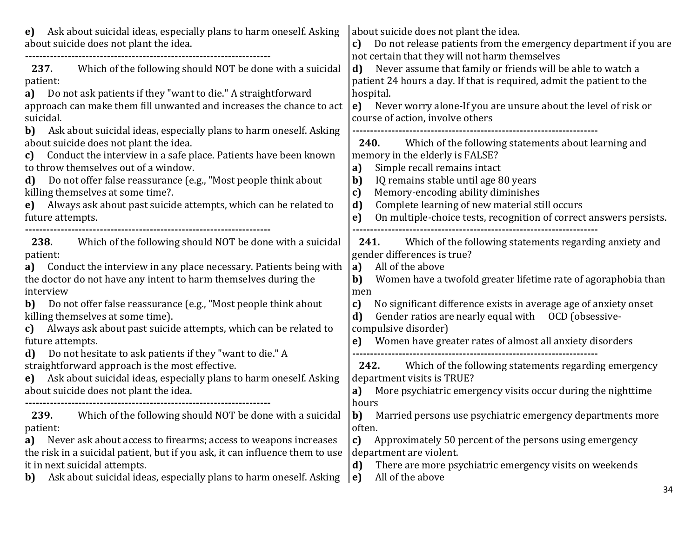| Ask about suicidal ideas, especially plans to harm oneself. Asking<br>e)<br>about suicide does not plant the idea.<br>237.<br>Which of the following should NOT be done with a suicidal<br>patient:<br>Do not ask patients if they "want to die." A straightforward<br>a)<br>approach can make them fill unwanted and increases the chance to act<br>suicidal.                                                                                                                                                                                                                                                                                                                                | about suicide does not plant the idea.<br>Do not release patients from the emergency department if you are<br>c)<br>not certain that they will not harm themselves<br>Never assume that family or friends will be able to watch a<br>d)<br>patient 24 hours a day. If that is required, admit the patient to the<br>hospital.<br>Never worry alone-If you are unsure about the level of risk or<br>e)<br>course of action, involve others                                                                                                                                                                     |
|-----------------------------------------------------------------------------------------------------------------------------------------------------------------------------------------------------------------------------------------------------------------------------------------------------------------------------------------------------------------------------------------------------------------------------------------------------------------------------------------------------------------------------------------------------------------------------------------------------------------------------------------------------------------------------------------------|---------------------------------------------------------------------------------------------------------------------------------------------------------------------------------------------------------------------------------------------------------------------------------------------------------------------------------------------------------------------------------------------------------------------------------------------------------------------------------------------------------------------------------------------------------------------------------------------------------------|
| Ask about suicidal ideas, especially plans to harm oneself. Asking<br>b)<br>about suicide does not plant the idea.<br>Conduct the interview in a safe place. Patients have been known<br>c)<br>to throw themselves out of a window.<br>Do not offer false reassurance (e.g., "Most people think about<br>d)<br>killing themselves at some time?.<br>Always ask about past suicide attempts, which can be related to<br>e)<br>future attempts.                                                                                                                                                                                                                                                 | Which of the following statements about learning and<br>240.<br>memory in the elderly is FALSE?<br>Simple recall remains intact<br>a)<br>$\mathbf{b}$<br>IQ remains stable until age 80 years<br>Memory-encoding ability diminishes<br>c)<br>Complete learning of new material still occurs<br>d)<br>On multiple-choice tests, recognition of correct answers persists.<br>e)                                                                                                                                                                                                                                 |
| Which of the following should NOT be done with a suicidal<br>238.<br>patient:<br>Conduct the interview in any place necessary. Patients being with<br>a)<br>the doctor do not have any intent to harm themselves during the<br>interview<br>Do not offer false reassurance (e.g., "Most people think about<br>b)<br>killing themselves at some time).<br>Always ask about past suicide attempts, which can be related to<br>C)<br>future attempts.<br>Do not hesitate to ask patients if they "want to die." A<br>d)<br>straightforward approach is the most effective.<br>Ask about suicidal ideas, especially plans to harm oneself. Asking<br>e)<br>about suicide does not plant the idea. | Which of the following statements regarding anxiety and<br>241.<br>gender differences is true?<br>a)<br>All of the above<br>Women have a twofold greater lifetime rate of agoraphobia than<br>b)<br>men<br>No significant difference exists in average age of anxiety onset<br>c)<br>d)<br>Gender ratios are nearly equal with OCD (obsessive-<br>compulsive disorder)<br>Women have greater rates of almost all anxiety disorders<br>e)<br>Which of the following statements regarding emergency<br>242.<br>department visits is TRUE?<br>More psychiatric emergency visits occur during the nighttime<br>a) |
| Which of the following should NOT be done with a suicidal<br>239.<br>patient:<br>Never ask about access to firearms; access to weapons increases<br>a)<br>the risk in a suicidal patient, but if you ask, it can influence them to use<br>it in next suicidal attempts.<br>Ask about suicidal ideas, especially plans to harm oneself. Asking<br>b)                                                                                                                                                                                                                                                                                                                                           | hours<br><b>b)</b> Married persons use psychiatric emergency departments more<br>often.<br>Approximately 50 percent of the persons using emergency<br>c)<br>department are violent.<br>There are more psychiatric emergency visits on weekends<br>d)<br>All of the above<br>$\vert$ e)<br>34                                                                                                                                                                                                                                                                                                                  |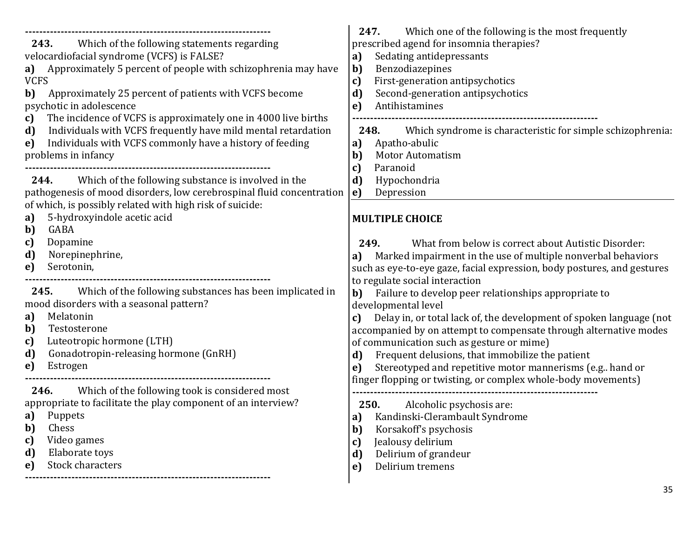| Which of the following statements regarding<br>243.<br>velocardiofacial syndrome (VCFS) is FALSE?<br>a) Approximately 5 percent of people with schizophrenia may have<br><b>VCFS</b><br>Approximately 25 percent of patients with VCFS become<br>b)<br>psychotic in adolescence<br>The incidence of VCFS is approximately one in 4000 live births<br>c)<br>Individuals with VCFS frequently have mild mental retardation<br>d)<br>Individuals with VCFS commonly have a history of feeding<br>e)<br>problems in infancy | Which one of the following is the most frequently<br>247.<br>prescribed agend for insomnia therapies?<br>Sedating antidepressants<br>a)<br>Benzodiazepines<br>b)<br>First-generation antipsychotics<br>c)<br>d)<br>Second-generation antipsychotics<br>Antihistamines<br>e)<br>Which syndrome is characteristic for simple schizophrenia:<br>248.<br>Apatho-abulic<br>a)<br>b)<br><b>Motor Automatism</b><br>c)<br>Paranoid                                                                                      |
|-------------------------------------------------------------------------------------------------------------------------------------------------------------------------------------------------------------------------------------------------------------------------------------------------------------------------------------------------------------------------------------------------------------------------------------------------------------------------------------------------------------------------|------------------------------------------------------------------------------------------------------------------------------------------------------------------------------------------------------------------------------------------------------------------------------------------------------------------------------------------------------------------------------------------------------------------------------------------------------------------------------------------------------------------|
| Which of the following substance is involved in the<br>244.<br>pathogenesis of mood disorders, low cerebrospinal fluid concentration                                                                                                                                                                                                                                                                                                                                                                                    | Hypochondria<br>d)<br>Depression<br>e)                                                                                                                                                                                                                                                                                                                                                                                                                                                                           |
| of which, is possibly related with high risk of suicide:<br>5-hydroxyindole acetic acid<br>a)<br>b)<br>GABA<br>Dopamine<br>c)<br>d)<br>Norepinephrine,<br>Serotonin,<br>e)                                                                                                                                                                                                                                                                                                                                              | <b>MULTIPLE CHOICE</b><br>What from below is correct about Autistic Disorder:<br>249.<br>Marked impairment in the use of multiple nonverbal behaviors<br>a)<br>such as eye-to-eye gaze, facial expression, body postures, and gestures                                                                                                                                                                                                                                                                           |
| Which of the following substances has been implicated in<br>245.<br>mood disorders with a seasonal pattern?<br>Melatonin<br>a)<br>Testosterone<br>b)<br>Luteotropic hormone (LTH)<br>c)<br>Gonadotropin-releasing hormone (GnRH)<br>d)<br>Estrogen<br>e)                                                                                                                                                                                                                                                                | to regulate social interaction<br>Failure to develop peer relationships appropriate to<br>b)<br>developmental level<br>Delay in, or total lack of, the development of spoken language (not<br>c)<br>accompanied by on attempt to compensate through alternative modes<br>of communication such as gesture or mime)<br>Frequent delusions, that immobilize the patient<br>d)<br>Stereotyped and repetitive motor mannerisms (e.g., hand or<br>e)<br>finger flopping or twisting, or complex whole-body movements) |
| Which of the following took is considered most<br>246.<br>appropriate to facilitate the play component of an interview?<br>a) Puppets<br>Chess<br>b)<br>Video games<br>c)<br>Elaborate toys<br>d)<br>Stock characters<br>e)                                                                                                                                                                                                                                                                                             | Alcoholic psychosis are:<br>250.<br>a) Kandinski-Clerambault Syndrome<br>b)<br>Korsakoff's psychosis<br>Jealousy delirium<br>c)<br>Delirium of grandeur<br>d)<br>Delirium tremens<br>e)<br>35                                                                                                                                                                                                                                                                                                                    |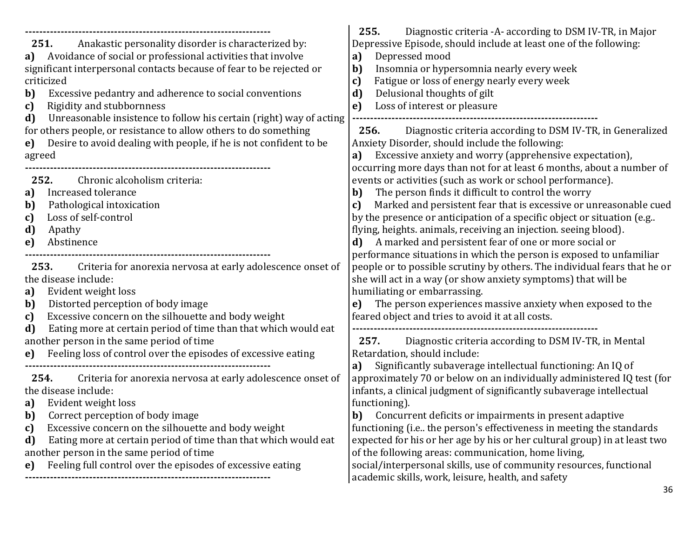| Anakastic personality disorder is characterized by:<br>251.<br>Avoidance of social or professional activities that involve<br>a)<br>significant interpersonal contacts because of fear to be rejected or<br>criticized<br>$\mathbf{b}$<br>Excessive pedantry and adherence to social conventions<br>Rigidity and stubbornness<br>$\mathbf{c}$<br>Unreasonable insistence to follow his certain (right) way of acting<br>d)<br>for others people, or resistance to allow others to do something | 255.<br>Diagnostic criteria - A according to DSM IV-TR, in Major<br>Depressive Episode, should include at least one of the following:<br>Depressed mood<br>a)<br>Insomnia or hypersomnia nearly every week<br>b)<br>Fatigue or loss of energy nearly every week<br>c)<br>Delusional thoughts of gilt<br>$\mathbf{d}$<br>Loss of interest or pleasure<br>e)<br>Diagnostic criteria according to DSM IV-TR, in Generalized<br>256.                                                                                                                                       |
|------------------------------------------------------------------------------------------------------------------------------------------------------------------------------------------------------------------------------------------------------------------------------------------------------------------------------------------------------------------------------------------------------------------------------------------------------------------------------------------------|------------------------------------------------------------------------------------------------------------------------------------------------------------------------------------------------------------------------------------------------------------------------------------------------------------------------------------------------------------------------------------------------------------------------------------------------------------------------------------------------------------------------------------------------------------------------|
| Desire to avoid dealing with people, if he is not confident to be<br>e)<br>agreed                                                                                                                                                                                                                                                                                                                                                                                                              | Anxiety Disorder, should include the following:<br>Excessive anxiety and worry (apprehensive expectation),<br>a)                                                                                                                                                                                                                                                                                                                                                                                                                                                       |
| 252.<br>Chronic alcoholism criteria:<br>Increased tolerance<br>a)<br>Pathological intoxication<br>b)<br>Loss of self-control<br>c)<br>d)<br>Apathy<br>Abstinence<br>e)                                                                                                                                                                                                                                                                                                                         | occurring more days than not for at least 6 months, about a number of<br>events or activities (such as work or school performance).<br>The person finds it difficult to control the worry<br>b)<br>Marked and persistent fear that is excessive or unreasonable cued<br>c)<br>by the presence or anticipation of a specific object or situation (e.g<br>flying, heights. animals, receiving an injection. seeing blood).<br>d) A marked and persistent fear of one or more social or<br>performance situations in which the person is exposed to unfamiliar            |
| 253.<br>Criteria for anorexia nervosa at early adolescence onset of<br>the disease include:<br>Evident weight loss<br>a)<br>Distorted perception of body image<br>b)<br>Excessive concern on the silhouette and body weight<br>c)                                                                                                                                                                                                                                                              | people or to possible scrutiny by others. The individual fears that he or<br>she will act in a way (or show anxiety symptoms) that will be<br>humiliating or embarrassing.<br>The person experiences massive anxiety when exposed to the<br>e)<br>feared object and tries to avoid it at all costs.                                                                                                                                                                                                                                                                    |
| Eating more at certain period of time than that which would eat<br>d)<br>another person in the same period of time<br>Feeling loss of control over the episodes of excessive eating<br>e)                                                                                                                                                                                                                                                                                                      | 257.<br>Diagnostic criteria according to DSM IV-TR, in Mental<br>Retardation, should include:<br>Significantly subaverage intellectual functioning: An IQ of<br>a)                                                                                                                                                                                                                                                                                                                                                                                                     |
| 254.<br>Criteria for anorexia nervosa at early adolescence onset of<br>the disease include:<br>Evident weight loss<br>a)<br>Correct perception of body image<br>b)<br>Excessive concern on the silhouette and body weight<br>c)<br>Eating more at certain period of time than that which would eat<br>d)<br>another person in the same period of time<br>Feeling full control over the episodes of excessive eating<br>e)                                                                      | approximately 70 or below on an individually administered IQ test (for<br>infants, a clinical judgment of significantly subaverage intellectual<br>functioning).<br>b) Concurrent deficits or impairments in present adaptive<br>functioning (i.e the person's effectiveness in meeting the standards<br>expected for his or her age by his or her cultural group) in at least two<br>of the following areas: communication, home living,<br>social/interpersonal skills, use of community resources, functional<br>academic skills, work, leisure, health, and safety |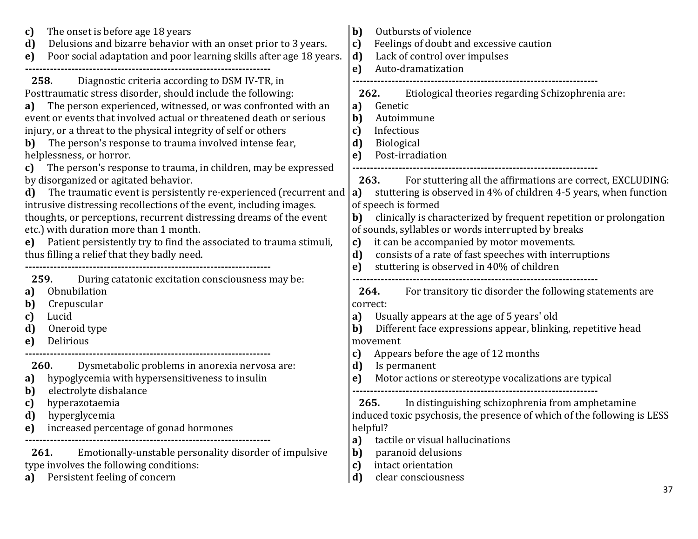| The onset is before age 18 years<br>c)<br>Delusions and bizarre behavior with an onset prior to 3 years.<br>d)<br>Poor social adaptation and poor learning skills after age 18 years.<br>e)                                                                                                                                                                                                                                                                                                                                                         | $\mathbf{b}$<br>Outbursts of violence<br>Feelings of doubt and excessive caution<br>c)<br>d)<br>Lack of control over impulses<br>Auto-dramatization<br>e)                                                                                                                                                                                                                                               |
|-----------------------------------------------------------------------------------------------------------------------------------------------------------------------------------------------------------------------------------------------------------------------------------------------------------------------------------------------------------------------------------------------------------------------------------------------------------------------------------------------------------------------------------------------------|---------------------------------------------------------------------------------------------------------------------------------------------------------------------------------------------------------------------------------------------------------------------------------------------------------------------------------------------------------------------------------------------------------|
| Diagnostic criteria according to DSM IV-TR, in<br>258.<br>Posttraumatic stress disorder, should include the following:<br>The person experienced, witnessed, or was confronted with an<br>a)<br>event or events that involved actual or threatened death or serious<br>injury, or a threat to the physical integrity of self or others<br>The person's response to trauma involved intense fear,<br>b)<br>helplessness, or horror.<br>The person's response to trauma, in children, may be expressed<br>c)<br>by disorganized or agitated behavior. | Etiological theories regarding Schizophrenia are:<br>262.<br>Genetic<br>a)<br>b)<br>Autoimmune<br>Infectious<br>c)<br>d)<br><b>Biological</b><br>Post-irradiation<br>e)<br>For stuttering all the affirmations are correct, EXCLUDING:<br>263.                                                                                                                                                          |
| The traumatic event is persistently re-experienced (recurrent and<br>d)<br>intrusive distressing recollections of the event, including images.<br>thoughts, or perceptions, recurrent distressing dreams of the event<br>etc.) with duration more than 1 month.<br>Patient persistently try to find the associated to trauma stimuli,<br>$e$ )<br>thus filling a relief that they badly need.<br>During catatonic excitation consciousness may be:<br>259.                                                                                          | stuttering is observed in 4% of children 4-5 years, when function<br>a)<br>of speech is formed<br>clinically is characterized by frequent repetition or prolongation<br>b)<br>of sounds, syllables or words interrupted by breaks<br>it can be accompanied by motor movements.<br>c)<br>d)<br>consists of a rate of fast speeches with interruptions<br>stuttering is observed in 40% of children<br>e) |
| Obnubilation<br>a)<br>Crepuscular<br>b)<br>Lucid<br>c)<br>d)<br>Oneroid type<br>Delirious<br>e)                                                                                                                                                                                                                                                                                                                                                                                                                                                     | For transitory tic disorder the following statements are<br>264.<br>correct:<br>Usually appears at the age of 5 years' old<br>a)<br>Different face expressions appear, blinking, repetitive head<br>b)<br>movement                                                                                                                                                                                      |
| 260.<br>Dysmetabolic problems in anorexia nervosa are:<br>hypoglycemia with hypersensitiveness to insulin<br>a)<br>electrolyte disbalance<br>b)<br>hyperazotaemia<br>c)<br>d)<br>hyperglycemia<br>increased percentage of gonad hormones<br>e)                                                                                                                                                                                                                                                                                                      | Appears before the age of 12 months<br>c)<br>d)<br>Is permanent<br>Motor actions or stereotype vocalizations are typical<br>e)<br>In distinguishing schizophrenia from amphetamine<br>265.<br>induced toxic psychosis, the presence of which of the following is LESS<br>helpful?                                                                                                                       |
| Emotionally-unstable personality disorder of impulsive<br>261.<br>type involves the following conditions:<br>Persistent feeling of concern<br>a)                                                                                                                                                                                                                                                                                                                                                                                                    | tactile or visual hallucinations<br>a)<br>b)<br>paranoid delusions<br>intact orientation<br>c)<br>clear consciousness<br>d)<br>37                                                                                                                                                                                                                                                                       |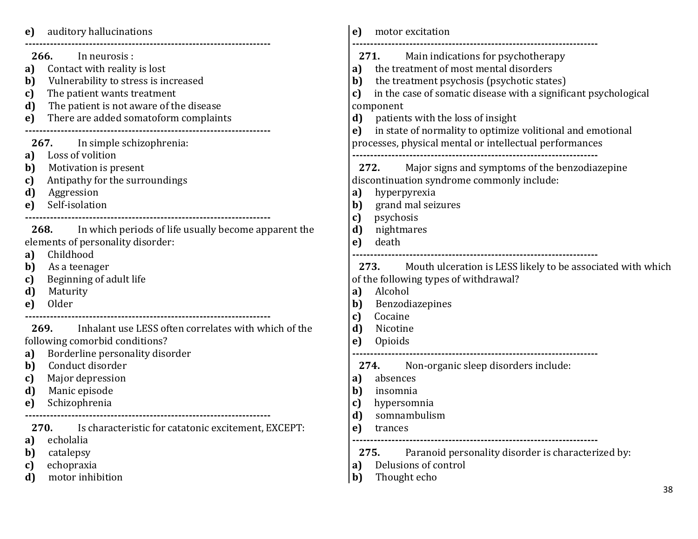| auditory hallucinations<br>e)                                                                                                                                                                                                                                                                                | e)<br>motor excitation                                                                                                                                                                                                                                                                                                                              |
|--------------------------------------------------------------------------------------------------------------------------------------------------------------------------------------------------------------------------------------------------------------------------------------------------------------|-----------------------------------------------------------------------------------------------------------------------------------------------------------------------------------------------------------------------------------------------------------------------------------------------------------------------------------------------------|
| 266.<br>In neurosis :<br>Contact with reality is lost<br>a)<br>Vulnerability to stress is increased<br>b)<br>The patient wants treatment<br>c)<br>The patient is not aware of the disease<br>d)<br>There are added somatoform complaints<br>e)                                                               | 271.<br>Main indications for psychotherapy<br>the treatment of most mental disorders<br>a)<br>the treatment psychosis (psychotic states)<br>b)<br>in the case of somatic disease with a significant psychological<br>c)<br>component<br>patients with the loss of insight<br>d)<br>in state of normality to optimize volitional and emotional<br>e) |
| 267. In simple schizophrenia:<br>Loss of volition<br>a)<br>Motivation is present<br>b)<br>Antipathy for the surroundings<br>c)<br>d)<br>Aggression<br>Self-isolation<br>e)                                                                                                                                   | processes, physical mental or intellectual performances<br>Major signs and symptoms of the benzodiazepine<br>272.<br>discontinuation syndrome commonly include:<br>hyperpyrexia<br>a)<br>grand mal seizures<br>b)                                                                                                                                   |
| In which periods of life usually become apparent the<br>268.<br>elements of personality disorder:<br>Childhood<br>a)<br>b)<br>As a teenager<br>Beginning of adult life<br>c)<br>d)<br>Maturity<br>Older<br>e)                                                                                                | psychosis<br>c)<br>d)<br>nightmares<br>death<br>e)<br>273. Mouth ulceration is LESS likely to be associated with which<br>of the following types of withdrawal?<br>Alcohol<br>a)<br>b)<br>Benzodiazepines                                                                                                                                           |
| <b>269.</b> Inhalant use LESS often correlates with which of the<br>following comorbid conditions?<br>Borderline personality disorder<br>a)<br>Conduct disorder<br>b)<br>Major depression<br>c)<br>Manic episode<br>d)<br>Schizophrenia<br>e)<br>270.<br>Is characteristic for catatonic excitement, EXCEPT: | Cocaine<br>c)<br>d)<br>Nicotine<br>Opioids<br>e)<br>Non-organic sleep disorders include:<br>274.<br>absences<br>a)<br>b)<br>insomnia<br>hypersomnia<br>c)<br>d)<br>somnambulism<br>e)<br>trances                                                                                                                                                    |
| echolalia<br>a)<br>catalepsy<br>b)<br>echopraxia<br>c)<br>motor inhibition<br>d)                                                                                                                                                                                                                             | Paranoid personality disorder is characterized by:<br>275.<br>Delusions of control<br>a)<br>Thought echo<br>$\mathbf{b}$<br>38                                                                                                                                                                                                                      |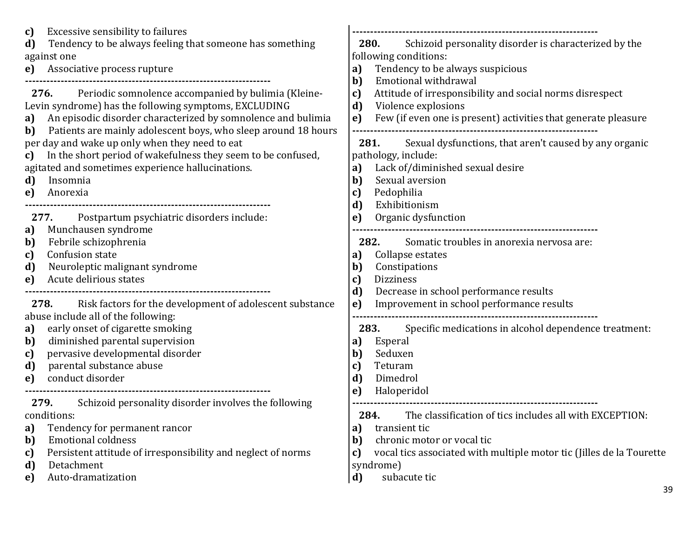| Excessive sensibility to failures                                                                                                                                                                                                                                                                                                                                                                                                                                                   | Schizoid personality disorder is characterized by the                                                                                                                                                                                                                                                                                                                      |
|-------------------------------------------------------------------------------------------------------------------------------------------------------------------------------------------------------------------------------------------------------------------------------------------------------------------------------------------------------------------------------------------------------------------------------------------------------------------------------------|----------------------------------------------------------------------------------------------------------------------------------------------------------------------------------------------------------------------------------------------------------------------------------------------------------------------------------------------------------------------------|
| c)                                                                                                                                                                                                                                                                                                                                                                                                                                                                                  | 280.                                                                                                                                                                                                                                                                                                                                                                       |
| Tendency to be always feeling that someone has something                                                                                                                                                                                                                                                                                                                                                                                                                            | following conditions:                                                                                                                                                                                                                                                                                                                                                      |
| d)                                                                                                                                                                                                                                                                                                                                                                                                                                                                                  | Tendency to be always suspicious                                                                                                                                                                                                                                                                                                                                           |
| against one                                                                                                                                                                                                                                                                                                                                                                                                                                                                         | a)                                                                                                                                                                                                                                                                                                                                                                         |
| Associative process rupture                                                                                                                                                                                                                                                                                                                                                                                                                                                         | Emotional withdrawal                                                                                                                                                                                                                                                                                                                                                       |
| e)                                                                                                                                                                                                                                                                                                                                                                                                                                                                                  | b)                                                                                                                                                                                                                                                                                                                                                                         |
| Periodic somnolence accompanied by bulimia (Kleine-<br>276.<br>Levin syndrome) has the following symptoms, EXCLUDING<br>An episodic disorder characterized by somnolence and bulimia<br>a)<br>Patients are mainly adolescent boys, who sleep around 18 hours<br>b)<br>per day and wake up only when they need to eat<br>In the short period of wakefulness they seem to be confused,<br>c)<br>agitated and sometimes experience hallucinations.<br>Insomnia<br>d)<br>e)<br>Anorexia | Attitude of irresponsibility and social norms disrespect<br>c)<br>d)<br>Violence explosions<br>Few (if even one is present) activities that generate pleasure<br>e)<br>Sexual dysfunctions, that aren't caused by any organic<br>281.<br>pathology, include:<br>Lack of/diminished sexual desire<br>a)<br>Sexual aversion<br>b)<br>Pedophilia<br>c)<br>Exhibitionism<br>d) |
| Postpartum psychiatric disorders include:                                                                                                                                                                                                                                                                                                                                                                                                                                           | Organic dysfunction                                                                                                                                                                                                                                                                                                                                                        |
| 277.                                                                                                                                                                                                                                                                                                                                                                                                                                                                                | e)                                                                                                                                                                                                                                                                                                                                                                         |
| Munchausen syndrome                                                                                                                                                                                                                                                                                                                                                                                                                                                                 | 282.                                                                                                                                                                                                                                                                                                                                                                       |
| a)                                                                                                                                                                                                                                                                                                                                                                                                                                                                                  | Somatic troubles in anorexia nervosa are:                                                                                                                                                                                                                                                                                                                                  |
| Febrile schizophrenia                                                                                                                                                                                                                                                                                                                                                                                                                                                               | Collapse estates                                                                                                                                                                                                                                                                                                                                                           |
| b)                                                                                                                                                                                                                                                                                                                                                                                                                                                                                  | a)                                                                                                                                                                                                                                                                                                                                                                         |
| Confusion state                                                                                                                                                                                                                                                                                                                                                                                                                                                                     | Constipations                                                                                                                                                                                                                                                                                                                                                              |
| c)                                                                                                                                                                                                                                                                                                                                                                                                                                                                                  | b)                                                                                                                                                                                                                                                                                                                                                                         |
| Neuroleptic malignant syndrome                                                                                                                                                                                                                                                                                                                                                                                                                                                      | <b>Dizziness</b>                                                                                                                                                                                                                                                                                                                                                           |
| d)                                                                                                                                                                                                                                                                                                                                                                                                                                                                                  | C)                                                                                                                                                                                                                                                                                                                                                                         |
| Acute delirious states                                                                                                                                                                                                                                                                                                                                                                                                                                                              | Decrease in school performance results                                                                                                                                                                                                                                                                                                                                     |
| e)                                                                                                                                                                                                                                                                                                                                                                                                                                                                                  | d)                                                                                                                                                                                                                                                                                                                                                                         |
|                                                                                                                                                                                                                                                                                                                                                                                                                                                                                     | Improvement in school performance results                                                                                                                                                                                                                                                                                                                                  |
| 278. Risk factors for the development of adolescent substance                                                                                                                                                                                                                                                                                                                                                                                                                       | e)                                                                                                                                                                                                                                                                                                                                                                         |
| abuse include all of the following:                                                                                                                                                                                                                                                                                                                                                                                                                                                 | 283.                                                                                                                                                                                                                                                                                                                                                                       |
| early onset of cigarette smoking                                                                                                                                                                                                                                                                                                                                                                                                                                                    | Specific medications in alcohol dependence treatment:                                                                                                                                                                                                                                                                                                                      |
| a)                                                                                                                                                                                                                                                                                                                                                                                                                                                                                  | Esperal                                                                                                                                                                                                                                                                                                                                                                    |
| diminished parental supervision                                                                                                                                                                                                                                                                                                                                                                                                                                                     | a)                                                                                                                                                                                                                                                                                                                                                                         |
| b)                                                                                                                                                                                                                                                                                                                                                                                                                                                                                  | Seduxen                                                                                                                                                                                                                                                                                                                                                                    |
| pervasive developmental disorder                                                                                                                                                                                                                                                                                                                                                                                                                                                    | b)                                                                                                                                                                                                                                                                                                                                                                         |
| c)                                                                                                                                                                                                                                                                                                                                                                                                                                                                                  | Teturam                                                                                                                                                                                                                                                                                                                                                                    |
| parental substance abuse                                                                                                                                                                                                                                                                                                                                                                                                                                                            | c)                                                                                                                                                                                                                                                                                                                                                                         |
| d)                                                                                                                                                                                                                                                                                                                                                                                                                                                                                  | Dimedrol                                                                                                                                                                                                                                                                                                                                                                   |
| conduct disorder                                                                                                                                                                                                                                                                                                                                                                                                                                                                    | d)                                                                                                                                                                                                                                                                                                                                                                         |
| e)                                                                                                                                                                                                                                                                                                                                                                                                                                                                                  | Haloperidol                                                                                                                                                                                                                                                                                                                                                                |
|                                                                                                                                                                                                                                                                                                                                                                                                                                                                                     | e)                                                                                                                                                                                                                                                                                                                                                                         |
| Schizoid personality disorder involves the following<br>279.<br>conditions:<br>Tendency for permanent rancor<br>a)<br><b>Emotional coldness</b><br>b)<br>Persistent attitude of irresponsibility and neglect of norms<br>c)<br>Detachment<br>d)<br>Auto-dramatization<br>e)                                                                                                                                                                                                         | The classification of tics includes all with EXCEPTION:<br>284.<br>transient tic<br>a)<br>chronic motor or vocal tic<br>b)<br>vocal tics associated with multiple motor tic (Jilles de la Tourette<br>c)<br>syndrome)<br>subacute tic<br>$\mathbf{d}$                                                                                                                      |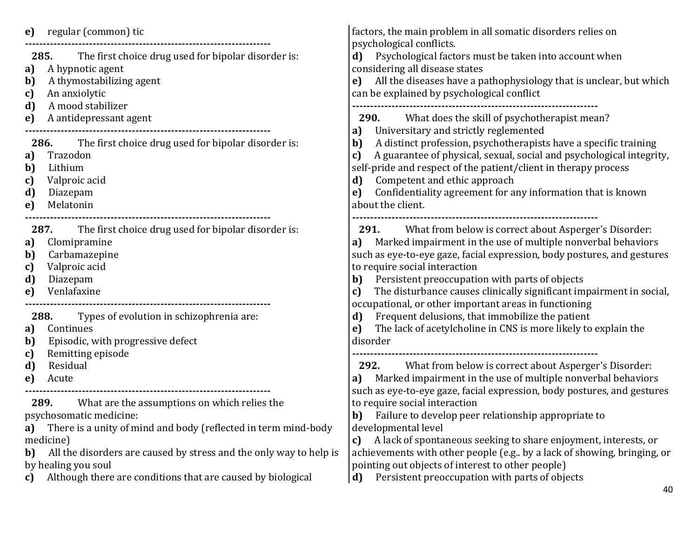| can be explained by psychological conflict<br>An anxiolytic<br>c)<br>A mood stabilizer<br>d)<br>What does the skill of psychotherapist mean?<br>A antidepressant agent<br>290.<br>e)<br>Universitary and strictly reglemented<br>a)<br>A distinct profession, psychotherapists have a specific training<br>The first choice drug used for bipolar disorder is:<br>286.<br>b)<br>Trazodon<br>a)<br>c)<br>Lithium<br>self-pride and respect of the patient/client in therapy process<br>b)<br>Competent and ethic approach<br>Valproic acid<br>d)<br>C)<br>Confidentiality agreement for any information that is known<br>d)<br>Diazepam<br>e)<br>Melatonin<br>about the client.<br>e)<br>What from below is correct about Asperger's Disorder:<br>The first choice drug used for bipolar disorder is:<br>287.<br>291.<br>Marked impairment in the use of multiple nonverbal behaviors<br>Clomipramine<br>a)<br>a)<br>Carbamazepine<br>b)<br>Valproic acid<br>to require social interaction<br>c)<br>Persistent preoccupation with parts of objects<br>d)<br>Diazepam<br>b)<br>Venlafaxine<br>c)<br>e)<br>occupational, or other important areas in functioning<br>Frequent delusions, that immobilize the patient<br>Types of evolution in schizophrenia are:<br>288.<br>d)<br>The lack of acetylcholine in CNS is more likely to explain the<br>Continues<br>e)<br>a)<br>Episodic, with progressive defect<br>disorder<br>b)<br>Remitting episode<br>c)<br>d)<br>What from below is correct about Asperger's Disorder:<br>Residual<br>292.<br>a) Marked impairment in the use of multiple nonverbal behaviors<br>Acute<br>e)<br>such as eye-to-eye gaze, facial expression, body postures, and gestures<br>What are the assumptions on which relies the<br>to require social interaction<br>289.<br><b>b)</b> Failure to develop peer relationship appropriate to<br>psychosomatic medicine:<br>There is a unity of mind and body (reflected in term mind-body<br>developmental level<br>a)<br>A lack of spontaneous seeking to share enjoyment, interests, or<br>medicine)<br>C)<br>All the disorders are caused by stress and the only way to help is<br>b)<br>by healing you soul<br>pointing out objects of interest to other people)<br>Persistent preoccupation with parts of objects<br>Although there are conditions that are caused by biological<br>d)<br>C) | regular (common) tic<br>e)<br>285. The first choice drug used for bipolar disorder is:<br>A hypnotic agent<br>a)<br>A thymostabilizing agent<br>b) | factors, the main problem in all somatic disorders relies on<br>psychological conflicts.<br>d) Psychological factors must be taken into account when<br>considering all disease states<br>e) All the diseases have a pathophysiology that is unclear, but which |
|------------------------------------------------------------------------------------------------------------------------------------------------------------------------------------------------------------------------------------------------------------------------------------------------------------------------------------------------------------------------------------------------------------------------------------------------------------------------------------------------------------------------------------------------------------------------------------------------------------------------------------------------------------------------------------------------------------------------------------------------------------------------------------------------------------------------------------------------------------------------------------------------------------------------------------------------------------------------------------------------------------------------------------------------------------------------------------------------------------------------------------------------------------------------------------------------------------------------------------------------------------------------------------------------------------------------------------------------------------------------------------------------------------------------------------------------------------------------------------------------------------------------------------------------------------------------------------------------------------------------------------------------------------------------------------------------------------------------------------------------------------------------------------------------------------------------------------------------------------------------------------------------------------------------------------------------------------------------------------------------------------------------------------------------------------------------------------------------------------------------------------------------------------------------------------------------------------------------------------------------------------------------------------------------------------------------------------------------------------------------|----------------------------------------------------------------------------------------------------------------------------------------------------|-----------------------------------------------------------------------------------------------------------------------------------------------------------------------------------------------------------------------------------------------------------------|
|                                                                                                                                                                                                                                                                                                                                                                                                                                                                                                                                                                                                                                                                                                                                                                                                                                                                                                                                                                                                                                                                                                                                                                                                                                                                                                                                                                                                                                                                                                                                                                                                                                                                                                                                                                                                                                                                                                                                                                                                                                                                                                                                                                                                                                                                                                                                                                        |                                                                                                                                                    |                                                                                                                                                                                                                                                                 |
|                                                                                                                                                                                                                                                                                                                                                                                                                                                                                                                                                                                                                                                                                                                                                                                                                                                                                                                                                                                                                                                                                                                                                                                                                                                                                                                                                                                                                                                                                                                                                                                                                                                                                                                                                                                                                                                                                                                                                                                                                                                                                                                                                                                                                                                                                                                                                                        |                                                                                                                                                    |                                                                                                                                                                                                                                                                 |
|                                                                                                                                                                                                                                                                                                                                                                                                                                                                                                                                                                                                                                                                                                                                                                                                                                                                                                                                                                                                                                                                                                                                                                                                                                                                                                                                                                                                                                                                                                                                                                                                                                                                                                                                                                                                                                                                                                                                                                                                                                                                                                                                                                                                                                                                                                                                                                        |                                                                                                                                                    | A guarantee of physical, sexual, social and psychological integrity,                                                                                                                                                                                            |
|                                                                                                                                                                                                                                                                                                                                                                                                                                                                                                                                                                                                                                                                                                                                                                                                                                                                                                                                                                                                                                                                                                                                                                                                                                                                                                                                                                                                                                                                                                                                                                                                                                                                                                                                                                                                                                                                                                                                                                                                                                                                                                                                                                                                                                                                                                                                                                        |                                                                                                                                                    | such as eye-to-eye gaze, facial expression, body postures, and gestures<br>The disturbance causes clinically significant impairment in social,                                                                                                                  |
|                                                                                                                                                                                                                                                                                                                                                                                                                                                                                                                                                                                                                                                                                                                                                                                                                                                                                                                                                                                                                                                                                                                                                                                                                                                                                                                                                                                                                                                                                                                                                                                                                                                                                                                                                                                                                                                                                                                                                                                                                                                                                                                                                                                                                                                                                                                                                                        |                                                                                                                                                    |                                                                                                                                                                                                                                                                 |
|                                                                                                                                                                                                                                                                                                                                                                                                                                                                                                                                                                                                                                                                                                                                                                                                                                                                                                                                                                                                                                                                                                                                                                                                                                                                                                                                                                                                                                                                                                                                                                                                                                                                                                                                                                                                                                                                                                                                                                                                                                                                                                                                                                                                                                                                                                                                                                        |                                                                                                                                                    |                                                                                                                                                                                                                                                                 |
|                                                                                                                                                                                                                                                                                                                                                                                                                                                                                                                                                                                                                                                                                                                                                                                                                                                                                                                                                                                                                                                                                                                                                                                                                                                                                                                                                                                                                                                                                                                                                                                                                                                                                                                                                                                                                                                                                                                                                                                                                                                                                                                                                                                                                                                                                                                                                                        |                                                                                                                                                    | achievements with other people (e.g by a lack of showing, bringing, or                                                                                                                                                                                          |
|                                                                                                                                                                                                                                                                                                                                                                                                                                                                                                                                                                                                                                                                                                                                                                                                                                                                                                                                                                                                                                                                                                                                                                                                                                                                                                                                                                                                                                                                                                                                                                                                                                                                                                                                                                                                                                                                                                                                                                                                                                                                                                                                                                                                                                                                                                                                                                        |                                                                                                                                                    | 40                                                                                                                                                                                                                                                              |

40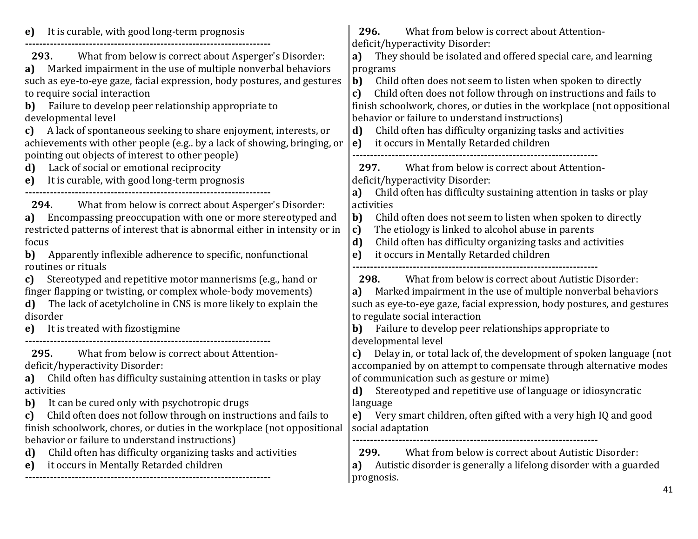| It is curable, with good long-term prognosis<br>e)                                                                                                                                                                                                                                                                                                                                                                                                                                                                                | 296.<br>What from below is correct about Attention-                                                                                                                                                                                                                                                                                                                                                                                                                                                                   |
|-----------------------------------------------------------------------------------------------------------------------------------------------------------------------------------------------------------------------------------------------------------------------------------------------------------------------------------------------------------------------------------------------------------------------------------------------------------------------------------------------------------------------------------|-----------------------------------------------------------------------------------------------------------------------------------------------------------------------------------------------------------------------------------------------------------------------------------------------------------------------------------------------------------------------------------------------------------------------------------------------------------------------------------------------------------------------|
| What from below is correct about Asperger's Disorder:<br>293.<br>Marked impairment in the use of multiple nonverbal behaviors<br>a)<br>such as eye-to-eye gaze, facial expression, body postures, and gestures<br>to require social interaction<br>Failure to develop peer relationship appropriate to<br>b)<br>developmental level<br>A lack of spontaneous seeking to share enjoyment, interests, or<br>c)<br>achievements with other people (e.g., by a lack of showing, bringing, or                                          | deficit/hyperactivity Disorder:<br>They should be isolated and offered special care, and learning<br>a)<br>programs<br>b)<br>Child often does not seem to listen when spoken to directly<br>Child often does not follow through on instructions and fails to<br>c)<br>finish schoolwork, chores, or duties in the workplace (not oppositional<br>behavior or failure to understand instructions)<br>Child often has difficulty organizing tasks and activities<br>d)<br>e)<br>it occurs in Mentally Retarded children |
| pointing out objects of interest to other people)<br>Lack of social or emotional reciprocity<br>d)<br>It is curable, with good long-term prognosis<br>e)                                                                                                                                                                                                                                                                                                                                                                          | What from below is correct about Attention-<br>297.<br>deficit/hyperactivity Disorder:<br>Child often has difficulty sustaining attention in tasks or play<br>a)                                                                                                                                                                                                                                                                                                                                                      |
| What from below is correct about Asperger's Disorder:<br>294.<br>Encompassing preoccupation with one or more stereotyped and<br>a)<br>restricted patterns of interest that is abnormal either in intensity or in<br>focus<br>Apparently inflexible adherence to specific, nonfunctional<br>b)<br>routines or rituals<br>Stereotyped and repetitive motor mannerisms (e.g., hand or<br>c)<br>finger flapping or twisting, or complex whole-body movements)<br>The lack of acetylcholine in CNS is more likely to explain the<br>d) | activities<br>Child often does not seem to listen when spoken to directly<br>b)<br>The etiology is linked to alcohol abuse in parents<br>c)<br>d)<br>Child often has difficulty organizing tasks and activities<br>it occurs in Mentally Retarded children<br>e)<br>What from below is correct about Autistic Disorder:<br>298.<br>Marked impairment in the use of multiple nonverbal behaviors<br>a)<br>such as eye-to-eye gaze, facial expression, body postures, and gestures                                      |
| disorder<br>It is treated with fizostigmine<br>e)                                                                                                                                                                                                                                                                                                                                                                                                                                                                                 | to regulate social interaction<br>Failure to develop peer relationships appropriate to<br>b)<br>developmental level                                                                                                                                                                                                                                                                                                                                                                                                   |
| 295.<br>What from below is correct about Attention-<br>deficit/hyperactivity Disorder:<br>Child often has difficulty sustaining attention in tasks or play<br>a)<br>activities<br>It can be cured only with psychotropic drugs<br>b)<br>Child often does not follow through on instructions and fails to<br>c)<br>finish schoolwork, chores, or duties in the workplace (not oppositional<br>behavior or failure to understand instructions)                                                                                      | Delay in, or total lack of, the development of spoken language (not<br>C)<br>accompanied by on attempt to compensate through alternative modes<br>of communication such as gesture or mime)<br>Stereotyped and repetitive use of language or idiosyncratic<br>d)<br>language<br>e) Very smart children, often gifted with a very high IQ and good<br>social adaptation                                                                                                                                                |
| Child often has difficulty organizing tasks and activities<br>d)<br>it occurs in Mentally Retarded children<br>e)                                                                                                                                                                                                                                                                                                                                                                                                                 | What from below is correct about Autistic Disorder:<br>299.<br>Autistic disorder is generally a lifelong disorder with a guarded<br>a)<br>prognosis.                                                                                                                                                                                                                                                                                                                                                                  |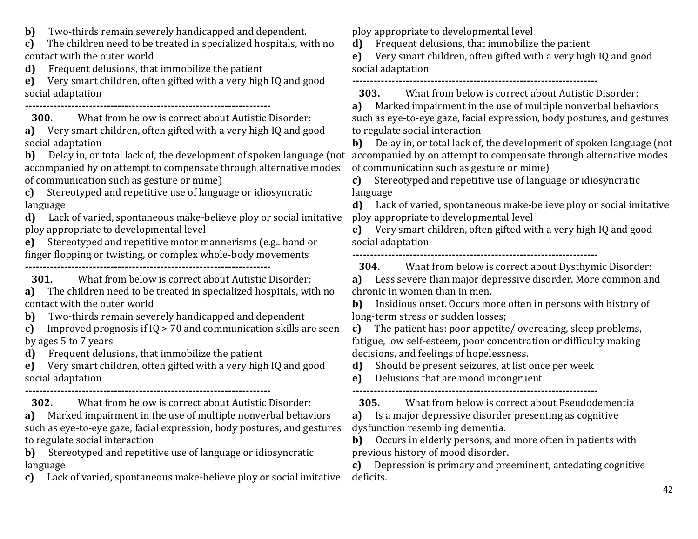| Two-thirds remain severely handicapped and dependent.<br>b)<br>The children need to be treated in specialized hospitals, with no<br>c)<br>contact with the outer world<br>Frequent delusions, that immobilize the patient<br>d)<br>Very smart children, often gifted with a very high IQ and good<br>e)                                                                                                                                                                                                                                                                                                                                                                                                                        | ploy appropriate to developmental level<br>Frequent delusions, that immobilize the patient<br>d)<br>Very smart children, often gifted with a very high IQ and good<br>e)<br>social adaptation                                                                                                                                                                                                                                                                                                                                                                                                                                                                                                                                                                                                                             |
|--------------------------------------------------------------------------------------------------------------------------------------------------------------------------------------------------------------------------------------------------------------------------------------------------------------------------------------------------------------------------------------------------------------------------------------------------------------------------------------------------------------------------------------------------------------------------------------------------------------------------------------------------------------------------------------------------------------------------------|---------------------------------------------------------------------------------------------------------------------------------------------------------------------------------------------------------------------------------------------------------------------------------------------------------------------------------------------------------------------------------------------------------------------------------------------------------------------------------------------------------------------------------------------------------------------------------------------------------------------------------------------------------------------------------------------------------------------------------------------------------------------------------------------------------------------------|
| social adaptation<br>What from below is correct about Autistic Disorder:<br><b>300.</b><br>Very smart children, often gifted with a very high IQ and good<br>a)<br>social adaptation<br>Delay in, or total lack of, the development of spoken language (not<br>b)<br>accompanied by on attempt to compensate through alternative modes<br>of communication such as gesture or mime)<br>Stereotyped and repetitive use of language or idiosyncratic<br>c)<br>language<br>Lack of varied, spontaneous make-believe ploy or social imitative<br>d)<br>ploy appropriate to developmental level<br>Stereotyped and repetitive motor mannerisms (e.g., hand or<br>e)<br>finger flopping or twisting, or complex whole-body movements | What from below is correct about Autistic Disorder:<br><b>303.</b><br>Marked impairment in the use of multiple nonverbal behaviors<br>a)<br>such as eye-to-eye gaze, facial expression, body postures, and gestures<br>to regulate social interaction<br>Delay in, or total lack of, the development of spoken language (not<br>b)<br>accompanied by on attempt to compensate through alternative modes<br>of communication such as gesture or mime)<br>Stereotyped and repetitive use of language or idiosyncratic<br>c)<br>language<br>Lack of varied, spontaneous make-believe ploy or social imitative<br>d)<br>ploy appropriate to developmental level<br>e) Very smart children, often gifted with a very high IQ and good<br>social adaptation<br><b>304.</b> What from below is correct about Dysthymic Disorder: |
| What from below is correct about Autistic Disorder:<br>301.<br>The children need to be treated in specialized hospitals, with no<br>a)<br>contact with the outer world<br>Two-thirds remain severely handicapped and dependent<br>b)<br>Improved prognosis if $IQ > 70$ and communication skills are seen<br>c)<br>by ages 5 to 7 years<br>Frequent delusions, that immobilize the patient<br>d)<br>Very smart children, often gifted with a very high IQ and good<br>e)<br>social adaptation                                                                                                                                                                                                                                  | Less severe than major depressive disorder. More common and<br>a)<br>chronic in women than in men.<br>Insidious onset. Occurs more often in persons with history of<br>b)<br>long-term stress or sudden losses;<br>The patient has: poor appetite/overeating, sleep problems,<br>c)<br>fatigue, low self-esteem, poor concentration or difficulty making<br>decisions, and feelings of hopelessness.<br>Should be present seizures, at list once per week<br>d)<br>Delusions that are mood incongruent<br>e)                                                                                                                                                                                                                                                                                                              |
| What from below is correct about Autistic Disorder:<br>302.<br>a) Marked impairment in the use of multiple nonverbal behaviors<br>such as eye-to-eye gaze, facial expression, body postures, and gestures<br>to regulate social interaction<br>Stereotyped and repetitive use of language or idiosyncratic<br>b)<br>language<br>Lack of varied, spontaneous make-believe ploy or social imitative<br>C)                                                                                                                                                                                                                                                                                                                        | What from below is correct about Pseudodementia<br>305.<br>a) Is a major depressive disorder presenting as cognitive<br>dysfunction resembling dementia.<br>Occurs in elderly persons, and more often in patients with<br>b)<br>previous history of mood disorder.<br>Depression is primary and preeminent, antedating cognitive<br>C)<br>deficits.<br>42                                                                                                                                                                                                                                                                                                                                                                                                                                                                 |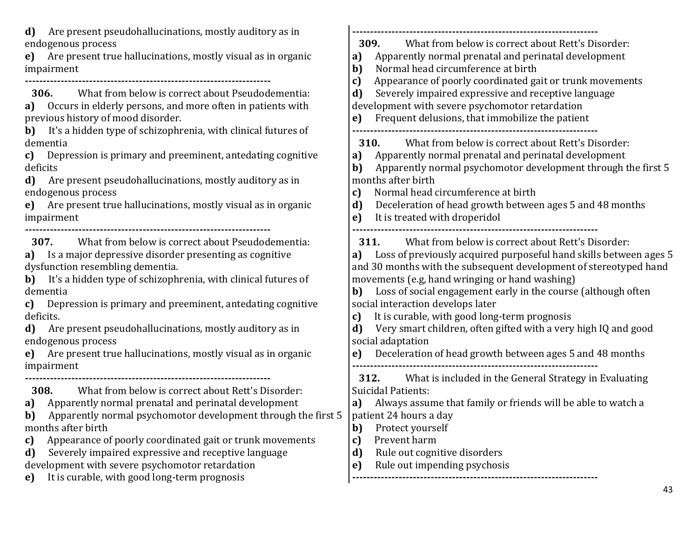**d)** Are present pseudohallucinations, mostly auditory as in endogenous process

**e)** Are present true hallucinations, mostly visual as in organic impairment

**---------------------------------------------------------------------**

**306.** What from below is correct about Pseudodementia: **a)** Occurs in elderly persons, and more often in patients with previous history of mood disorder.

**b)** It's a hidden type of schizophrenia, with clinical futures of dementia

**c)** Depression is primary and preeminent, antedating cognitive deficits

**d)** Are present pseudohallucinations, mostly auditory as in endogenous process

**e)** Are present true hallucinations, mostly visual as in organic impairment

**---------------------------------------------------------------------**

**307.** What from below is correct about Pseudodementia:

**a)** Is a major depressive disorder presenting as cognitive dysfunction resembling dementia.

**b)** It's a hidden type of schizophrenia, with clinical futures of dementia

**c)** Depression is primary and preeminent, antedating cognitive deficits.

**d)** Are present pseudohallucinations, mostly auditory as in endogenous process

**e)** Are present true hallucinations, mostly visual as in organic impairment

**308.** What from below is correct about Rett's Disorder: **a)** Apparently normal prenatal and perinatal development

**---------------------------------------------------------------------**

**b)** Apparently normal psychomotor development through the first 5 months after birth

**c)** Appearance of poorly coordinated gait or trunk movements

**d)** Severely impaired expressive and receptive language development with severe psychomotor retardation

**e)** It is curable, with good long-term prognosis

**--------------------------------------------------------------------- 309.** What from below is correct about Rett's Disorder:

- **a)** Apparently normal prenatal and perinatal development
- **b)** Normal head circumference at birth
- **c)** Appearance of poorly coordinated gait or trunk movements
- **d)** Severely impaired expressive and receptive language
- development with severe psychomotor retardation
- **e)** Frequent delusions, that immobilize the patient

**---------------------------------------------------------------------**

**310.** What from below is correct about Rett's Disorder:

**a)** Apparently normal prenatal and perinatal development

**b)** Apparently normal psychomotor development through the first 5 months after birth

**c)** Normal head circumference at birth

**d)** Deceleration of head growth between ages 5 and 48 months

**e)** It is treated with droperidol

**---------------------------------------------------------------------**

**311.** What from below is correct about Rett's Disorder:

**a)** Loss of previously acquired purposeful hand skills between ages 5 and 30 months with the subsequent development of stereotyped hand movements (e.g, hand wringing or hand washing)

**b)** Loss of social engagement early in the course (although often social interaction develops later

**c)** It is curable, with good long-term prognosis

**d)** Very smart children, often gifted with a very high IQ and good social adaptation

**e)** Deceleration of head growth between ages 5 and 48 months **---------------------------------------------------------------------**

**312.** What is included in the General Strategy in Evaluating Suicidal Patients:

**a)** Always assume that family or friends will be able to watch a patient 24 hours a day

- **b)** Protect yourself
- **c)** Prevent harm
- **d)** Rule out cognitive disorders
- **e)** Rule out impending psychosis **---------------------------------------------------------------------**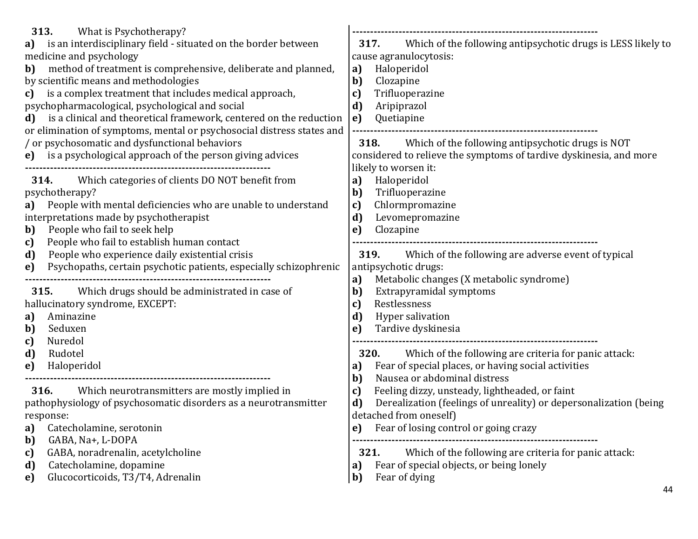| 313.<br>What is Psychotherapy?<br>is an interdisciplinary field - situated on the border between<br>a)<br>medicine and psychology<br>method of treatment is comprehensive, deliberate and planned,<br>b)<br>by scientific means and methodologies<br>is a complex treatment that includes medical approach,<br>c)<br>psychopharmacological, psychological and social<br>is a clinical and theoretical framework, centered on the reduction<br>d)<br>or elimination of symptoms, mental or psychosocial distress states and<br>/ or psychosomatic and dysfunctional behaviors | Which of the following antipsychotic drugs is LESS likely to<br>317.<br>cause agranulocytosis:<br>Haloperidol<br>a)<br>b)<br>Clozapine<br>Trifluoperazine<br>c)<br>d)<br>Aripiprazol<br>Quetiapine<br>e)<br>318. Which of the following antipsychotic drugs is NOT                                                                                 |
|------------------------------------------------------------------------------------------------------------------------------------------------------------------------------------------------------------------------------------------------------------------------------------------------------------------------------------------------------------------------------------------------------------------------------------------------------------------------------------------------------------------------------------------------------------------------------|----------------------------------------------------------------------------------------------------------------------------------------------------------------------------------------------------------------------------------------------------------------------------------------------------------------------------------------------------|
| is a psychological approach of the person giving advices<br>$\bf e)$<br>Which categories of clients DO NOT benefit from<br>314.<br>psychotherapy?<br>People with mental deficiencies who are unable to understand<br>a)<br>interpretations made by psychotherapist<br>People who fail to seek help<br>b)<br>People who fail to establish human contact<br>c)<br>People who experience daily existential crisis<br>d)<br>Psychopaths, certain psychotic patients, especially schizophrenic<br>e)                                                                              | considered to relieve the symptoms of tardive dyskinesia, and more<br>likely to worsen it:<br>Haloperidol<br>a)<br>Trifluoperazine<br>b)<br>Chlormpromazine<br>c)<br>d)<br>Levomepromazine<br>Clozapine<br>e)<br>Which of the following are adverse event of typical<br><b>319.</b><br>antipsychotic drugs:                                        |
| Which drugs should be administrated in case of<br>315.<br>hallucinatory syndrome, EXCEPT:<br>Aminazine<br>a)<br>Seduxen<br>b)<br>Nuredol<br>c)<br>d)<br>Rudotel<br>Haloperidol<br>e)                                                                                                                                                                                                                                                                                                                                                                                         | Metabolic changes (X metabolic syndrome)<br>a)<br>b)<br>Extrapyramidal symptoms<br>Restlessness<br>c)<br>d)<br>Hyper salivation<br>Tardive dyskinesia<br>e)<br><b>320.</b><br>Which of the following are criteria for panic attack:<br>Fear of special places, or having social activities<br>a)<br>Nausea or abdominal distress<br>b)             |
| 316.<br>Which neurotransmitters are mostly implied in<br>pathophysiology of psychosomatic disorders as a neurotransmitter<br>response:<br>Catecholamine, serotonin<br>a)<br>GABA, Na+, L-DOPA<br>b)<br>GABA, noradrenalin, acetylcholine<br>c)<br>Catecholamine, dopamine<br>d)<br>Glucocorticoids, T3/T4, Adrenalin<br>e)                                                                                                                                                                                                                                                   | Feeling dizzy, unsteady, lightheaded, or faint<br>c)<br>Derealization (feelings of unreality) or depersonalization (being<br>d)<br>detached from oneself)<br>Fear of losing control or going crazy<br>e)<br>Which of the following are criteria for panic attack:<br>321.<br>Fear of special objects, or being lonely<br>a)<br>Fear of dying<br>b) |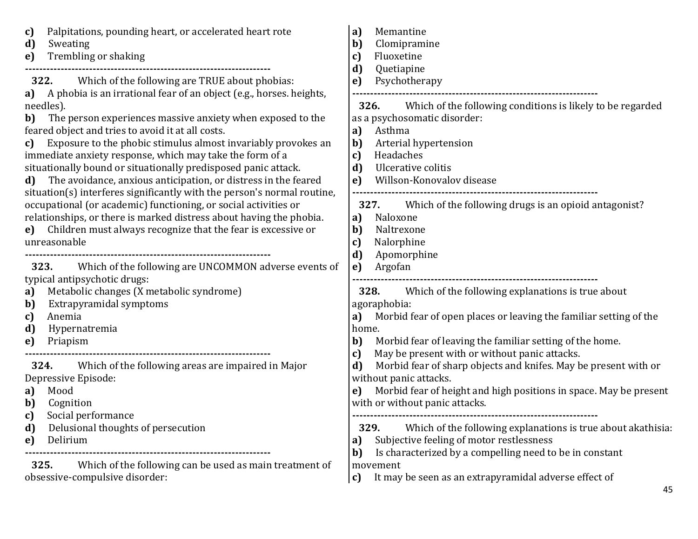| Palpitations, pounding heart, or accelerated heart rote<br>c)<br>d)<br>Sweating<br>Trembling or shaking<br>e)                                                                                                                                                                                                                                                                                                                                                                                                                                                                                                                     | Memantine<br>a)<br>Clomipramine<br>b)<br>Fluoxetine<br>c)<br>d)<br>Quetiapine                                                                                                                                                                                                                                                                |
|-----------------------------------------------------------------------------------------------------------------------------------------------------------------------------------------------------------------------------------------------------------------------------------------------------------------------------------------------------------------------------------------------------------------------------------------------------------------------------------------------------------------------------------------------------------------------------------------------------------------------------------|----------------------------------------------------------------------------------------------------------------------------------------------------------------------------------------------------------------------------------------------------------------------------------------------------------------------------------------------|
| 322.<br>Which of the following are TRUE about phobias:<br>A phobia is an irrational fear of an object (e.g., horses. heights,<br>a)<br>needles).<br>The person experiences massive anxiety when exposed to the<br>b)<br>feared object and tries to avoid it at all costs.<br>Exposure to the phobic stimulus almost invariably provokes an<br>c)<br>immediate anxiety response, which may take the form of a<br>situationally bound or situationally predisposed panic attack.<br>The avoidance, anxious anticipation, or distress in the feared<br>d)<br>situation(s) interferes significantly with the person's normal routine, | Psychotherapy<br>e)<br>Which of the following conditions is likely to be regarded<br><b>326.</b><br>as a psychosomatic disorder:<br>Asthma<br>a)<br>b)<br>Arterial hypertension<br>Headaches<br>c)<br>Ulcerative colitis<br>d)<br>Willson-Konovalov disease<br>e)                                                                            |
| occupational (or academic) functioning, or social activities or<br>relationships, or there is marked distress about having the phobia.<br>Children must always recognize that the fear is excessive or<br>e)<br>unreasonable<br>Which of the following are UNCOMMON adverse events of<br>323.                                                                                                                                                                                                                                                                                                                                     | 327. Which of the following drugs is an opioid antagonist?<br>Naloxone<br>a)<br>Naltrexone<br>b)<br>Nalorphine<br>c)<br>d)<br>Apomorphine<br>Argofan<br>e)                                                                                                                                                                                   |
| typical antipsychotic drugs:<br>Metabolic changes (X metabolic syndrome)<br>a)<br>Extrapyramidal symptoms<br>b)<br>Anemia<br>c)<br>d)<br>Hypernatremia<br>Priapism<br>e)                                                                                                                                                                                                                                                                                                                                                                                                                                                          | 328.<br>Which of the following explanations is true about<br>agoraphobia:<br>Morbid fear of open places or leaving the familiar setting of the<br>a)<br>home.<br>Morbid fear of leaving the familiar setting of the home.<br>b)<br>May be present with or without panic attacks.                                                             |
| Which of the following areas are impaired in Major<br>324.<br>Depressive Episode:<br>Mood<br>a)<br>b)<br>Cognition<br>Social performance<br>Delusional thoughts of persecution<br>d)<br>Delirium<br>e)                                                                                                                                                                                                                                                                                                                                                                                                                            | c)<br>Morbid fear of sharp objects and knifes. May be present with or<br>d)<br>without panic attacks.<br>Morbid fear of height and high positions in space. May be present<br>e)<br>with or without panic attacks.<br>329.<br>Which of the following explanations is true about akathisia.<br>Subjective feeling of motor restlessness<br>a) |
| Which of the following can be used as main treatment of<br>325.<br>obsessive-compulsive disorder:                                                                                                                                                                                                                                                                                                                                                                                                                                                                                                                                 | Is characterized by a compelling need to be in constant<br>b)<br>movement<br>It may be seen as an extrapyramidal adverse effect of<br>c)                                                                                                                                                                                                     |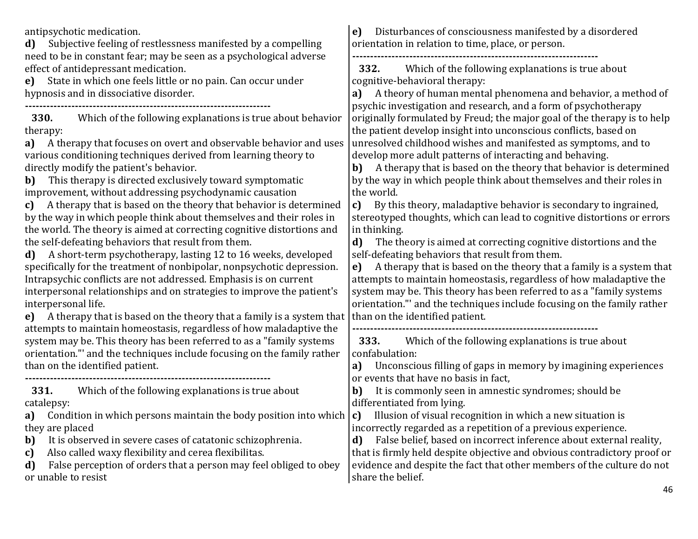antipsychotic medication.

**d)** Subjective feeling of restlessness manifested by a compelling need to be in constant fear; may be seen as a psychological adverse effect of antidepressant medication.

**e)** State in which one feels little or no pain. Can occur under hypnosis and in dissociative disorder.

**---------------------------------------------------------------------**

**330.** Which of the following explanations is true about behavior therapy:

**a)** A therapy that focuses on overt and observable behavior and uses various conditioning techniques derived from learning theory to directly modify the patient's behavior.

**b)** This therapy is directed exclusively toward symptomatic improvement, without addressing psychodynamic causation

**c)** A therapy that is based on the theory that behavior is determined by the way in which people think about themselves and their roles in the world. The theory is aimed at correcting cognitive distortions and the self-defeating behaviors that result from them.

**d)** A short-term psychotherapy, lasting 12 to 16 weeks, developed specifically for the treatment of nonbipolar, nonpsychotic depression. Intrapsychic conflicts are not addressed. Emphasis is on current interpersonal relationships and on strategies to improve the patient's interpersonal life.

**e)** A therapy that is based on the theory that a family is a system that attempts to maintain homeostasis, regardless of how maladaptive the system may be. This theory has been referred to as a "family systems orientation."' and the techniques include focusing on the family rather than on the identified patient.

**---------------------------------------------------------------------**

**331.** Which of the following explanations is true about catalepsy:

**a)** Condition in which persons maintain the body position into which they are placed

**b)** It is observed in severe cases of catatonic schizophrenia.

**c)** Also called waxy flexibility and cerea flexibilitas.

**d)** False perception of orders that a person may feel obliged to obey or unable to resist

**e)** Disturbances of consciousness manifested by a disordered orientation in relation to time, place, or person.

**---------------------------------------------------------------------**

**332.** Which of the following explanations is true about cognitive-behavioral therapy:

**a)** A theory of human mental phenomena and behavior, a method of psychic investigation and research, and a form of psychotherapy originally formulated by Freud; the major goal of the therapy is to help the patient develop insight into unconscious conflicts, based on unresolved childhood wishes and manifested as symptoms, and to develop more adult patterns of interacting and behaving.

**b)** A therapy that is based on the theory that behavior is determined by the way in which people think about themselves and their roles in the world.

**c)** By this theory, maladaptive behavior is secondary to ingrained, stereotyped thoughts, which can lead to cognitive distortions or errors in thinking.

**d)** The theory is aimed at correcting cognitive distortions and the self-defeating behaviors that result from them.

**e)** A therapy that is based on the theory that a family is a system that attempts to maintain homeostasis, regardless of how maladaptive the system may be. This theory has been referred to as a "family systems orientation."' and the techniques include focusing on the family rather than on the identified patient.

**---------------------------------------------------------------------**

**333.** Which of the following explanations is true about confabulation:

**a)** Unconscious filling of gaps in memory by imagining experiences or events that have no basis in fact,

**b)** It is commonly seen in amnestic syndromes; should be differentiated from lying.

**c)** Illusion of visual recognition in which a new situation is incorrectly regarded as a repetition of a previous experience.

**d)** False belief, based on incorrect inference about external reality, that is firmly held despite objective and obvious contradictory proof or evidence and despite the fact that other members of the culture do not share the belief.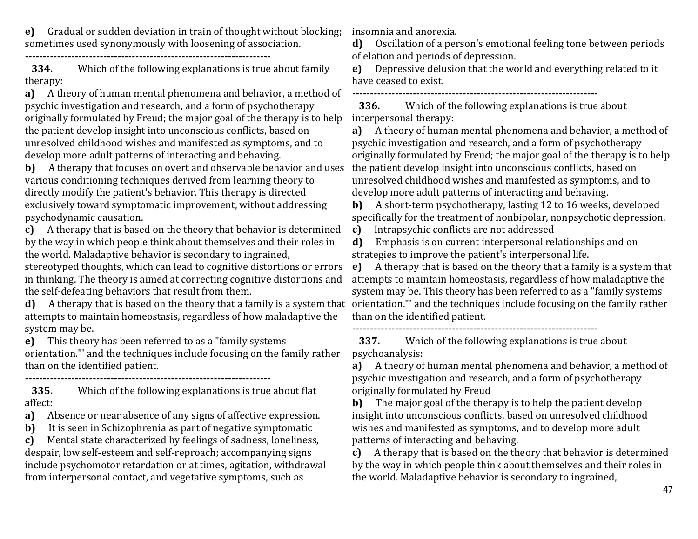**e)** Gradual or sudden deviation in train of thought without blocking; sometimes used synonymously with loosening of association.

**---------------------------------------------------------------------**

**334.** Which of the following explanations is true about family therapy:

**a)** A theory of human mental phenomena and behavior, a method of psychic investigation and research, and a form of psychotherapy originally formulated by Freud; the major goal of the therapy is to help the patient develop insight into unconscious conflicts, based on unresolved childhood wishes and manifested as symptoms, and to develop more adult patterns of interacting and behaving.

**b)** A therapy that focuses on overt and observable behavior and uses various conditioning techniques derived from learning theory to directly modify the patient's behavior. This therapy is directed exclusively toward symptomatic improvement, without addressing psychodynamic causation.

**c)** A therapy that is based on the theory that behavior is determined by the way in which people think about themselves and their roles in the world. Maladaptive behavior is secondary to ingrained,

stereotyped thoughts, which can lead to cognitive distortions or errors in thinking. The theory is aimed at correcting cognitive distortions and the self-defeating behaviors that result from them.

**d)** A therapy that is based on the theory that a family is a system that attempts to maintain homeostasis, regardless of how maladaptive the system may be.

**e)** This theory has been referred to as a "family systems

orientation."' and the techniques include focusing on the family rather than on the identified patient.

**---------------------------------------------------------------------**

**335.** Which of the following explanations is true about flat affect:

**a)** Absence or near absence of any signs of affective expression.

**b)** It is seen in Schizophrenia as part of negative symptomatic

**c)** Mental state characterized by feelings of sadness, loneliness, despair, low self-esteem and self-reproach; accompanying signs include psychomotor retardation or at times, agitation, withdrawal from interpersonal contact, and vegetative symptoms, such as

insomnia and anorexia.

**d)** Oscillation of a person's emotional feeling tone between periods of elation and periods of depression.

**e)** Depressive delusion that the world and everything related to it have ceased to exist.

**---------------------------------------------------------------------**

**336.** Which of the following explanations is true about interpersonal therapy:

**a)** A theory of human mental phenomena and behavior, a method of psychic investigation and research, and a form of psychotherapy originally formulated by Freud; the major goal of the therapy is to help the patient develop insight into unconscious conflicts, based on unresolved childhood wishes and manifested as symptoms, and to develop more adult patterns of interacting and behaving.

**b)** A short-term psychotherapy, lasting 12 to 16 weeks, developed specifically for the treatment of nonbipolar, nonpsychotic depression.

**c)** Intrapsychic conflicts are not addressed

**d)** Emphasis is on current interpersonal relationships and on strategies to improve the patient's interpersonal life.

**e)** A therapy that is based on the theory that a family is a system that attempts to maintain homeostasis, regardless of how maladaptive the system may be. This theory has been referred to as a "family systems orientation."' and the techniques include focusing on the family rather than on the identified patient.

**---------------------------------------------------------------------**

**337.** Which of the following explanations is true about psychoanalysis:

**a)** A theory of human mental phenomena and behavior, a method of psychic investigation and research, and a form of psychotherapy originally formulated by Freud

**b)** The major goal of the therapy is to help the patient develop insight into unconscious conflicts, based on unresolved childhood wishes and manifested as symptoms, and to develop more adult patterns of interacting and behaving.

**c)** A therapy that is based on the theory that behavior is determined by the way in which people think about themselves and their roles in the world. Maladaptive behavior is secondary to ingrained,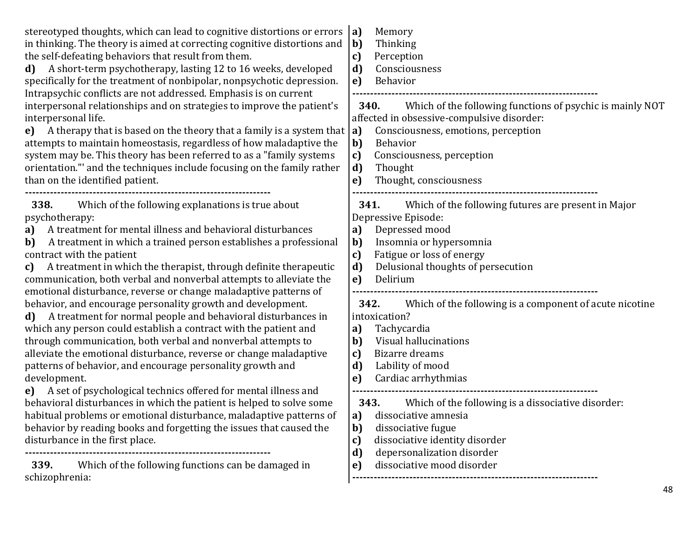| stereotyped thoughts, which can lead to cognitive distortions or errors<br>in thinking. The theory is aimed at correcting cognitive distortions and<br>the self-defeating behaviors that result from them.<br>A short-term psychotherapy, lasting 12 to 16 weeks, developed<br>d)<br>specifically for the treatment of nonbipolar, nonpsychotic depression.<br>Intrapsychic conflicts are not addressed. Emphasis is on current<br>interpersonal relationships and on strategies to improve the patient's<br>interpersonal life.<br>e) A therapy that is based on the theory that a family is a system that $ a $                                                                                                    | Memory<br> a <br>b)<br>Thinking<br>Perception<br>c)<br>d)<br>Consciousness<br>Behavior<br>e)<br>Which of the following functions of psychic is mainly NOT<br><b>340.</b><br>affected in obsessive-compulsive disorder:<br>Consciousness, emotions, perception                                                                               |
|----------------------------------------------------------------------------------------------------------------------------------------------------------------------------------------------------------------------------------------------------------------------------------------------------------------------------------------------------------------------------------------------------------------------------------------------------------------------------------------------------------------------------------------------------------------------------------------------------------------------------------------------------------------------------------------------------------------------|---------------------------------------------------------------------------------------------------------------------------------------------------------------------------------------------------------------------------------------------------------------------------------------------------------------------------------------------|
| attempts to maintain homeostasis, regardless of how maladaptive the<br>system may be. This theory has been referred to as a "family systems<br>orientation." and the techniques include focusing on the family rather<br>than on the identified patient.                                                                                                                                                                                                                                                                                                                                                                                                                                                             | b)<br><b>Behavior</b><br>Consciousness, perception<br>c)<br>Thought<br>d)<br>Thought, consciousness<br>e)                                                                                                                                                                                                                                   |
| Which of the following explanations is true about<br><b>338.</b><br>psychotherapy:<br>A treatment for mental illness and behavioral disturbances<br>a)<br>A treatment in which a trained person establishes a professional<br>b)<br>contract with the patient<br>A treatment in which the therapist, through definite therapeutic<br>c)<br>communication, both verbal and nonverbal attempts to alleviate the<br>emotional disturbance, reverse or change maladaptive patterns of                                                                                                                                                                                                                                    | Which of the following futures are present in Major<br>341.<br>Depressive Episode:<br>Depressed mood<br>a)<br>Insomnia or hypersomnia<br>b)<br>Fatigue or loss of energy<br>c)<br>Delusional thoughts of persecution<br>d)<br>Delirium<br>e)                                                                                                |
| behavior, and encourage personality growth and development.<br>d) A treatment for normal people and behavioral disturbances in<br>which any person could establish a contract with the patient and<br>through communication, both verbal and nonverbal attempts to<br>alleviate the emotional disturbance, reverse or change maladaptive<br>patterns of behavior, and encourage personality growth and<br>development.<br>A set of psychological technics offered for mental illness and<br>e)<br>behavioral disturbances in which the patient is helped to solve some<br>habitual problems or emotional disturbance, maladaptive patterns of<br>behavior by reading books and forgetting the issues that caused the | Which of the following is a component of acute nicotine<br>342.<br>intoxication?<br>Tachycardia<br>a)<br>Visual hallucinations<br>b)<br>Bizarre dreams<br>c)<br>Lability of mood<br>d)<br>Cardiac arrhythmias<br>e)<br>Which of the following is a dissociative disorder:<br>343.<br>dissociative amnesia<br>a)<br>b)<br>dissociative fugue |
| disturbance in the first place.<br>Which of the following functions can be damaged in<br>339.<br>schizophrenia:                                                                                                                                                                                                                                                                                                                                                                                                                                                                                                                                                                                                      | dissociative identity disorder<br>c)<br>depersonalization disorder<br>d)<br>dissociative mood disorder<br>e)<br>-------------------------------------                                                                                                                                                                                       |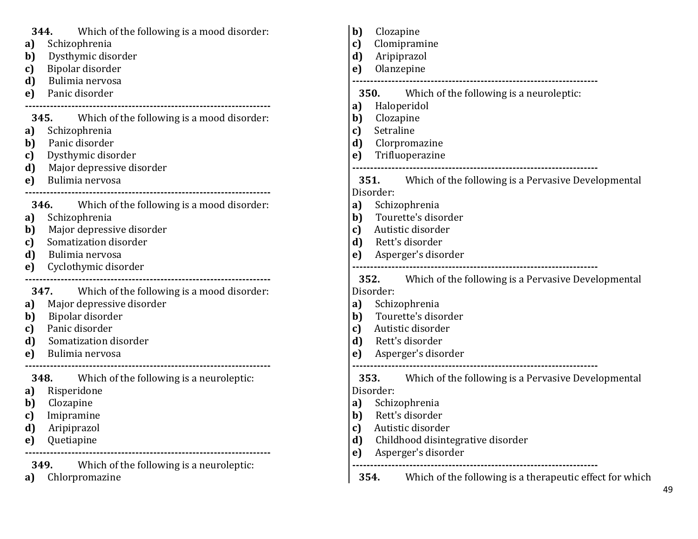| Which of the following is a mood disorder:<br>344.<br>Schizophrenia<br>a)<br>Dysthymic disorder<br>b)<br>Bipolar disorder<br>c)<br>d)<br>Bulimia nervosa<br>Panic disorder<br>e)                                                  | b)<br>Clozapine<br>Clomipramine<br>c)<br>d)<br>Aripiprazol<br>Olanzepine<br>$\mathbf{e}$<br><b>350.</b> Which of the following is a neuroleptic:                                                                                                                                                |
|-----------------------------------------------------------------------------------------------------------------------------------------------------------------------------------------------------------------------------------|-------------------------------------------------------------------------------------------------------------------------------------------------------------------------------------------------------------------------------------------------------------------------------------------------|
| Which of the following is a mood disorder:<br>345.<br>Schizophrenia<br>a)<br>Panic disorder<br>b)<br>Dysthymic disorder<br>c)<br>Major depressive disorder<br>d)<br>Bulimia nervosa<br>e)                                         | a)<br>Haloperidol<br>b)<br>Clozapine<br>Setraline<br>c)<br>Clorpromazine<br>d)<br>Trifluoperazine<br>e)<br><b>351.</b><br>Which of the following is a Pervasive Developmental<br>Disorder:                                                                                                      |
| Which of the following is a mood disorder:<br><b>346.</b><br>Schizophrenia<br>a)<br>Major depressive disorder<br>b)<br>Somatization disorder<br>c)<br>d)<br>Bulimia nervosa<br>Cyclothymic disorder<br>e)                         | Schizophrenia<br>a)<br>Tourette's disorder<br>$\mathbf{b}$<br>Autistic disorder<br>c)<br>Rett's disorder<br>d)<br>Asperger's disorder<br>e)<br>352.<br>Which of the following is a Pervasive Developmental                                                                                      |
| 347. Which of the following is a mood disorder:<br>Major depressive disorder<br>a)<br>Bipolar disorder<br>b)<br>Panic disorder<br>c)<br>Somatization disorder<br>d)<br>Bulimia nervosa<br>e)                                      | Disorder:<br>Schizophrenia<br>a)<br>Tourette's disorder<br>$\mathbf{b}$<br>Autistic disorder<br>c)<br>Rett's disorder<br>d)<br>Asperger's disorder<br>e)                                                                                                                                        |
| Which of the following is a neuroleptic:<br>348.<br>Risperidone<br>a)<br>Clozapine<br>b)<br>Imipramine<br>c)<br>d)<br>Aripiprazol<br>Quetiapine<br>e)<br>Which of the following is a neuroleptic:<br>349.<br>Chlorpromazine<br>a) | 353.<br>Which of the following is a Pervasive Developmental<br>Disorder:<br>Schizophrenia<br>a)<br>b)<br>Rett's disorder<br>Autistic disorder<br>c)<br>Childhood disintegrative disorder<br>d)<br>Asperger's disorder<br>e)<br>Which of the following is a therapeutic effect for which<br>354. |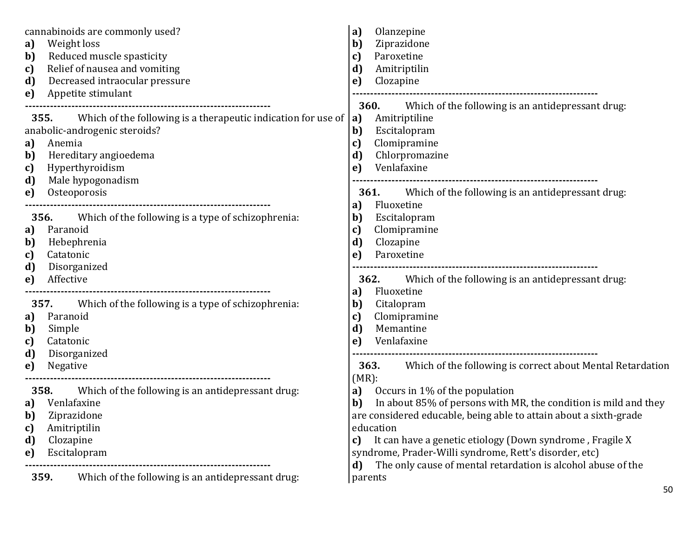| cannabinoids are commonly used?<br>Weight loss<br>a)<br>Reduced muscle spasticity<br>b)<br>Relief of nausea and vomiting<br>c)<br>Decreased intraocular pressure<br>d)<br>Appetite stimulant<br>e)                              | Olanzepine<br>a)<br>Ziprazidone<br>b)<br>Paroxetine<br>C)<br>Amitriptilin<br>d)<br>Clozapine<br>e)                                                                                                                                                                                                                                                                                                                       |
|---------------------------------------------------------------------------------------------------------------------------------------------------------------------------------------------------------------------------------|--------------------------------------------------------------------------------------------------------------------------------------------------------------------------------------------------------------------------------------------------------------------------------------------------------------------------------------------------------------------------------------------------------------------------|
| Which of the following is a therapeutic indication for use of<br>355.<br>anabolic-androgenic steroids?<br>Anemia<br>a)<br>Hereditary angioedema<br>b)<br>Hyperthyroidism<br>c)<br>Male hypogonadism<br>d)<br>Osteoporosis<br>e) | Which of the following is an antidepressant drug:<br><b>360.</b><br>Amitriptiline<br> a <br>b)<br>Escitalopram<br>Clomipramine<br>c)<br>Chlorpromazine<br>d)<br>Venlafaxine<br>e)<br>Which of the following is an antidepressant drug.<br><b>361.</b>                                                                                                                                                                    |
| 356.<br>Which of the following is a type of schizophrenia:<br>Paranoid<br>a)<br>Hebephrenia<br>b)<br>Catatonic<br>c)<br>d)<br>Disorganized<br>Affective<br>e)                                                                   | Fluoxetine<br>a)<br>Escitalopram<br>b)<br>Clomipramine<br>C)<br>d)<br>Clozapine<br>Paroxetine<br>e)<br>Which of the following is an antidepressant drug:<br>362.                                                                                                                                                                                                                                                         |
| 357.<br>Which of the following is a type of schizophrenia:<br>Paranoid<br>a)<br>b)<br>Simple<br>Catatonic<br>c)<br>Disorganized<br>d)<br>Negative<br>e)                                                                         | Fluoxetine<br>a)<br>Citalopram<br>b)<br>Clomipramine<br>c)<br>Memantine<br>$\mathbf{d}$<br>Venlafaxine<br>e)<br>Which of the following is correct about Mental Retardation<br><b>363.</b>                                                                                                                                                                                                                                |
| Which of the following is an antidepressant drug:<br>358.<br>Venlafaxine<br>a)<br>b)<br>Ziprazidone<br>Amitriptilin<br>c)<br>Clozapine<br>d)<br>Escitalopram<br>e)<br>Which of the following is an antidepressant drug:<br>359. | $(MR)$ :<br>Occurs in 1% of the population<br>a)<br>In about 85% of persons with MR, the condition is mild and they<br>b)<br>are considered educable, being able to attain about a sixth-grade<br>education<br>It can have a genetic etiology (Down syndrome, Fragile X<br>c)<br>syndrome, Prader-Willi syndrome, Rett's disorder, etc)<br>The only cause of mental retardation is alcohol abuse of the<br>d)<br>parents |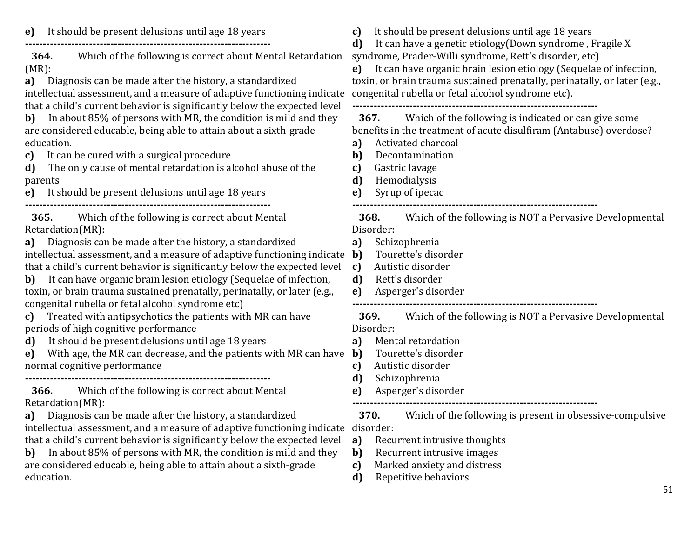| It should be present delusions until age 18 years<br>e)<br>Which of the following is correct about Mental Retardation<br>364.<br>$(MR)$ :<br>Diagnosis can be made after the history, a standardized<br>a)<br>intellectual assessment, and a measure of adaptive functioning indicate<br>that a child's current behavior is significantly below the expected level<br>In about 85% of persons with MR, the condition is mild and they<br>b)<br>are considered educable, being able to attain about a sixth-grade<br>education.<br>It can be cured with a surgical procedure<br>c)<br>The only cause of mental retardation is alcohol abuse of the<br>d)<br>parents<br>e) It should be present delusions until age 18 years | It should be present delusions until age 18 years<br>c)<br>It can have a genetic etiology (Down syndrome, Fragile X<br>d)<br>syndrome, Prader-Willi syndrome, Rett's disorder, etc)<br>It can have organic brain lesion etiology (Sequelae of infection,<br>e)<br>toxin, or brain trauma sustained prenatally, perinatally, or later (e.g.,<br>congenital rubella or fetal alcohol syndrome etc).<br>Which of the following is indicated or can give some<br>367.<br>benefits in the treatment of acute disulfiram (Antabuse) overdose?<br>Activated charcoal<br>a)<br>Decontamination<br>$\mathbf{b}$<br>Gastric lavage<br>c)<br>d)<br>Hemodialysis<br>Syrup of ipecac<br>e) |
|----------------------------------------------------------------------------------------------------------------------------------------------------------------------------------------------------------------------------------------------------------------------------------------------------------------------------------------------------------------------------------------------------------------------------------------------------------------------------------------------------------------------------------------------------------------------------------------------------------------------------------------------------------------------------------------------------------------------------|-------------------------------------------------------------------------------------------------------------------------------------------------------------------------------------------------------------------------------------------------------------------------------------------------------------------------------------------------------------------------------------------------------------------------------------------------------------------------------------------------------------------------------------------------------------------------------------------------------------------------------------------------------------------------------|
| 365.<br>Which of the following is correct about Mental<br>Retardation(MR):<br>Diagnosis can be made after the history, a standardized<br>a)<br>intellectual assessment, and a measure of adaptive functioning indicate $ b $<br>that a child's current behavior is significantly below the expected level<br>It can have organic brain lesion etiology (Sequelae of infection,<br>b)<br>toxin, or brain trauma sustained prenatally, perinatally, or later (e.g.,<br>congenital rubella or fetal alcohol syndrome etc)                                                                                                                                                                                                     | 368.<br>Which of the following is NOT a Pervasive Developmental<br>Disorder:<br>Schizophrenia<br>a)<br>Tourette's disorder<br>Autistic disorder<br> c)<br>d)<br>Rett's disorder<br>Asperger's disorder<br>e)                                                                                                                                                                                                                                                                                                                                                                                                                                                                  |
| Treated with antipsychotics the patients with MR can have<br>c)<br>periods of high cognitive performance<br>It should be present delusions until age 18 years<br>d)<br>With age, the MR can decrease, and the patients with MR can have<br>e)<br>normal cognitive performance                                                                                                                                                                                                                                                                                                                                                                                                                                              | Which of the following is NOT a Pervasive Developmental<br>369.<br>Disorder:<br>Mental retardation<br>a)<br>Tourette's disorder<br>b)<br>Autistic disorder<br>c)<br>d)<br>Schizophrenia                                                                                                                                                                                                                                                                                                                                                                                                                                                                                       |
| Which of the following is correct about Mental<br>366.<br>Retardation(MR):<br>Diagnosis can be made after the history, a standardized<br>a)<br>intellectual assessment, and a measure of adaptive functioning indicate<br>that a child's current behavior is significantly below the expected level<br>In about 85% of persons with MR, the condition is mild and they<br>b)<br>are considered educable, being able to attain about a sixth-grade<br>education.                                                                                                                                                                                                                                                            | Asperger's disorder<br>e)<br>370.<br>Which of the following is present in obsessive-compulsive<br>disorder:<br> a <br>Recurrent intrusive thoughts<br>Recurrent intrusive images<br>b)<br>Marked anxiety and distress<br>c)<br>Repetitive behaviors<br>$\vert d$                                                                                                                                                                                                                                                                                                                                                                                                              |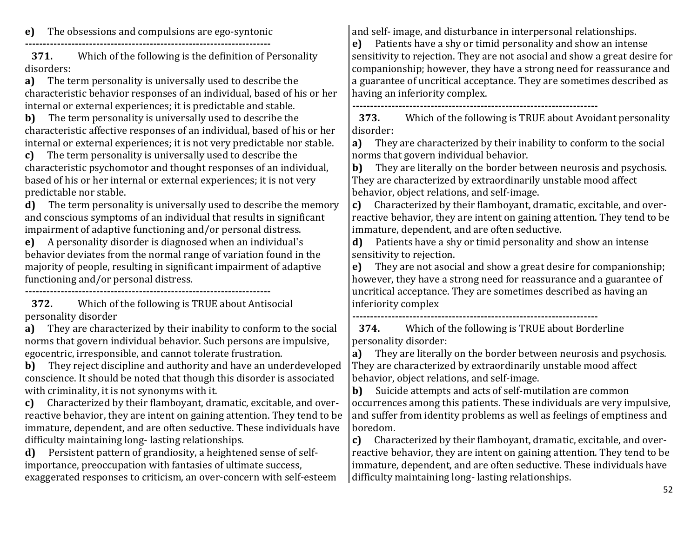**e)** The obsessions and compulsions are ego-syntonic

**---------------------------------------------------------------------**

**371.** Which of the following is the definition of Personality disorders:

**a)** The term personality is universally used to describe the characteristic behavior responses of an individual, based of his or her internal or external experiences; it is predictable and stable.

**b)** The term personality is universally used to describe the characteristic affective responses of an individual, based of his or her internal or external experiences; it is not very predictable nor stable.

**c)** The term personality is universally used to describe the characteristic psychomotor and thought responses of an individual, based of his or her internal or external experiences; it is not very predictable nor stable.

**d)** The term personality is universally used to describe the memory and conscious symptoms of an individual that results in significant impairment of adaptive functioning and/or personal distress.

**e)** A personality disorder is diagnosed when an individual's behavior deviates from the normal range of variation found in the majority of people, resulting in significant impairment of adaptive functioning and/or personal distress.

**---------------------------------------------------------------------**

**372.** Which of the following is TRUE about Antisocial personality disorder

**a)** They are characterized by their inability to conform to the social norms that govern individual behavior. Such persons are impulsive, egocentric, irresponsible, and cannot tolerate frustration.

**b)** They reject discipline and authority and have an underdeveloped conscience. It should be noted that though this disorder is associated with criminality, it is not synonyms with it.

**c)** Characterized by their flamboyant, dramatic, excitable, and overreactive behavior, they are intent on gaining attention. They tend to be immature, dependent, and are often seductive. These individuals have difficulty maintaining long- lasting relationships.

**d)** Persistent pattern of grandiosity, a heightened sense of selfimportance, preoccupation with fantasies of ultimate success, exaggerated responses to criticism, an over-concern with self-esteem and self- image, and disturbance in interpersonal relationships.

**e)** Patients have a shy or timid personality and show an intense sensitivity to rejection. They are not asocial and show a great desire for companionship; however, they have a strong need for reassurance and a guarantee of uncritical acceptance. They are sometimes described as having an inferiority complex.

**---------------------------------------------------------------------**

**373.** Which of the following is TRUE about Avoidant personality disorder:

**a)** They are characterized by their inability to conform to the social norms that govern individual behavior.

**b)** They are literally on the border between neurosis and psychosis. They are characterized by extraordinarily unstable mood affect behavior, object relations, and self-image.

**c)** Characterized by their flamboyant, dramatic, excitable, and overreactive behavior, they are intent on gaining attention. They tend to be immature, dependent, and are often seductive.

**d)** Patients have a shy or timid personality and show an intense sensitivity to rejection.

**e)** They are not asocial and show a great desire for companionship; however, they have a strong need for reassurance and a guarantee of uncritical acceptance. They are sometimes described as having an inferiority complex

**---------------------------------------------------------------------**

**374.** Which of the following is TRUE about Borderline personality disorder:

**a)** They are literally on the border between neurosis and psychosis. They are characterized by extraordinarily unstable mood affect behavior, object relations, and self-image.

**b)** Suicide attempts and acts of self-mutilation are common occurrences among this patients. These individuals are very impulsive, and suffer from identity problems as well as feelings of emptiness and boredom.

**c)** Characterized by their flamboyant, dramatic, excitable, and overreactive behavior, they are intent on gaining attention. They tend to be immature, dependent, and are often seductive. These individuals have difficulty maintaining long- lasting relationships.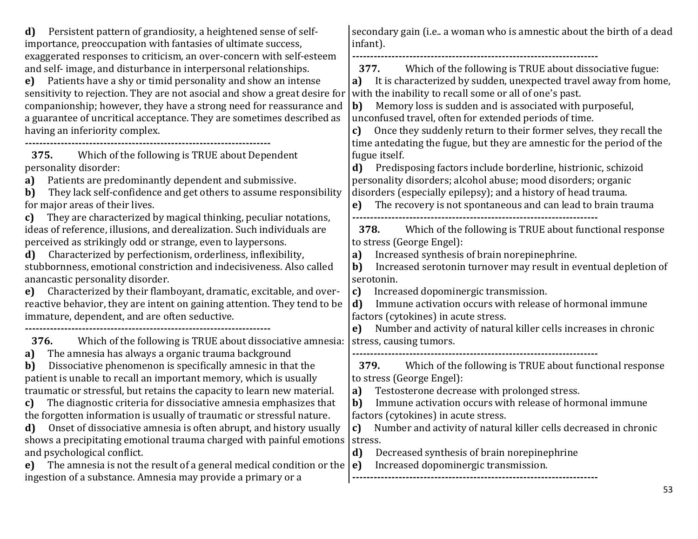| Persistent pattern of grandiosity, a heightened sense of self-<br>d)<br>importance, preoccupation with fantasies of ultimate success,                                                                                                                                                                                                                                                                                                                                                                                                                                                                                                                                                                                                                                                                                                     | secondary gain (i.e., a woman who is amnestic about the birth of a dead<br>infant).                                                                                                                                                                                                                                                                                                                                                                                                                                                                                  |
|-------------------------------------------------------------------------------------------------------------------------------------------------------------------------------------------------------------------------------------------------------------------------------------------------------------------------------------------------------------------------------------------------------------------------------------------------------------------------------------------------------------------------------------------------------------------------------------------------------------------------------------------------------------------------------------------------------------------------------------------------------------------------------------------------------------------------------------------|----------------------------------------------------------------------------------------------------------------------------------------------------------------------------------------------------------------------------------------------------------------------------------------------------------------------------------------------------------------------------------------------------------------------------------------------------------------------------------------------------------------------------------------------------------------------|
| exaggerated responses to criticism, an over-concern with self-esteem<br>and self-image, and disturbance in interpersonal relationships.<br>Patients have a shy or timid personality and show an intense<br>e)<br>sensitivity to rejection. They are not asocial and show a great desire for<br>companionship; however, they have a strong need for reassurance and<br>a guarantee of uncritical acceptance. They are sometimes described as<br>having an inferiority complex.                                                                                                                                                                                                                                                                                                                                                             | Which of the following is TRUE about dissociative fugue:<br>377.<br>It is characterized by sudden, unexpected travel away from home,<br>a)<br>with the inability to recall some or all of one's past.<br>Memory loss is sudden and is associated with purposeful,<br>b)<br>unconfused travel, often for extended periods of time.<br>Once they suddenly return to their former selves, they recall the<br>c)<br>time antedating the fugue, but they are amnestic for the period of the                                                                               |
| Which of the following is TRUE about Dependent<br>375.<br>personality disorder:<br>Patients are predominantly dependent and submissive.<br>a)<br>They lack self-confidence and get others to assume responsibility<br>b)<br>for major areas of their lives.<br>They are characterized by magical thinking, peculiar notations,<br>c)                                                                                                                                                                                                                                                                                                                                                                                                                                                                                                      | fugue itself.<br>Predisposing factors include borderline, histrionic, schizoid<br>d)<br>personality disorders; alcohol abuse; mood disorders; organic<br>disorders (especially epilepsy); and a history of head trauma.<br>The recovery is not spontaneous and can lead to brain trauma<br>e)                                                                                                                                                                                                                                                                        |
| ideas of reference, illusions, and derealization. Such individuals are<br>perceived as strikingly odd or strange, even to laypersons.<br>Characterized by perfectionism, orderliness, inflexibility,<br>d)<br>stubbornness, emotional constriction and indecisiveness. Also called<br>anancastic personality disorder.<br>Characterized by their flamboyant, dramatic, excitable, and over-<br>e)<br>reactive behavior, they are intent on gaining attention. They tend to be<br>immature, dependent, and are often seductive.                                                                                                                                                                                                                                                                                                            | Which of the following is TRUE about functional response<br>378.<br>to stress (George Engel):<br>Increased synthesis of brain norepinephrine.<br>a)<br>Increased serotonin turnover may result in eventual depletion of<br>b)<br>serotonin.<br>c)<br>Increased dopominergic transmission.<br>d)<br>Immune activation occurs with release of hormonal immune<br>factors (cytokines) in acute stress.                                                                                                                                                                  |
| Which of the following is TRUE about dissociative amnesia:<br>376.<br>The amnesia has always a organic trauma background<br>a)<br>Dissociative phenomenon is specifically amnesic in that the<br>b)<br>patient is unable to recall an important memory, which is usually<br>traumatic or stressful, but retains the capacity to learn new material.<br>The diagnostic criteria for dissociative amnesia emphasizes that<br>c)<br>the forgotten information is usually of traumatic or stressful nature.<br>Onset of dissociative amnesia is often abrupt, and history usually<br>d)<br>shows a precipitating emotional trauma charged with painful emotions  <br>and psychological conflict.<br>The amnesia is not the result of a general medical condition or the<br>e)<br>ingestion of a substance. Amnesia may provide a primary or a | Number and activity of natural killer cells increases in chronic<br>e)<br>stress, causing tumors.<br>Which of the following is TRUE about functional response<br>379.<br>to stress (George Engel):<br>Testosterone decrease with prolonged stress.<br>a)<br>Immune activation occurs with release of hormonal immune<br>$\mathbf{b}$<br>factors (cytokines) in acute stress.<br>Number and activity of natural killer cells decreased in chronic<br>C)<br>stress.<br>d)<br>Decreased synthesis of brain norepinephrine<br>Increased dopominergic transmission.<br>e) |
|                                                                                                                                                                                                                                                                                                                                                                                                                                                                                                                                                                                                                                                                                                                                                                                                                                           | 53.                                                                                                                                                                                                                                                                                                                                                                                                                                                                                                                                                                  |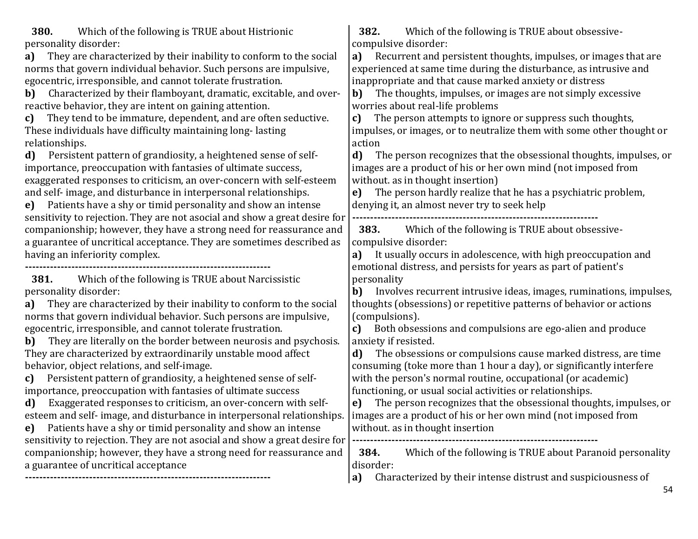**380.** Which of the following is TRUE about Histrionic personality disorder:

**a)** They are characterized by their inability to conform to the social norms that govern individual behavior. Such persons are impulsive, egocentric, irresponsible, and cannot tolerate frustration.

**b)** Characterized by their flamboyant, dramatic, excitable, and overreactive behavior, they are intent on gaining attention.

**c)** They tend to be immature, dependent, and are often seductive. These individuals have difficulty maintaining long- lasting relationships.

**d)** Persistent pattern of grandiosity, a heightened sense of selfimportance, preoccupation with fantasies of ultimate success, exaggerated responses to criticism, an over-concern with self-esteem and self- image, and disturbance in interpersonal relationships.

**e)** Patients have a shy or timid personality and show an intense sensitivity to rejection. They are not asocial and show a great desire for companionship; however, they have a strong need for reassurance and a guarantee of uncritical acceptance. They are sometimes described as having an inferiority complex.

**---------------------------------------------------------------------**

**381.** Which of the following is TRUE about Narcissistic personality disorder:

**a)** They are characterized by their inability to conform to the social norms that govern individual behavior. Such persons are impulsive, egocentric, irresponsible, and cannot tolerate frustration.

**b)** They are literally on the border between neurosis and psychosis. They are characterized by extraordinarily unstable mood affect behavior, object relations, and self-image.

**c)** Persistent pattern of grandiosity, a heightened sense of selfimportance, preoccupation with fantasies of ultimate success

**d)** Exaggerated responses to criticism, an over-concern with selfesteem and self- image, and disturbance in interpersonal relationships.

**e)** Patients have a shy or timid personality and show an intense sensitivity to rejection. They are not asocial and show a great desire for companionship; however, they have a strong need for reassurance and a guarantee of uncritical acceptance **---------------------------------------------------------------------**

**382.** Which of the following is TRUE about obsessivecompulsive disorder:

**a)** Recurrent and persistent thoughts, impulses, or images that are experienced at same time during the disturbance, as intrusive and inappropriate and that cause marked anxiety or distress

**b)** The thoughts, impulses, or images are not simply excessive worries about real-life problems

**c)** The person attempts to ignore or suppress such thoughts, impulses, or images, or to neutralize them with some other thought or action

**d)** The person recognizes that the obsessional thoughts, impulses, or images are a product of his or her own mind (not imposed from without. as in thought insertion)

**e)** The person hardly realize that he has a psychiatric problem, denying it, an almost never try to seek help

**---------------------------------------------------------------------**

**383.** Which of the following is TRUE about obsessivecompulsive disorder:

**a)** It usually occurs in adolescence, with high preoccupation and emotional distress, and persists for years as part of patient's personality

**b)** Involves recurrent intrusive ideas, images, ruminations, impulses, thoughts (obsessions) or repetitive patterns of behavior or actions (compulsions).

**c)** Both obsessions and compulsions are ego-alien and produce anxiety if resisted.

**d)** The obsessions or compulsions cause marked distress, are time consuming (toke more than 1 hour a day), or significantly interfere with the person's normal routine, occupational (or academic) functioning, or usual social activities or relationships.

**e)** The person recognizes that the obsessional thoughts, impulses, or images are a product of his or her own mind (not imposed from without. as in thought insertion **---------------------------------------------------------------------**

**384.** Which of the following is TRUE about Paranoid personality disorder:

**a)** Characterized by their intense distrust and suspiciousness of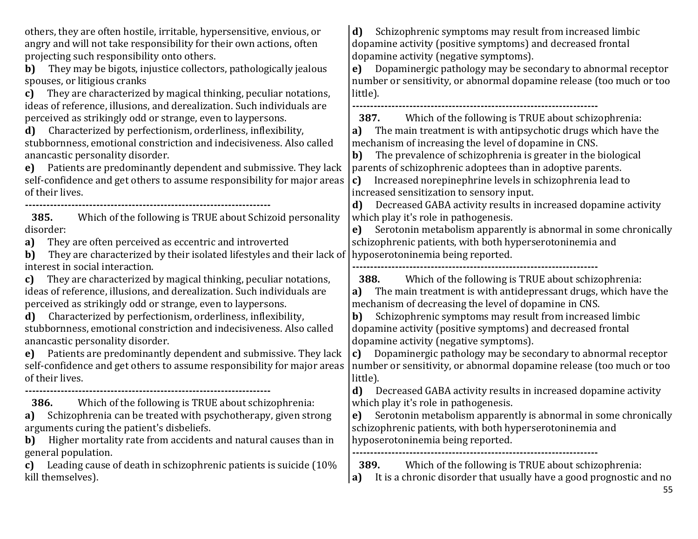55 others, they are often hostile, irritable, hypersensitive, envious, or angry and will not take responsibility for their own actions, often projecting such responsibility onto others. **b)** They may be bigots, injustice collectors, pathologically jealous spouses, or litigious cranks **c)** They are characterized by magical thinking, peculiar notations, ideas of reference, illusions, and derealization. Such individuals are perceived as strikingly odd or strange, even to laypersons. **d)** Characterized by perfectionism, orderliness, inflexibility, stubbornness, emotional constriction and indecisiveness. Also called anancastic personality disorder. **e)** Patients are predominantly dependent and submissive. They lack self-confidence and get others to assume responsibility for major areas of their lives. **--------------------------------------------------------------------- 385.** Which of the following is TRUE about Schizoid personality disorder: **a)** They are often perceived as eccentric and introverted **b)** They are characterized by their isolated lifestyles and their lack of interest in social interaction. **c)** They are characterized by magical thinking, peculiar notations, ideas of reference, illusions, and derealization. Such individuals are perceived as strikingly odd or strange, even to laypersons. **d)** Characterized by perfectionism, orderliness, inflexibility, stubbornness, emotional constriction and indecisiveness. Also called anancastic personality disorder. **e)** Patients are predominantly dependent and submissive. They lack self-confidence and get others to assume responsibility for major areas of their lives. **--------------------------------------------------------------------- 386.** Which of the following is TRUE about schizophrenia: **a)** Schizophrenia can be treated with psychotherapy, given strong arguments curing the patient's disbeliefs. **b)** Higher mortality rate from accidents and natural causes than in general population. **c)** Leading cause of death in schizophrenic patients is suicide (10% kill themselves). **d)** Schizophrenic symptoms may result from increased limbic dopamine activity (positive symptoms) and decreased frontal dopamine activity (negative symptoms). **e)** Dopaminergic pathology may be secondary to abnormal receptor number or sensitivity, or abnormal dopamine release (too much or too little). **--------------------------------------------------------------------- 387.** Which of the following is TRUE about schizophrenia: **a)** The main treatment is with antipsychotic drugs which have the mechanism of increasing the level of dopamine in CNS. **b)** The prevalence of schizophrenia is greater in the biological parents of schizophrenic adoptees than in adoptive parents. **c)** Increased norepinephrine levels in schizophrenia lead to increased sensitization to sensory input. **d)** Decreased GABA activity results in increased dopamine activity which play it's role in pathogenesis. **e)** Serotonin metabolism apparently is abnormal in some chronically schizophrenic patients, with both hyperserotoninemia and hyposerotoninemia being reported. **--------------------------------------------------------------------- 388.** Which of the following is TRUE about schizophrenia: **a)** The main treatment is with antidepressant drugs, which have the mechanism of decreasing the level of dopamine in CNS. **b)** Schizophrenic symptoms may result from increased limbic dopamine activity (positive symptoms) and decreased frontal dopamine activity (negative symptoms). **c)** Dopaminergic pathology may be secondary to abnormal receptor number or sensitivity, or abnormal dopamine release (too much or too little). **d)** Decreased GABA activity results in increased dopamine activity which play it's role in pathogenesis. **e)** Serotonin metabolism apparently is abnormal in some chronically schizophrenic patients, with both hyperserotoninemia and hyposerotoninemia being reported. **--------------------------------------------------------------------- 389.** Which of the following is TRUE about schizophrenia: **a)** It is a chronic disorder that usually have a good prognostic and no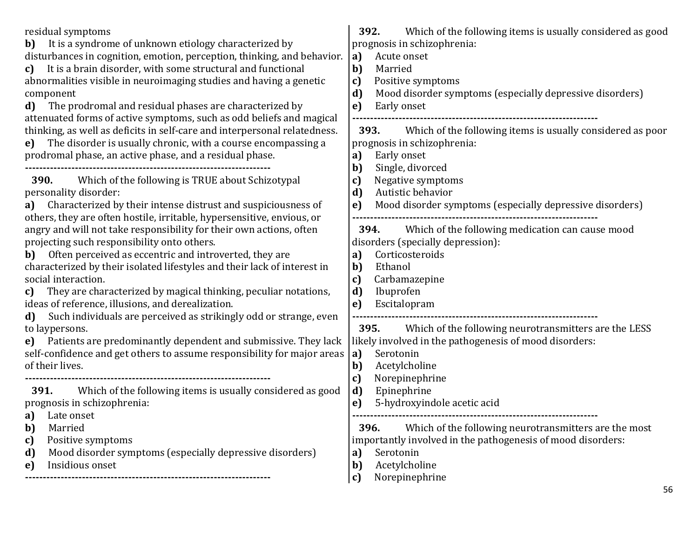| residual symptoms<br>It is a syndrome of unknown etiology characterized by<br>b)<br>disturbances in cognition, emotion, perception, thinking, and behavior.<br>It is a brain disorder, with some structural and functional<br>c)<br>abnormalities visible in neuroimaging studies and having a genetic<br>component<br>The prodromal and residual phases are characterized by<br>d)<br>attenuated forms of active symptoms, such as odd beliefs and magical<br>thinking, as well as deficits in self-care and interpersonal relatedness.<br>The disorder is usually chronic, with a course encompassing a<br>e)<br>prodromal phase, an active phase, and a residual phase.                                                                                                                                                                                                                                                                                                                                                         | 392.<br>Which of the following items is usually considered as good<br>prognosis in schizophrenia:<br>Acute onset<br>a)<br>b)<br>Married<br>Positive symptoms<br>c)<br>Mood disorder symptoms (especially depressive disorders)<br>d)<br>Early onset<br>e)<br><b>393.</b> Which of the following items is usually considered as poor<br>prognosis in schizophrenia:<br>Early onset<br>a) |
|------------------------------------------------------------------------------------------------------------------------------------------------------------------------------------------------------------------------------------------------------------------------------------------------------------------------------------------------------------------------------------------------------------------------------------------------------------------------------------------------------------------------------------------------------------------------------------------------------------------------------------------------------------------------------------------------------------------------------------------------------------------------------------------------------------------------------------------------------------------------------------------------------------------------------------------------------------------------------------------------------------------------------------|-----------------------------------------------------------------------------------------------------------------------------------------------------------------------------------------------------------------------------------------------------------------------------------------------------------------------------------------------------------------------------------------|
| Which of the following is TRUE about Schizotypal<br><b>390.</b><br>personality disorder:<br>a) Characterized by their intense distrust and suspiciousness of<br>others, they are often hostile, irritable, hypersensitive, envious, or<br>angry and will not take responsibility for their own actions, often<br>projecting such responsibility onto others.<br>Often perceived as eccentric and introverted, they are<br>b)<br>characterized by their isolated lifestyles and their lack of interest in<br>social interaction.<br>They are characterized by magical thinking, peculiar notations,<br>c)<br>ideas of reference, illusions, and derealization.<br>Such individuals are perceived as strikingly odd or strange, even<br>d)<br>to laypersons.<br>e) Patients are predominantly dependent and submissive. They lack<br>self-confidence and get others to assume responsibility for major areas<br>of their lives.<br>Which of the following items is usually considered as good<br>391.<br>prognosis in schizophrenia: | b)<br>Single, divorced<br>Negative symptoms<br>C)<br>Autistic behavior<br>d)<br>Mood disorder symptoms (especially depressive disorders)<br>e)<br>Which of the following medication can cause mood<br>394.<br>disorders (specially depression):<br>Corticosteroids<br>a)<br>Ethanol<br>b)<br>Carbamazepine<br>c)<br>d)<br>Ibuprofen<br>Escitalopram<br>e)                               |
|                                                                                                                                                                                                                                                                                                                                                                                                                                                                                                                                                                                                                                                                                                                                                                                                                                                                                                                                                                                                                                    | Which of the following neurotransmitters are the LESS<br><b>395.</b><br>likely involved in the pathogenesis of mood disorders:<br>Serotonin<br>a)<br>Acetylcholine<br>b)<br>Norepinephrine<br>c)<br>Epinephrine<br>d)<br>5-hydroxyindole acetic acid<br>e)                                                                                                                              |
| <b>a</b> ) Late onset<br>Married<br>b)<br>Positive symptoms<br>c)<br>Mood disorder symptoms (especially depressive disorders)<br>d)<br>Insidious onset<br>e)                                                                                                                                                                                                                                                                                                                                                                                                                                                                                                                                                                                                                                                                                                                                                                                                                                                                       | 396.<br>Which of the following neurotransmitters are the most<br>importantly involved in the pathogenesis of mood disorders:<br>Serotonin<br>a)<br>Acetylcholine<br>b)<br>Norepinephrine<br>c)                                                                                                                                                                                          |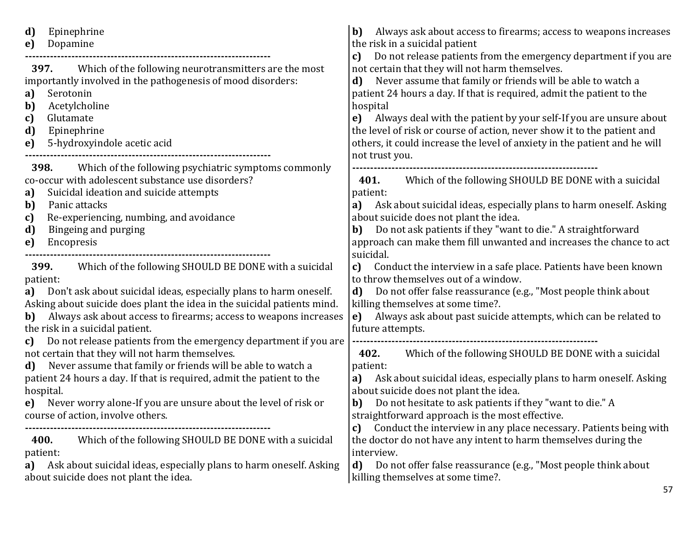**d)** Epinephrine **e)** Dopamine **--------------------------------------------------------------------- 397.** Which of the following neurotransmitters are the most importantly involved in the pathogenesis of mood disorders: **a)** Serotonin **b)** Acetylcholine **c)** Glutamate **d)** Epinephrine **e)** 5-hydroxyindole acetic acid **--------------------------------------------------------------------- 398.** Which of the following psychiatric symptoms commonly co-occur with adolescent substance use disorders? **a)** Suicidal ideation and suicide attempts **b)** Panic attacks **c)** Re-experiencing, numbing, and avoidance **d)** Bingeing and purging **e)** Encopresis **--------------------------------------------------------------------- 399.** Which of the following SHOULD BE DONE with a suicidal patient: **a)** Don't ask about suicidal ideas, especially plans to harm oneself. Asking about suicide does plant the idea in the suicidal patients mind. **b)** Always ask about access to firearms; access to weapons increases the risk in a suicidal patient. **c)** Do not release patients from the emergency department if you are not certain that they will not harm themselves. **d)** Never assume that family or friends will be able to watch a patient 24 hours a day. If that is required, admit the patient to the hospital. **e)** Never worry alone-If you are unsure about the level of risk or course of action, involve others. **--------------------------------------------------------------------- 400.** Which of the following SHOULD BE DONE with a suicidal patient: **a)** Ask about suicidal ideas, especially plans to harm oneself. Asking about suicide does not plant the idea. **b)** Always ask about access to firearms; access to weapons increases the risk in a suicidal patient **c)** Do not release patients from the emergency department if you are not certain that they will not harm themselves. **d)** Never assume that family or friends will be able to watch a patient 24 hours a day. If that is required, admit the patient to the hospital **e)** Always deal with the patient by your self-If you are unsure about the level of risk or course of action, never show it to the patient and others, it could increase the level of anxiety in the patient and he will not trust you. **--------------------------------------------------------------------- 401.** Which of the following SHOULD BE DONE with a suicidal patient: **a)** Ask about suicidal ideas, especially plans to harm oneself. Asking about suicide does not plant the idea. **b)** Do not ask patients if they "want to die." A straightforward approach can make them fill unwanted and increases the chance to act suicidal. **c)** Conduct the interview in a safe place. Patients have been known to throw themselves out of a window. **d)** Do not offer false reassurance (e.g., "Most people think about killing themselves at some time?. **e)** Always ask about past suicide attempts, which can be related to future attempts. **--------------------------------------------------------------------- 402.** Which of the following SHOULD BE DONE with a suicidal patient: **a)** Ask about suicidal ideas, especially plans to harm oneself. Asking about suicide does not plant the idea. **b)** Do not hesitate to ask patients if they "want to die." A straightforward approach is the most effective. **c)** Conduct the interview in any place necessary. Patients being with the doctor do not have any intent to harm themselves during the interview. **d)** Do not offer false reassurance (e.g., "Most people think about killing themselves at some time?.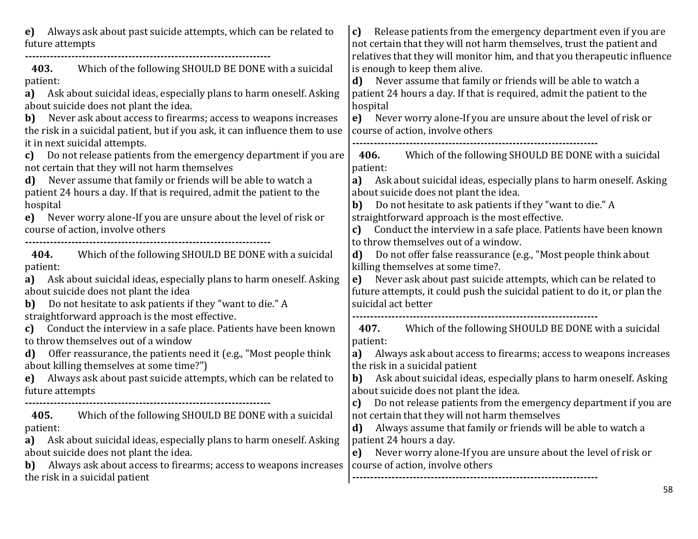| Always ask about past suicide attempts, which can be related to<br>e)<br>future attempts                                                                                                                                                                                                                                                                                                                                                                            | Release patients from the emergency department even if you are<br>c)<br>not certain that they will not harm themselves, trust the patient and                                                                                                                                                                                                                                                                                                    |
|---------------------------------------------------------------------------------------------------------------------------------------------------------------------------------------------------------------------------------------------------------------------------------------------------------------------------------------------------------------------------------------------------------------------------------------------------------------------|--------------------------------------------------------------------------------------------------------------------------------------------------------------------------------------------------------------------------------------------------------------------------------------------------------------------------------------------------------------------------------------------------------------------------------------------------|
| Which of the following SHOULD BE DONE with a suicidal<br>403.<br>patient:<br>Ask about suicidal ideas, especially plans to harm oneself. Asking<br>a)<br>about suicide does not plant the idea.<br>Never ask about access to firearms; access to weapons increases<br>b)<br>the risk in a suicidal patient, but if you ask, it can influence them to use<br>it in next suicidal attempts.<br>Do not release patients from the emergency department if you are<br>c) | relatives that they will monitor him, and that you therapeutic influence<br>is enough to keep them alive.<br>Never assume that family or friends will be able to watch a<br>d)<br>patient 24 hours a day. If that is required, admit the patient to the<br>hospital<br>Never worry alone-If you are unsure about the level of risk or<br>e)<br>course of action, involve others<br>Which of the following SHOULD BE DONE with a suicidal<br>406. |
| not certain that they will not harm themselves<br>Never assume that family or friends will be able to watch a<br>d)<br>patient 24 hours a day. If that is required, admit the patient to the<br>hospital<br>Never worry alone-If you are unsure about the level of risk or<br>e)<br>course of action, involve others                                                                                                                                                | patient:<br>Ask about suicidal ideas, especially plans to harm oneself. Asking<br>a)<br>about suicide does not plant the idea.<br>Do not hesitate to ask patients if they "want to die." A<br>b)<br>straightforward approach is the most effective.<br>Conduct the interview in a safe place. Patients have been known<br>c)<br>to throw themselves out of a window.                                                                             |
| Which of the following SHOULD BE DONE with a suicidal<br>404.<br>patient:<br>Ask about suicidal ideas, especially plans to harm oneself. Asking<br>a)<br>about suicide does not plant the idea<br>Do not hesitate to ask patients if they "want to die." A<br>b)                                                                                                                                                                                                    | Do not offer false reassurance (e.g., "Most people think about<br>d)<br>killing themselves at some time?.<br>Never ask about past suicide attempts, which can be related to<br>e)<br>future attempts, it could push the suicidal patient to do it, or plan the<br>suicidal act better                                                                                                                                                            |
| straightforward approach is the most effective.<br>Conduct the interview in a safe place. Patients have been known<br>c)<br>to throw themselves out of a window<br>Offer reassurance, the patients need it (e.g., "Most people think<br>d)<br>about killing themselves at some time?")<br>Always ask about past suicide attempts, which can be related to<br>e)<br>future attempts                                                                                  | Which of the following SHOULD BE DONE with a suicidal<br>407.<br>patient:<br>Always ask about access to firearms; access to weapons increases<br>a)<br>the risk in a suicidal patient<br>Ask about suicidal ideas, especially plans to harm oneself. Asking<br>b)<br>about suicide does not plant the idea.                                                                                                                                      |
| Which of the following SHOULD BE DONE with a suicidal<br>405.<br>patient:<br>Ask about suicidal ideas, especially plans to harm oneself. Asking<br>a)<br>about suicide does not plant the idea.<br>Always ask about access to firearms; access to weapons increases<br>b)<br>the risk in a suicidal patient                                                                                                                                                         | Do not release patients from the emergency department if you are<br>c)<br>not certain that they will not harm themselves<br>Always assume that family or friends will be able to watch a<br>d)<br>patient 24 hours a day.<br>Never worry alone-If you are unsure about the level of risk or<br>e)<br>course of action, involve others<br><b>CQ</b>                                                                                               |